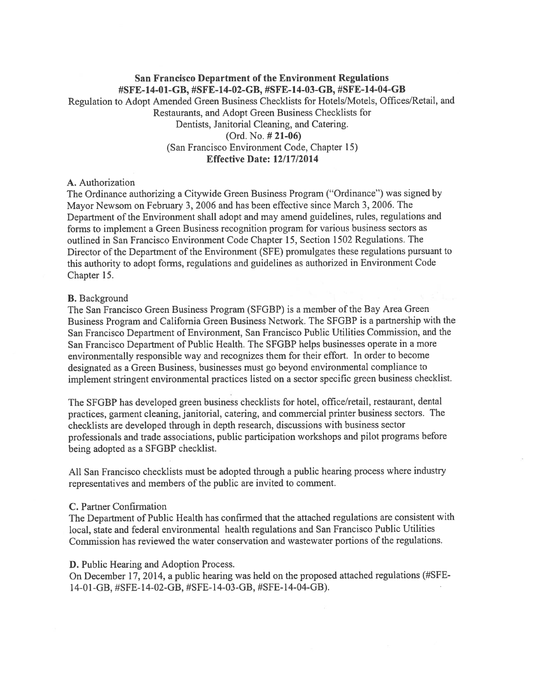### San Francisco Department of the Environment Regulations #SFE-14-01-GB, #SFE-14-02-GB, #SFE-14-03-GB, #SFE-14-04-GB

Regulation to Adopt Amended Green Business Checklists for Hotels/Motels, Offices/Retail, and Restaurants, and Adopt Green Business Checklists for Dentists, Janitorial Cleaning, and Catering. (Ord. No. # 21-06) (San Francisco Environment Code, Chapter 15) Effective Date: 12/17/2014

### A. Authorization

The Ordinance authorizing a Citywide Green Business Program ("Ordinance") was signed by Mayor Newsom on February 3, 2006 and has been effective since March 3, 2006. The Department of the Environment shall adopt and may amend guidelines, rules, regulations and forms to implement a Green Business recognition program for various business sectors as outlined in San Francisco Environment Code Chapter 15, Section 1502 Regulations. The Director of the Department of the Environment (SFE) promulgates these regulations pursuant to this authority to adopt forms, regulations and guidelines as authorized in Environment Code Chapter 15.

### B. Background

The San Francisco Green Business Program (SFGBP) is a member of the Bay Area Green Business Program and California Green Business Network. The SFGBP is a partnership with the San Francisco Department of Environment, San Francisco Public Utilities Commission, and the San Francisco Department of Public Health. The SFGBP helps businesses operate in a more environmentally responsible way and recognizes them for their effort. In order to become designated as a Green Business, businesses must go beyond environmental compliance to implement stringent environmental practices listed on a sector specific green business checklist.

The SFGBP has developed green business checklists for hotel, office/retail, restaurant, dental practices, garment cleaning, janitorial, catering, and commercial printer business sectors. The checklists are developed through in depth research, discussions with business sector professionals and trade associations, public participation workshops and pilot programs before being adopted as a SFGBP checklist.

All San Francisco checklists must be adopted through a public hearing process where industry representatives and members of the public are invited to comment.

### C. Partner Confirmation

The Department of Public Health has confirmed that the attached regulations are consistent with local, state and federal environmental health regulations and San Francisco Public Utilities Commission has reviewed the water conservation and wastewater portions of the regulations.

D. Public Hearing and Adoption Process.

On December 17, 2014, <sup>a</sup> public hearing was held on the proposed attached regulations (#SFE 14-01-GB, #SFE- <sup>1</sup> 4-02-GB, #SFE- 14-03-GB, #SFE- 14-04-GB).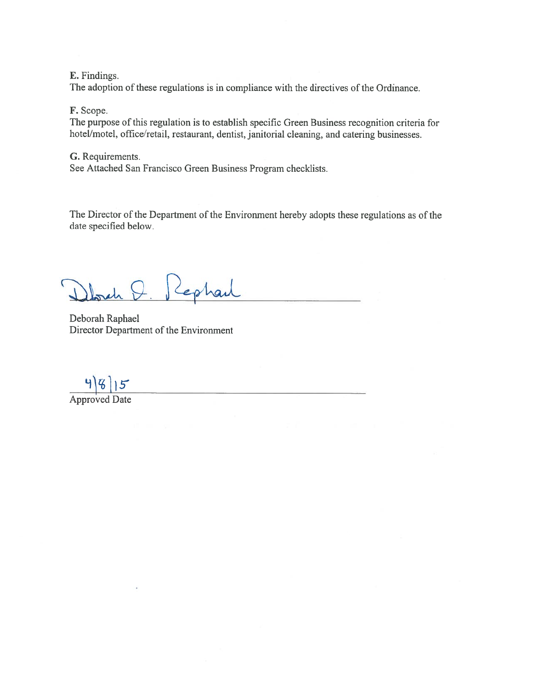E. Findings.

The adoption of these regulations is in compliance with the directives of the Ordinance.

### F. Scope.

The purpose of this regulation is to establish specific Green Business recognition criteria for hotel/motel, office/retail, restaurant, dentist, janitorial cleaning, and catering businesses.

### G. Requirements.

See Attached San Francisco Green Business Program checklists.

The Director of the Department of the Environment hereby adopts these regulations as of the date specified below.

Q. Rephart  $ab$ 

Deborah Raphael Director Department of the Environment

 $\frac{4|8|15}{\text{Approved Date}}$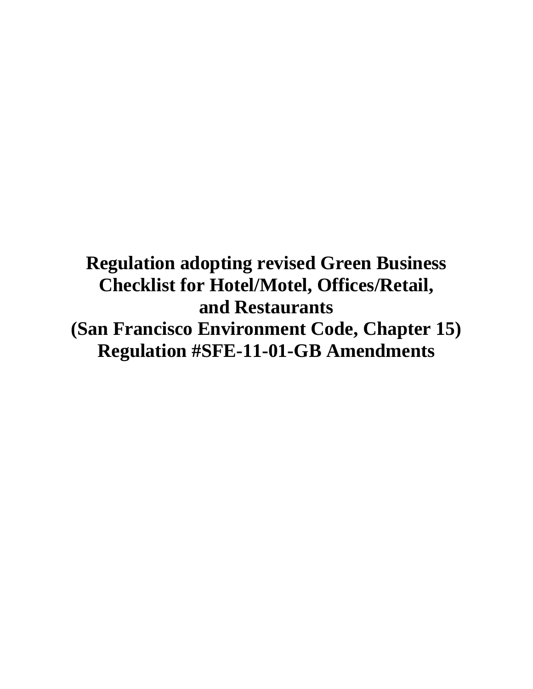## **Regulation adopting revised Green Business Checklist for Hotel/Motel, Offices/Retail, and Restaurants (San Francisco Environment Code, Chapter 15) Regulation #SFE-11-01-GB Amendments**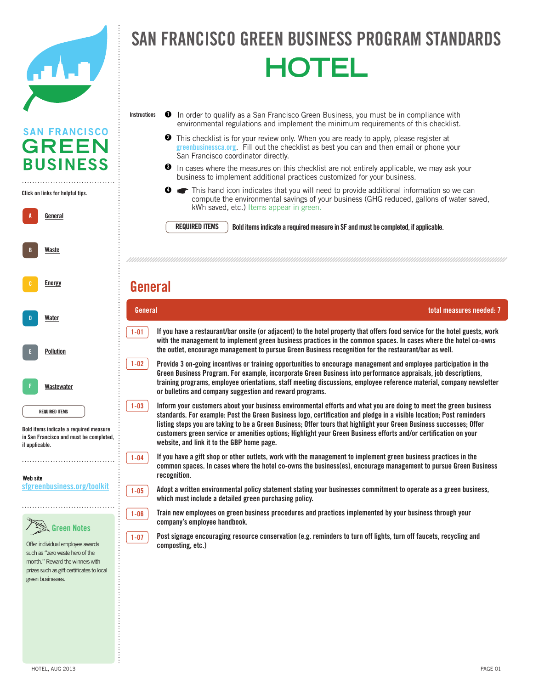

### FRANCISCO GREEN BUSINESS PROGRAM STANDA officers and the complete state SAN FRANCISCO GREEN BUSINESS PROGRAM STANDAR **HOTEL**

- In order to qualify as a San Francisco Green Business, you must be in compliance with environmental regulations and implement the minimum requirements of this checklist. **Instructions 1**
	- This checklist is for your review only. When you are ready to apply, please register at This checklist is for your review only. When you are ready to apply, please register at greenbusiness ca.org. Fill out the checklist as best you can and then email or phone your San Francisco coordinator directly. **2**
	- $\bullet$  In cases where the measures on this checklist are not entirely applicable, we may ask your business to implement additional practices customized for your business.

Mandatory Composting and Recycling Ordinance (www.sfenvironment.org/mandatory). ☛Do you pay your own garbage bill (yes or no)? If yes, please provide the level of service you recieve

A-02 Designate a recycling coordinator(s) to take responsibility for monitoring/maintaining proper waste diversion **General total measures needed: 7**

Solid Waste This hand icon indicates that you will need to provide additional information so we can compute the environmental savings of your business (GHG reduced, gallons of water saved, kWh saved, etc.) Items appear in green. **4**

**REQUIRED ITEMS**

and conducting ongoing education.

**REQUIRED ITEMS** Bold items indicate a required measure in SF and must be completed, if applicable.

#### $\mathsf{H}$  many employees does  $\mathsf{H}$  and the certified location? (Leave blank if already entered for already entered for already entered for already entered for already entered for already entered for already entered for previous measure.) **General**

**1-01**

**1-02**

**1-03**

**1-04**

**1-05**

**1-06**

**1-07**



A **General** 

**A**

**B**

B Energy Conservation

**[Energy](http://sfgreenbusiness.org/green-your-business/toolkit/energy-conservation-guide/)**

**[Waste](http://sfgreenbusiness.org/green-your-business/toolkit/recycling-waste-reduction-guide/)**

Click on links for helpful tips. **Click on links for helpful tips.**

. . . . . . . . . . . . . . . . . . .

**SAN FRANCISCO GREEN** 

**BUSINESS** 

Bold items indicate **Bold items indicate a required measure**  a required measure in September 111 in San Francisco and must be completed,<br><sup>if</sup> sanligable if applicable. **if applicable.** 

Website **Web site** sfgreenbusiness.org/toolkit **[sfgreenbusiness.org/toolkit](http://sfgreenbusiness.org/toolkit)**



Offer individual employee awards  $s$ uch as "zero waste hero of the month." Reward the winners with mand was the minimal was considered. visit www.recologysf.com. You can also call Sero call Sero call Sero call Sero call Sero call Sero call Sero call Sero call Sero call Sero call<br>Sero call Sero call Sero call Sero call Sero call Sero call Sero call Sero call Sero call Sero call Sero call

with the management to implement green business practices in the common spaces. In cases where the hotel co-owns **If you have a restaurant/bar onsite (or adjacent) to the hotel property that offers food service for the hotel guests, work the outlet, encourage management to pursue Green Business recognition for the restaurant/bar as well.**

 $1-02$  Provide 3 on-going incentives or training opportunities to encourage management and employee participation in the Green Business Program. For example, incorporate Green Business into performance appraisals, job descriptions, A-04 Make two sided printing and copying standard practice in your business (set printers and copiers to default to or bulletins and company suggestion and reward programs. **training programs, employee orientations, staff meeting discussions, employee reference material, company newsletter** 

standards. For example: Post the Green Business logo, certification and pledge in a visible location; Post reminders listing steps you are taking to be a Green Business; Offer tours that highlight your Green Business successes; Offer customers green service or amenities options; Highlight your Green Business efforts and/or certification on your<br>website, and light ideally 2DD have aggre website, and link it to the GBP home page. **Inform your customers about your business environmental efforts and what you are doing to meet the green business** 

**common spaces. In cases where the hotel co-owns the business(es), encourage management to pursue Green Business** a-08 Retailers -- offer durable, reusable bags at checkout. **If you have a gift shop or other outlets, work with the management to implement green business practices in the recognition.**

**but useful, or exchange under the include a detailed green purchasing policy. Adopt a written environmental policy statement stating your businesses commitment to operate as a green business,** 



1-07 **Post signage encouraging resource conservation (e.g. reminders to turn off lights, turn off faucets, recycling and composting, etc.)**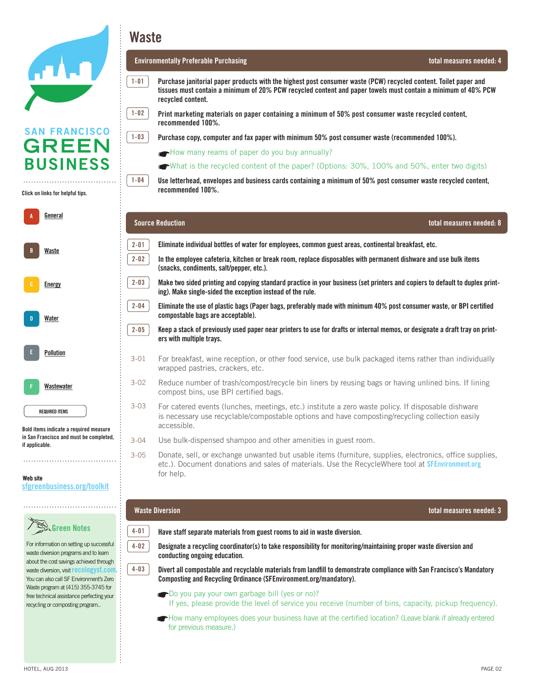| ATI LID |  |  |
|---------|--|--|
|         |  |  |
|         |  |  |

Click on links for helpful tips. **Click on links for helpful tips.**

| A | General               |
|---|-----------------------|
| B | Waste                 |
| c | <b>Energy</b>         |
| D | Water                 |
| E | Pollution             |
| F | Wastewater            |
|   | <b>REQUIRED ITEMS</b> |

Bold items indicate **Bold items indicate a required measure**  a required measured measured measured measured measured measured measured measured measured measured measured and must be completed, **in San Francisco and must be completed,**  if applicable. **if applicable.** 

#### Website **Web site** sfgreenbusiness.org/toolkit **[sfgreenbusiness.org/toolkit](http://sfgreenbusiness.org/toolkit)**

| Green Notes |
|-------------|
|-------------|

For information on setting up For information on setting up successful succession programs programs programs programs in the succession programs of the successive programs of the successive programs of the successive programs of the successive programs of the successive programs of the succes waste diversion programs and to learn achieved through waste diversion, waste diversion, visit **[recologysf.com](http://recologysf.com)**. was also call SF Environment's Zero volutions call of Environment's Zero<br>Waste program at (415) 355-3745 for maste program at 415-3555-3745. free technical assistance perfecting  $f$ recycling or composting program.. about the cost savings achieved through

**Waste**

**1-01**

**1-02**

**1-03**

**1-04**

#### **Environmentally Preferable Purchasing total measures needed: 4**

 $\overline{\phantom{a}}$  is called must contain a minimum of 20% PCW regulations and naner towels must contain a minimum of  $\overline{\phantom{a}}$  in compliance with environmental regulations and regulations and regulations and regulations and r tissues must contain a minimum of 20% PCW recycled content and paper towels must contain a minimum of 40% PCW<br>requeled eentent  $\mathcal{D}$  This checklist is for your area are ready to apply, please submit the enrollment form and checklist at enrollment form and checklist at enrollment form and checklist at enrollment form and checklist at  $\mathcal{D}$ **Purchase janitorial paper products with the highest post consumer waste (PCW) recycled content. Toilet paper and recycled content.**

Office/Retail

Print marketing materials on paper containing a minimum of 50% post consumer waste recycled content, ❸ In cases where the measures on this checklist are not entirely applicable, we may ask your business to implement additional **recommended 100%.** 

practices customized for your business. Purchase copy, computer and fax paper with minimum 50% post consumer waste (recommended 100%).<br>.

- How many reams of paper do you buy annually?
- What is the recycled content of the paper? (Options:  $30\%$ ,  $100\%$  and  $50\%$ , enter two digits)

**Use letterhead, envelopes and business cards containing a minimum of 50% post consumer waste recycled content, recommended 100%.**

| <b>Source Reduction</b><br>total measures needed: 8 |                                                                                                                                                                                                                                 |  |  |
|-----------------------------------------------------|---------------------------------------------------------------------------------------------------------------------------------------------------------------------------------------------------------------------------------|--|--|
| $2 - 01$                                            | Eliminate individual bottles of water for employees, common guest areas, continental breakfast, etc.                                                                                                                            |  |  |
| $2 - 02$                                            | In the employee cafeteria, kitchen or break room, replace disposables with permanent dishware and use bulk items<br>(snacks, condiments, salt/pepper, etc.).                                                                    |  |  |
| $2 - 03$                                            | Make two sided printing and copying standard practice in your business (set printers and copiers to default to duplex print-<br>ing). Make single-sided the exception instead of the rule.                                      |  |  |
| $2 - 04$                                            | Eliminate the use of plastic bags (Paper bags, preferably made with minimum 40% post consumer waste, or BPI certified<br>compostable bags are acceptable).                                                                      |  |  |
| $2 - 05$                                            | Keep a stack of previously used paper near printers to use for drafts or internal memos, or designate a draft tray on print-<br>ers with multiple trays.                                                                        |  |  |
| $3 - 01$                                            | For breakfast, wine reception, or other food service, use bulk packaged items rather than individually<br>wrapped pastries, crackers, etc.                                                                                      |  |  |
| $3 - 02$                                            | Reduce number of trash/compost/recycle bin liners by reusing bags or having unlined bins. If lining<br>compost bins, use BPI certified bags.                                                                                    |  |  |
| $3 - 03$                                            | For catered events (lunches, meetings, etc.) institute a zero waste policy. If disposable dishware<br>is necessary use recyclable/compostable options and have composting/recycling collection easily<br>accessible.            |  |  |
| $3 - 04$                                            | Use bulk-dispensed shampoo and other amenities in guest room.                                                                                                                                                                   |  |  |
| $3 - 05$                                            | Donate, sell, or exchange unwanted but usable items (furniture, supplies, electronics, office supplies,<br>etc.). Document donations and sales of materials. Use the RecycleWhere tool at <b>SFEnvironment.org</b><br>for help. |  |  |

**4-01 4-02** 

**4-03** 



4-01 **Have staff separate materials from guest rooms to aid in waste diversion.** 

a-10 Send and receive faxes directly from computers without printing.

a-08 Retailers -- offer durable, reusable bags at checkout.

**are increased and in a single schedule schedule in a single location (bulleting angoing education.** etc.) to reduce printed copies. **Designate a recycling coordinator(s) to take responsibility for monitoring/maintaining proper waste diversion and** 

**Composting and Recycling Ordinance [\(SFEnvironment.org/mandatory](http://SFEnvironment.org/mandatory)). Divert all compostable and recyclable materials from landfill to demonstrate compliance with San Francisco's Mandatory** 

**Compositions and have composed composed composed conditions and have consider** Do you pay your own garbage bill (yes or no)?

If yes, please provide the level of service you receive (number of bins, capacity, pickup frequency).

How many employees does your business have at the certified location? (Leave blank if already entered for previous measure.)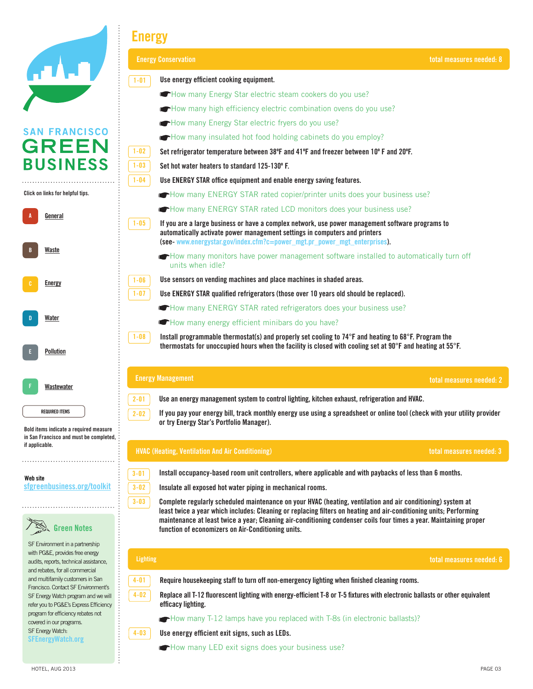| <b>ATALO</b> |  |
|--------------|--|
|              |  |
|              |  |

### San Francisco Green Business Program Standards **Energy**

|                                                                                                                                                 | <b>Energy Conservation</b>                                                                                                                                                                                                                                                                     | total measures needed: 8 |
|-------------------------------------------------------------------------------------------------------------------------------------------------|------------------------------------------------------------------------------------------------------------------------------------------------------------------------------------------------------------------------------------------------------------------------------------------------|--------------------------|
|                                                                                                                                                 | Use energy efficient cooking equipment.<br>$1 - 01$                                                                                                                                                                                                                                            |                          |
|                                                                                                                                                 | How many Energy Star electric steam cookers do you use?                                                                                                                                                                                                                                        |                          |
|                                                                                                                                                 | How many high efficiency electric combination ovens do you use?                                                                                                                                                                                                                                |                          |
|                                                                                                                                                 | How many Energy Star electric fryers do you use?                                                                                                                                                                                                                                               |                          |
| <b>SAN FRANCISCO</b>                                                                                                                            | How many insulated hot food holding cabinets do you employ?                                                                                                                                                                                                                                    |                          |
| <b>GREEN</b>                                                                                                                                    | $1 - 02$<br>Set refrigerator temperature between 38°F and 41°F and freezer between 10°F and 20°F.                                                                                                                                                                                              |                          |
| <b>BUSINESS</b>                                                                                                                                 | $1 - 03$<br>Set hot water heaters to standard 125-130° F.                                                                                                                                                                                                                                      |                          |
|                                                                                                                                                 | $1 - 04$<br>Use ENERGY STAR office equipment and enable energy saving features.                                                                                                                                                                                                                |                          |
| Click on links for helpful tips.                                                                                                                | How many ENERGY STAR rated copier/printer units does your business use?                                                                                                                                                                                                                        |                          |
| <u>General</u>                                                                                                                                  | How many ENERGY STAR rated LCD monitors does your business use?                                                                                                                                                                                                                                |                          |
|                                                                                                                                                 | $1 - 05$<br>If you are a large business or have a complex network, use power management software programs to<br>automatically activate power management settings in computers and printers<br>(see- www.energystar.gov/index.cfm?c=power_mgt.pr_power_mgt_enterprises).                        |                          |
| Waste                                                                                                                                           | How many monitors have power management software installed to automatically turn off<br>units when idle?                                                                                                                                                                                       |                          |
| Energy                                                                                                                                          | Use sensors on vending machines and place machines in shaded areas.<br>$1 - 06$                                                                                                                                                                                                                |                          |
|                                                                                                                                                 | $1 - 07$<br>Use ENERGY STAR qualified refrigerators (those over 10 years old should be replaced).                                                                                                                                                                                              |                          |
|                                                                                                                                                 | How many ENERGY STAR rated refrigerators does your business use?                                                                                                                                                                                                                               |                          |
| Water                                                                                                                                           | How many energy efficient minibars do you have?                                                                                                                                                                                                                                                |                          |
| Pollution                                                                                                                                       | $1 - 08$<br>Install programmable thermostat(s) and properly set cooling to 74°F and heating to 68°F. Program the<br>thermostats for unoccupied hours when the facility is closed with cooling set at $90^{\circ}$ F and heating at $55^{\circ}$ F.                                             |                          |
| Wastewater                                                                                                                                      | <b>Energy Management</b>                                                                                                                                                                                                                                                                       | total measures needed: 2 |
|                                                                                                                                                 | Use an energy management system to control lighting, kitchen exhaust, refrigeration and HVAC.<br>$2 - 01$                                                                                                                                                                                      |                          |
| <b>REQUIRED ITEMS</b><br>Bold items indicate a required measure                                                                                 | If you pay your energy bill, track monthly energy use using a spreadsheet or online tool (check with your utility provider<br>$2 - 02$<br>or try Energy Star's Portfolio Manager).                                                                                                             |                          |
| in San Francisco and must be completed,<br>if applicable.                                                                                       | <b>HVAC (Heating, Ventilation And Air Conditioning)</b>                                                                                                                                                                                                                                        | total measures needed: 3 |
|                                                                                                                                                 | $3 - 01$<br>Install occupancy-based room unit controllers, where applicable and with paybacks of less than 6 months.                                                                                                                                                                           |                          |
| Web site<br>sfgreenbusiness.org/toolkit                                                                                                         | $3 - 02$<br>Insulate all exposed hot water piping in mechanical rooms.                                                                                                                                                                                                                         |                          |
|                                                                                                                                                 | $3 - 03$<br>Complete regularly scheduled maintenance on your HVAC (heating, ventilation and air conditioning) system at                                                                                                                                                                        |                          |
| <b>Green Notes</b>                                                                                                                              | least twice a year which includes: Cleaning or replacing filters on heating and air-conditioning units; Performing<br>maintenance at least twice a year; Cleaning air-conditioning condenser coils four times a year. Maintaining proper<br>function of economizers on Air-Conditioning units. |                          |
| SF Environment in a partnership<br>with PG&E, provides free energy<br>audits, reports, technical assistance,<br>and rebates, for all commercial | <b>Lighting</b>                                                                                                                                                                                                                                                                                | total measures needed: 6 |
| and multifamily customers in San                                                                                                                | $4 - 01$<br>Require housekeeping staff to turn off non-emergency lighting when finished cleaning rooms.                                                                                                                                                                                        |                          |
| Francisco. Contact SF Environment's<br>SF Energy Watch program and we will<br>refer you to PG&E's Express Efficiency                            | $4 - 02$<br>Replace all T-12 fluorescent lighting with energy-efficient T-8 or T-5 fixtures with electronic ballasts or other equivalent<br>efficacy lighting.                                                                                                                                 |                          |
| program for efficiency rebates not<br>covered in our programs.                                                                                  | How many T-12 lamps have you replaced with T-8s (in electronic ballasts)?                                                                                                                                                                                                                      |                          |
| SF Energy Watch:<br><b>SFEnergyWatch.org</b>                                                                                                    | Use energy efficient exit signs, such as LEDs.<br>$4 - 03$                                                                                                                                                                                                                                     |                          |
|                                                                                                                                                 | How many LED exit signs does your business use?                                                                                                                                                                                                                                                |                          |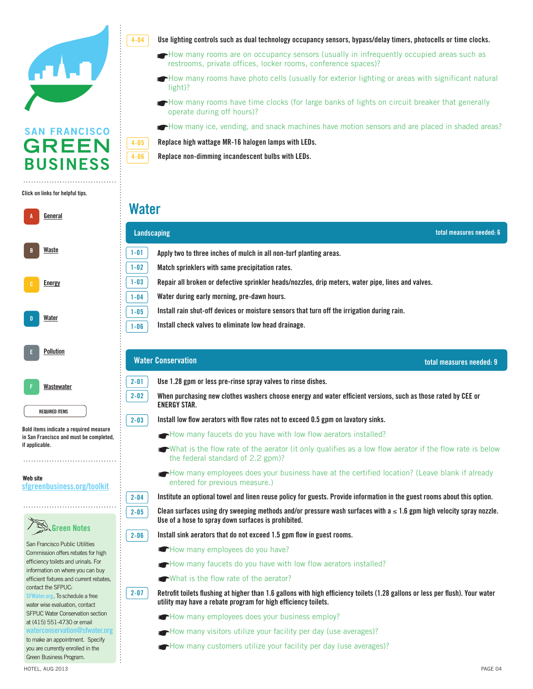

### Click on links for helpful tips. **Click on links for helpful tips.**



#### Website **Web site** sfgreenbusiness.org/toolkit **[sfgreenbusiness.org/toolkit](http://sfgreenbusiness.org/toolkit)**



use lighting controls such as dual technology occupancy sensors, bypass/delay timers, photocells or time clocks.<br>المواجه

- How many rooms are on occupancy sensors (usually in infrequently occupied areas such as restrooms, private offices, locker rooms, conference spaces)?
- instructions  $\mathcal{L}$  as a San Francisco Green Business, you must be in compliance with environmental regulations and  $\mathcal{L}$  and  $\mathcal{L}$  and  $\mathcal{L}$  and  $\mathcal{L}$  and  $\mathcal{L}$  and  $\mathcal{L}$  and  $\mathcal{L}$  and  $\mathcal{L}$  and How many rooms have photo cells (usually for exterior lighting or areas with significant natural light)?
	- implement the minimum requirements of this checklist. How many rooms have time clocks (for large banks of lights on circuit breaker that generally operate during off hours)?

How many ice, vending, and snack machines have motion sensors and are placed in shaded areas? practices customized for your business.

Replace high wattage MR-16 halogen lamps with LEDs.

Replace non-dimming incandescent bulbs with LEDs.

### Solid Waste **Water**

**4-05**

**4-06**

**4-04**

|                                                                                                                                 | total measures needed: 6<br>Landscaping                                                                                                                                                                      |
|---------------------------------------------------------------------------------------------------------------------------------|--------------------------------------------------------------------------------------------------------------------------------------------------------------------------------------------------------------|
| Waste                                                                                                                           | $1 - 01$<br>Apply two to three inches of mulch in all non-turf planting areas.                                                                                                                               |
|                                                                                                                                 | $1 - 02$<br>Match sprinklers with same precipitation rates.                                                                                                                                                  |
| $1 - 03$<br>Repair all broken or defective sprinkler heads/nozzles, drip meters, water pipe, lines and valves.<br><b>Energy</b> |                                                                                                                                                                                                              |
|                                                                                                                                 | Water during early morning, pre-dawn hours.<br>$1 - 04$                                                                                                                                                      |
| Water                                                                                                                           | Install rain shut-off devices or moisture sensors that turn off the irrigation during rain.<br>$1 - 05$                                                                                                      |
|                                                                                                                                 | Install check valves to eliminate low head drainage.<br>$1 - 06$                                                                                                                                             |
| <b>Pollution</b>                                                                                                                | <b>Water Conservation</b><br>total measures needed: 9                                                                                                                                                        |
| Wastewater                                                                                                                      | $2 - 01$<br>Use 1.28 gpm or less pre-rinse spray valves to rinse dishes.                                                                                                                                     |
| <b>REQUIRED ITEMS</b>                                                                                                           | $2 - 02$<br>When purchasing new clothes washers choose energy and water efficient versions, such as those rated by CEE or<br><b>ENERGY STAR.</b>                                                             |
|                                                                                                                                 | Install low flow aerators with flow rates not to exceed 0.5 gpm on lavatory sinks.<br>$2 - 03$                                                                                                               |
| Bold items indicate a required measure<br>in San Francisco and must be completed,                                               | How many faucets do you have with low flow aerators installed?                                                                                                                                               |
| if applicable.                                                                                                                  | ← What is the flow rate of the aerator (it only qualifies as a low flow aerator if the flow rate is below<br>the federal standard of 2.2 gpm)?                                                               |
| Web site<br>sfgreenbusiness.org/toolkit                                                                                         | How many employees does your business have at the certified location? (Leave blank if already<br>entered for previous measure.)                                                                              |
|                                                                                                                                 | Institute an optional towel and linen reuse policy for guests. Provide information in the guest rooms about this option.<br>$2 - 04$                                                                         |
|                                                                                                                                 | Clean surfaces using dry sweeping methods and/or pressure wash surfaces with $a \le 1.6$ gpm high velocity spray nozzle.<br>$2 - 05$<br>Use of a hose to spray down surfaces is prohibited.                  |
| <b>Green Notes</b>                                                                                                              | Install sink aerators that do not exceed 1.5 gpm flow in guest rooms.<br>$2 - 06$                                                                                                                            |
| San Francisco Public Utilities<br>Commission offers rebates for high                                                            | How many employees do you have?                                                                                                                                                                              |
| efficiency toilets and urinals. For<br>information on where you can buy                                                         | How many faucets do you have with low flow aerators installed?                                                                                                                                               |
| efficient fixtures and current rebates,                                                                                         | What is the flow rate of the aerator?                                                                                                                                                                        |
| contact the SFPUC:<br>SFWater.org. To schedule a free<br>water wise evaluation, contact                                         | $2 - 07$<br>Retrofit toilets flushing at higher than 1.6 gallons with high efficiency toilets (1.28 gallons or less per flush). Your water<br>utility may have a rebate program for high efficiency toilets. |
| SFPUC Water Conservation section<br>at (415) 551-4730 or email                                                                  | How many employees does your business employ?                                                                                                                                                                |
| waterconservation@sfwater.org                                                                                                   | How many visitors utilize your facility per day (use averages)?                                                                                                                                              |
| to make an appointment. Specify<br>you are currently enrolled in the<br>Green Business Program.                                 | How many customers utilize your facility per day (use averages)?                                                                                                                                             |
| HOTEL, AUG 2013                                                                                                                 | PAGE 04                                                                                                                                                                                                      |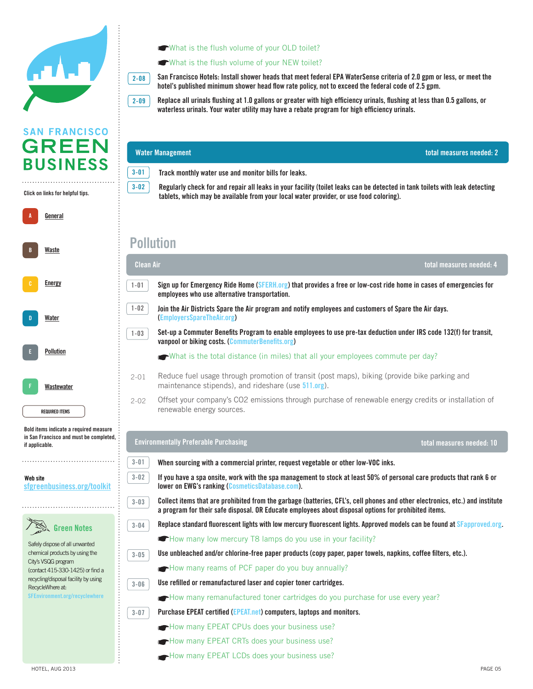

**2-08**

### **SAN FRANCISCO GREEN BUSINESS**

### Click on links for helpful tips. **Click on links for helpful tips.**

| A | General               |
|---|-----------------------|
| B | Waste                 |
| c | <b>Energy</b>         |
| D | Water                 |
| E | <b>Pollution</b>      |
| F | Wastewater            |
|   | <b>REQUIRED ITEMS</b> |

Bold items indicate **Bold items indicate a required measure**  a required measure in September 11 in San Francisco and must be completed, if applicable. **if applicable.** 

#### Website **Web site** sfgreenbusiness.org/toolkit **[sfgreenbusiness.org/toolkit](http://sfgreenbusiness.org/toolkit)**



Safely dispose of all unwanted chemical products by using the and to learn about the cost savings City's VSQG program  $\frac{1}{3}$  contact 415-330-1425) or find a recycling/disposal facility by using RecycleWhere at: **[SFEnvironment.org/recyclewhere](http://SFEnvironment.org/recyclewhere)** 

### Office/Retail What is the flush volume of your OLD toilet?

#### What is the flush volume of your NEW toilet?

hotel's published minimum shower head flow rate policy, not to exceed the federal code of 2.5 gpm. **San Francisco Hotels: Install shower heads that meet federal EPA WaterSense criteria of 2.0 gpm or less, or meet the** 

Replace all urinals flushing at 1.0 gallons or greater with high efficiency urinals, flushing at less than 0.5 gallons, or prove the checklist is for your review of the check limit of the enroller in the enrollowing the enrollowing the enrollowing the enrollowing form and checklist at the enrollowing and checklist at the enrollowing at the enr waterless urinals. Your water utility may have a rebate program for high efficiency urinals.<br> **2-09**

#### $\sigma$  This hand is hand indicates that you will need to provide a ditional information so we can compute the environmental information so we can compute the environmental information so we can compute the environmental inf **Water Management** savings of  $\zeta$  and  $\zeta$  and  $\zeta$  and  $\zeta$  and  $\zeta$  and  $\zeta$  and  $\zeta$  and  $\zeta$  and  $\zeta$  and  $\zeta$  and  $\zeta$ **total measures needed: 2 3-01 Track monthly water use and monitor bills for leaks. 3-02 Regularly check for and repair all leaks in your facility (toilet leaks can be detected in tank toilets with leak detecting**  tablets, which may be available from your local water provider, or use food coloring). **Pollution** A-01 Divert all compostable and recyclable materials from landfill to demonstrate compliance with San Francisco's Mandatory Composting and Recycling Ordinance (www.sfenvironment.org/mandatory). ☛Do you pay your own garbage bill (yes or no)? If yes, please provide the level of service you recieve **total measures needed: 4 Clean Air**  $\mathcal{L}(\mathcal{L})$  (number of bins, capacity, pickup frequency), pickup frequency),  $\mathcal{L}(\mathcal{L})$ Sign up for Emergency Ride Home (S<mark>FERH.org</mark>) that provides a free or low-cost ride home in cases of emergencies for **1-01** employees who use alternative transportation. **1-02**  $1-02$  Join the Air Districts Spare the Air program and notify employees and customers of Spare the Air days. and conducting ongoing education. **([EmployersSpareTheAir.org\)](http://employerssparetheair.org) Set-up a Commuter Benefits Program to enable employees to use pre-tax deduction under IRS code 132(f) for transit, 1-03 share Communist measures needed:**  $\mathbf{CommuterBenefits.org}$  $\mathbf{CommuterBenefits.org}$  $\mathbf{CommuterBenefits.org}$ What is the total distance (in miles) that all your employees commute per day? A-03 Keep a stack of previously used paper near printers. Use it for script paper or internal memory into the memory into the state it in the state it is into the state it in the state it is into the state it in the state Reduce fuel usage through promotion of transit (post maps), biking (provide bike parking and 2-01 maintenance stipends), and rideshare (use [511.org](http://511.org)). Offset your company's CO2 emissions through purchase of renewable energy credits or installation of 2-02 renewable energy sources. Use paper bags containing a minimum of 40% poster receptions and 40% posteriors recep A-06 In the employee cafeteria, kitchen or break room, replace disposables with permanent dishware and use bulk items (snacks, condiments, salt/pepper, etc.). **Environmentally Preferable Purchasing total measures needed: 10 3-01** 3-01 **When sourcing with a commercial printer, request vegetable or other low-VOC inks. 3-02** 3-02 **If you have a spa onsite, work with the spa management to stock at least 50% of personal care products that rank 6 or lower on EWG's ranking ([CosmeticsDatabase.com](http://cosmeticsdatabase.com)).**  $\overline{3-03}$  Collect items that are prohibited from the garbage (batteries, CFL's, cell phones and other electronics, etc.) and institute **3-03 a program for their safe disposal. OR Educate employees about disposal options for prohibited items.**<br>a program for their safe disposal. OR Educate employees about disposal options for prohibited items. **Replace standard fluorescent lights with low mercury fluorescent lights. Approved models can be found at** *SF***[approved.org](http://SFapproved.org). 3-04 •How many low mercury T8 lamps do you use in your facility?**  $3-05$  Use unbleached and/or chlorine-free paper products (copy paper, paper towels, napkins, coffee filters, etc.). **3-05** How many reams of PCF paper do you buy annually? **B**  $\overline{3-06}$  **Use refilled or remanufactured laser and copier toner cartridges. 3-06** recyclable/compostable options and have composting/recycling collection easily accessible. How many remanufactured toner cartridges do you purchase for use every year? free technical assistance perfection assistance perfection  $\mathbf{r}$ a-14 Reduce number of trash/composition bins. If lines by reusing unline distribution bins. If  $\alpha$ Purchase EPEAT certified (**EPEAT.net**) computers, laptops and monitors. **3-07 A-How many EPEAT CPUs does your business use? A-16 Retailers - offer an increase muss, containers who business use?** Allow many EPEAT CRTs does your business use? How many EPEAT LCDs does your business use?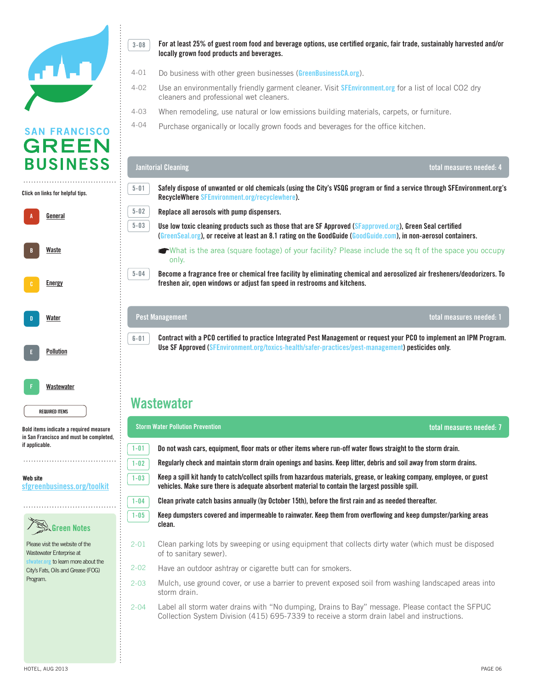

### Click on links for helpful tips. **Click on links for helpful tips.**



Bold items indicate **Bold items indicate a required measure**  a required measured measured measured measured measured measured measured measured measured measured measured and must be completed, **in San Francisco and must be completed,**  if applicable. **if applicable.** 

Website **Web site** sfgreenbusiness.org/toolkit **[sfgreenbusiness.org/toolkit](http://sfgreenbusiness.org/toolkit)**



Please visit the website of the successful was also constant to the constant of the constant of the constant of the constant of the constant of the constant of the constant of the constant of the constant of the constant of the constant of the constant o **[sfwater.org](http://sfwater.org)** to learn more about the achieved the through waste diversion, the contract of the second through waste diversion, the contract of the contract of the contract of the contract of the contract of the contract of the contract of the contract of the City's Fats, Oils and Grease (FOG)<br>also call SF Environment's Zero call SF Environment's Zero call SF Environment's Zero call SF Environment and Program.

For at least 25% of guest room food and beverage options, use certified organic, fair trade, sustainably harvested and/or<br>locally grown food products and beverages. **locally grown food products and beverages. 3-08**

- Do business with other green businesses (**[GreenBusinessCA.org](http://greenbusinessca.org)**). 4-01
- 4-02 Use an environmentally friendly garment cleaner. Visit [SFEnvironment.org](http://SFEnvironment.org) for a list of local CO2 dry cleaners and professional wet cleaners. 4-02
- ❷ This checklist is for your review only. When you are ready to apply, please submit the enrollment form and checklist at When remodeling, use natural or low emissions building materials, carpets, or furniture. 4-03
- Purchase organically or locally grown foods and beverages for the office kitchen. practices customized for your business. 4-04

#### REQUIRED ITEM Bold items indicate a required measure in SF and must be completed, if applicable. **total measures needed: 4 RecycleWhere [SFEnvironment.org/recyclewhere\)](http://SFEnvironment.org/recyclewhere).**  $\bar{a}$  Use low toxic cleaning products such as those that are SF Approved (SFa[pproved.org](http://sfapproved.org)), Green Seal certified A-01 Divert all compostable and recyclable materials from landfill to demonstrate compliance with San Francisco's What is the area (square footage) of your facility? Please include the sq ft of the space you occupy **Janitorial Cleaning Safely dispose of unwanted or old chemicals (using the City's VSQG program or find a service through [SFEnvironment.org'](http://SFEnvironment.org)s Replace all aerosols with pump dispensers. (G[reenSeal.org\)](http://greenseal.org), or receive at least an 8.1 rating on the GoodGuide ([GoodGuide.com\)](http://goodguide.com), in non-aerosol containers.**  only. **5-01 5-02 5-03**

 $\mathcal{O}$  pay you pay you recieve bill (yes or no)? If  $\mathcal{O}$  if  $\mathcal{O}$  if  $\mathcal{O}$  if  $\mathcal{O}$  if  $\mathcal{O}$  if  $\mathcal{O}$  if  $\mathcal{O}$  if  $\mathcal{O}$  if  $\mathcal{O}$  if  $\mathcal{O}$  if  $\mathcal{O}$  if  $\mathcal{O}$  if  $\mathcal{O}$  if  $\mathcal{O}$  if Become a fragrance free or chemical free facility by eliminating chemical and aerosolized air fresheners/deodorizers. To **Freshen air, open windows or adjust fan speed in restrooms and kitchens.**<br>freshen air, open windows or adjust fan speed in restrooms and kitchens.

A-02 Designation a recycling coordinator (s) to take responsibility for monitoring  $\alpha$  maintaining proper waste diversion of  $\alpha$ 

### and conducting ongoing education. **Pest Management**

**5-04**

**6-01**

Fig. 1  $\,$  Contract with a PCO certified to practice Integrated Pest Management or request your PCO to implement an IPM Program. **Use SF Approved ([SFEnvironment.org/toxics-health/safer-practices/pest-management](http://SFEnvironment.org/toxics-health/safer-practices/pest-management)) pesticides only.** 

#### duplex printing). Make single-sided the exception instead of the rule. **Wastewater**

| sure<br>leted, |          | <b>Storm Water Pollution Prevention</b><br>total measures needed: 7                                                                                                                                                        |  |  |  |
|----------------|----------|----------------------------------------------------------------------------------------------------------------------------------------------------------------------------------------------------------------------------|--|--|--|
|                | $1 - 01$ | Do not wash cars, equipment, floor mats or other items where run-off water flows straight to the storm drain.                                                                                                              |  |  |  |
|                | $1 - 02$ | Regularly check and maintain storm drain openings and basins. Keep litter, debris and soil away from storm drains.                                                                                                         |  |  |  |
| <u>kit</u>     | $1 - 03$ | Keep a spill kit handy to catch/collect spills from hazardous materials, grease, or leaking company, employee, or guest<br>vehicles. Make sure there is adequate absorbent material to contain the largest possible spill. |  |  |  |
|                | $1 - 04$ | Clean private catch basins annually (by October 15th), before the first rain and as needed thereafter.                                                                                                                     |  |  |  |
|                | $1 - 05$ | Keep dumpsters covered and impermeable to rainwater. Keep them from overflowing and keep dumpster/parking areas<br>clean.                                                                                                  |  |  |  |
|                | $2 - 01$ | Clean parking lots by sweeping or using equipment that collects dirty water (which must be disposed<br>of to sanitary sewer).                                                                                              |  |  |  |
| è              | $2 - 02$ | Have an outdoor ashtray or cigarette butt can for smokers.                                                                                                                                                                 |  |  |  |
|                | $2 - 03$ | Mulch, use ground cover, or use a barrier to prevent exposed soil from washing landscaped areas into<br>storm drain.                                                                                                       |  |  |  |
|                | $2 - 04$ | Label all storm water drains with "No dumping, Drains to Bay" message. Please contact the SFPUC<br>Collection System Division (415) 695-7339 to receive a storm drain label and instructions.                              |  |  |  |
|                |          |                                                                                                                                                                                                                            |  |  |  |

**total measures needed: 1**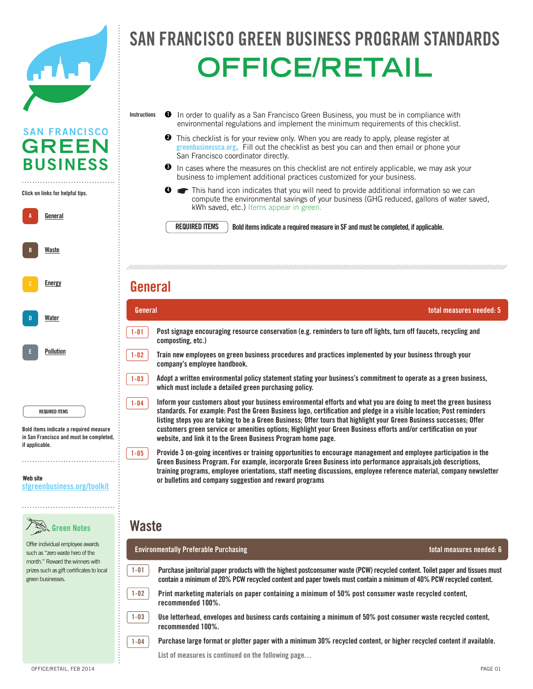| $\blacksquare$ |  |  |
|----------------|--|--|
|                |  |  |
|                |  |  |

A **General** 

**A**

**B**

B Energy Conservation

**[Energy](http://sfgreenbusiness.org/green-your-business/toolkit/energy-conservation-guide/)**

**[Waste](http://sfgreenbusiness.org/green-your-business/toolkit/recycling-waste-reduction-guide/)**

Click on links for helpful tips. **Click on links for helpful tips.**

### FRANCISCO GREEN BUSINESS PROGRAM STANDA officers and the second control of the second second control of the second second second second second second <br>Property and the second second second second second second second second second second second second second se SAN FRANCISCO GREEN BUSINESS PROGRAM STANDAR **OFFICE/RETAIL**

- In order to qualify as a San Francisco Green Business, you must be in compliance with environmental regulations and implement the minimum requirements of this checklist. **Instructions 1**
	- **2** This checklist is for your review only. When you are ready to apply, please register at This checklist is for your review only. When you are ready to apply, please register at greenbusiness ca.org. Fill out the checklist as best you can and then email or phone your San Francisco coordinator directly.
	- $\bullet$  In cases where the measures on this checklist are not entirely applicable, we may ask your business to implement additional practices customized for your business.

☛Do you pay your own garbage bill (yes or no)? If yes, please provide the level of service you recieve

Solid Waste This hand icon indicates that you will need to provide additional information so we can compute the environmental savings of your business (GHG reduced, gallons of water saved, kWh saved, etc.) Items appear in green. **4**

**REQUIRED ITEMS**

**REQUIRED ITEMS** Bold items indicate a required measure in SF and must be completed, if applicable.

#### $\mathsf{H}$  many employees does  $\mathsf{H}$  and the certified location? (Leave blank if already entered for already entered for already entered for already entered for already entered for already entered for already entered for previous measure.) **General**

| Water                                                           | General  | total measures needed: 5                                                                                                                                                                                                                                                                                                                                                                                                                                                              |
|-----------------------------------------------------------------|----------|---------------------------------------------------------------------------------------------------------------------------------------------------------------------------------------------------------------------------------------------------------------------------------------------------------------------------------------------------------------------------------------------------------------------------------------------------------------------------------------|
|                                                                 | 1-01     | Post signage encouraging resource conservation (e.g. reminders to turn off lights, turn off faucets, recycling and<br>composting, etc.)                                                                                                                                                                                                                                                                                                                                               |
| <b>Pollution</b>                                                | $1 - 02$ | Train new employees on green business procedures and practices implemented by your business through your<br>company's employee handbook.                                                                                                                                                                                                                                                                                                                                              |
|                                                                 | $1 - 03$ | Adopt a written environmental policy statement stating your business's commitment to operate as a green business,<br>which must include a detailed green purchasing policy.                                                                                                                                                                                                                                                                                                           |
| <b>REQUIRED ITEMS</b><br>Bold items indicate a required measure | $1 - 04$ | Inform your customers about your business environmental efforts and what you are doing to meet the green business<br>standards. For example: Post the Green Business logo, certification and pledge in a visible location; Post reminders<br>listing steps you are taking to be a Green Business; Offer tours that highlight your Green Business successes; Offer<br>customers green service or amenities options; Highlight your Green Business efforts and/or certification on your |

a required measure in SF **in San Francisco and must be completed,**  m can rrancisco ana mast so co<br>if conlineble if applicable. **if applicable.** 

Website **Web site** sfgreenbusiness.org/toolkit **[sfgreenbusiness.org/toolkit](http://sfgreenbusiness.org/toolkit)**



Offer individual employee awards  $s$ uch as "zero waste hero of the month." Reward the winners with mand was the minimal was considered. visit www.recologysf.com. You can also call Sero call Sero call Sero call Sero call Sero call Sero call Sero call Sero call Sero call Sero call<br>Sero call Sero call Sero call Sero call Sero call Sero call Sero call Sero call Sero call Sero call Sero call

website, and link it to the Green Business Program home page. Provide 3 on-going incentives or training opportunities to encourage management and employee participation in the **Green Business Program. For example, incorporate Green Business into performance appraisals,job descriptions,** or bulletins and company suggestion and reward programs **training programs, employee orientations, staff meeting discussions, employee reference material, company newsletter** 

### a-10 Send and receive faxes directly from computers without printing. **Waste**

**1-04**

**1-05**

etc.) to reduce printed copies. contain a minimum of 20% PCW recycled content and paper towels must contain a minimum of 40% PCW recycled content. **Purchase janitorial paper products with the highest postconsumer waste (PCW) recycled content. Toilet paper and tissues must 1-01 1-02**

a-12 Centralize employee schedules, meeting and journals in a single location (bulletin board, whiteboard, whiteboard, whiteboard, whiteboard, email, email, email, email, email, email, email, email, email, email, email, em

Print marketing materials on paper containing a minimum of 50% post consumer waste recycled content, **recommended 100%.** *recommended 100%***.** *recommended bins, use BPI*  $\alpha$  *BPI*  $\alpha$  *BPI*  $\alpha$  *BPI*  $\alpha$  *BPI*  $\alpha$  *BPI*  $\alpha$  *BPI*  $\alpha$  *BPI*  $\alpha$  *BPI*  $\alpha$  *BPI*  $\alpha$  *BPI*  $\alpha$  *BPI*  $\alpha$  *BPI*  $\alpha$  *BPI*  $\alpha$  *BPI*  $\alpha$  *BPI*  $\alpha$  *BPI*  $\alpha$  *BPI* 

Use letterhead, envelopes and business cards containing a minimum of 50% post consumer waste recycled content, **recommended 100%. 1-03**

 $1-04$  Purchase large format or plotter paper with a minimum 30% recycled content, or higher recycled content if available.

List of measures is continued on the following page...

a-11 Reuse paper or plastic packaging materials in your own shipments.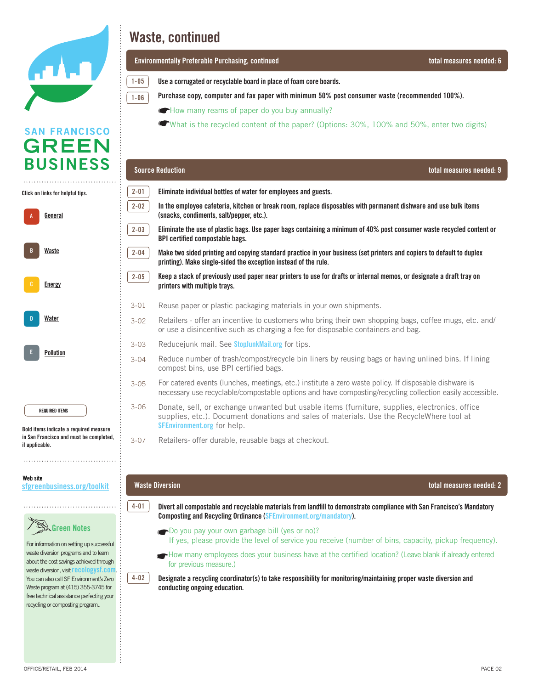

## **San Francisco Green Business Program Standards Program Standards Program Standards**

**1-06**

officers and the contract of the contract of the contract of the contract of the contract of the contract of t<br>Contract of the contract of the contract of the contract of the contract of the contract of the contract of th **Environmentally Preferable Purchasing, continued total measures needed: 6**

**inclust 2** In our order to a San Francisco Green Business, you with environmental regulations and regulations a<br>**1**-05 Juse a corrugated or recyclable board in place of foam core boards. **1-05**

Purchase copy, computer and fax paper with minimum 50% post consumer waste (recommended 100%).

 $\Theta$  The checklist is for your review only. When you are ready to apply, please submit the enroller  $\alpha$ How many reams of paper do you buy annually?

What is the recycled content of the paper? (Options: 30%, 100% and 50%, enter two digits)

| <b>BUSINESS</b>                                                                                                             |          | <b>Source Reduction</b>                                                                                                                                                                                                         | total measures needed: 9 |
|-----------------------------------------------------------------------------------------------------------------------------|----------|---------------------------------------------------------------------------------------------------------------------------------------------------------------------------------------------------------------------------------|--------------------------|
| Click on links for helpful tips.                                                                                            | $2 - 01$ | Eliminate individual bottles of water for employees and guests.                                                                                                                                                                 |                          |
| General                                                                                                                     | $2 - 02$ | In the employee cafeteria, kitchen or break room, replace disposables with permanent dishware and use bulk items<br>(snacks, condiments, salt/pepper, etc.).                                                                    |                          |
|                                                                                                                             | $2 - 03$ | Eliminate the use of plastic bags. Use paper bags containing a minimum of 40% post consumer waste recycled content or<br><b>BPI certified compostable bags.</b>                                                                 |                          |
| <b>Waste</b>                                                                                                                | $2 - 04$ | Make two sided printing and copying standard practice in your business (set printers and copiers to default to duplex<br>printing). Make single-sided the exception instead of the rule.                                        |                          |
| <b>Energy</b>                                                                                                               | $2 - 05$ | Keep a stack of previously used paper near printers to use for drafts or internal memos, or designate a draft tray on<br>printers with multiple trays.                                                                          |                          |
|                                                                                                                             | $3 - 01$ | Reuse paper or plastic packaging materials in your own shipments.                                                                                                                                                               |                          |
| <u>Water</u>                                                                                                                | $3 - 02$ | Retailers - offer an incentive to customers who bring their own shopping bags, coffee mugs, etc. and/<br>or use a disincentive such as charging a fee for disposable containers and bag.                                        |                          |
|                                                                                                                             | $3 - 03$ | Reducejunk mail. See StoplunkMail.org for tips.                                                                                                                                                                                 |                          |
| Pollution                                                                                                                   | $3 - 04$ | Reduce number of trash/compost/recycle bin liners by reusing bags or having unlined bins. If lining<br>compost bins, use BPI certified bags.                                                                                    |                          |
|                                                                                                                             | $3 - 05$ | For catered events (lunches, meetings, etc.) institute a zero waste policy. If disposable dishware is<br>necessary use recyclable/compostable options and have composting/recycling collection easily accessible.               |                          |
| <b>REQUIRED ITEMS</b><br>Bold items indicate a required measure                                                             | $3 - 06$ | Donate, sell, or exchange unwanted but usable items (furniture, supplies, electronics, office<br>supplies, etc.). Document donations and sales of materials. Use the RecycleWhere tool at<br><b>SFEnvironment.org</b> for help. |                          |
| in San Francisco and must be completed,<br>if applicable.                                                                   | $3 - 07$ | Retailers- offer durable, reusable bags at checkout.                                                                                                                                                                            |                          |
|                                                                                                                             |          |                                                                                                                                                                                                                                 |                          |
| Web site<br>sfgreenbusiness.org/toolkit                                                                                     |          | <b>Waste Diversion</b>                                                                                                                                                                                                          | total measures needed: 2 |
|                                                                                                                             | $4 - 01$ | Divert all compostable and recyclable materials from landfill to demonstrate compliance with San Francisco's Mandatory<br>Composting and Recycling Ordinance (SFEnvironment.org/mandatory).                                     |                          |
| <b>Green Notes</b><br>For information on setting up successful                                                              |          | Do you pay your own garbage bill (yes or no)?<br>If yes, please provide the level of service you receive (number of bins, capacity, pickup frequency).                                                                          |                          |
| waste diversion programs and to learn<br>about the cost savings achieved through<br>waste diversion, visit recologysf.com   |          | How many employees does your business have at the certified location? (Leave blank if already entered<br>for previous measure.)                                                                                                 |                          |
| You can also call SF Environment's Zero<br>Waste program at (415) 355-3745 for<br>free technical assistance perfecting your | $4 - 02$ | Designate a recycling coordinator(s) to take responsibility for monitoring/maintaining proper waste diversion and<br>conducting ongoing education.                                                                              |                          |

### **SAN FRANCISCO GREEN BUSIN**

OFFICE/RETAIL, FEB 2014 PAGE 02 PAGE 1 PAGE 202

recycling or composting program..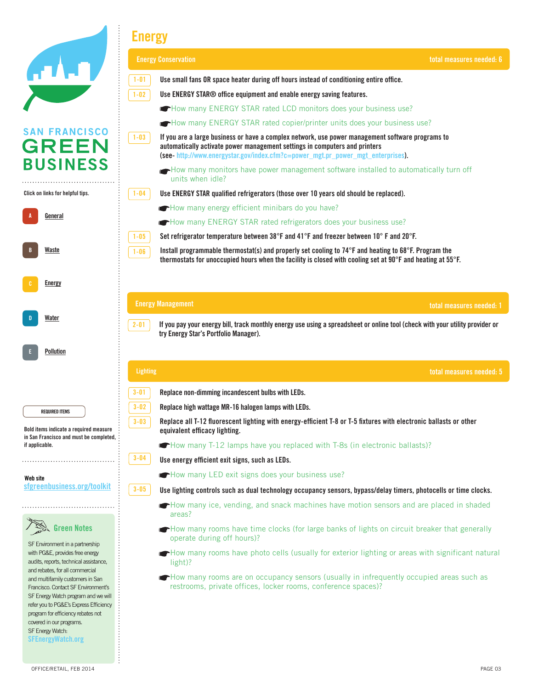|                                                                                                              | <b>Energy</b>                                                                                                                                                                                                                                                                 |  |
|--------------------------------------------------------------------------------------------------------------|-------------------------------------------------------------------------------------------------------------------------------------------------------------------------------------------------------------------------------------------------------------------------------|--|
|                                                                                                              | <b>Energy Conservation</b><br>total measures needed: 6                                                                                                                                                                                                                        |  |
|                                                                                                              | $1 - 01$<br>Use small fans OR space heater during off hours instead of conditioning entire office.                                                                                                                                                                            |  |
|                                                                                                              | $1 - 02$<br>Use ENERGY STAR® office equipment and enable energy saving features.                                                                                                                                                                                              |  |
|                                                                                                              | How many ENERGY STAR rated LCD monitors does your business use?                                                                                                                                                                                                               |  |
|                                                                                                              | How many ENERGY STAR rated copier/printer units does your business use?                                                                                                                                                                                                       |  |
| <b>SAN FRANCISCO</b><br><b>GREEN</b>                                                                         | $1 - 03$<br>If you are a large business or have a complex network, use power management software programs to<br>automatically activate power management settings in computers and printers<br>(see-http://www.energystar.gov/index.cfm?c=power_mgt.pr_power_mgt_enterprises). |  |
| <b>BUSINESS</b>                                                                                              | How many monitors have power management software installed to automatically turn off<br>units when idle?                                                                                                                                                                      |  |
| Click on links for helpful tips.                                                                             | Use ENERGY STAR qualified refrigerators (those over 10 years old should be replaced).<br>$1 - 04$                                                                                                                                                                             |  |
|                                                                                                              | How many energy efficient minibars do you have?                                                                                                                                                                                                                               |  |
| <u>General</u>                                                                                               | How many ENERGY STAR rated refrigerators does your business use?                                                                                                                                                                                                              |  |
|                                                                                                              | Set refrigerator temperature between 38°F and 41°F and freezer between 10°F and 20°F.<br>$1 - 05$                                                                                                                                                                             |  |
| Waste                                                                                                        | Install programmable thermostat(s) and properly set cooling to 74°F and heating to 68°F. Program the<br>$1 - 06$<br>thermostats for unoccupied hours when the facility is closed with cooling set at 90°F and heating at 55°F.                                                |  |
| Energy                                                                                                       |                                                                                                                                                                                                                                                                               |  |
|                                                                                                              | <b>Energy Management</b><br>total measures needed: 1                                                                                                                                                                                                                          |  |
| Water                                                                                                        | If you pay your energy bill, track monthly energy use using a spreadsheet or online tool (check with your utility provider or<br>$2 - 01$<br>try Energy Star's Portfolio Manager).                                                                                            |  |
| Pollution                                                                                                    |                                                                                                                                                                                                                                                                               |  |
|                                                                                                              | <b>Lighting</b><br>total measures needed: 5                                                                                                                                                                                                                                   |  |
|                                                                                                              | $3 - 01$<br>Replace non-dimming incandescent bulbs with LEDs.                                                                                                                                                                                                                 |  |
|                                                                                                              | $3 - 02$<br>Replace high wattage MR-16 halogen lamps with LEDs.                                                                                                                                                                                                               |  |
| <b>REQUIRED ITEMS</b>                                                                                        |                                                                                                                                                                                                                                                                               |  |
| Bold items indicate a required measure                                                                       | Replace all T-12 fluorescent lighting with energy-efficient T-8 or T-5 fixtures with electronic ballasts or other<br>$3 - 03$<br>equivalent efficacy lighting.                                                                                                                |  |
| in San Francisco and must be completed,<br>if applicable.                                                    | • How many T-12 lamps have you replaced with T-8s (in electronic ballasts)?                                                                                                                                                                                                   |  |
|                                                                                                              | $3 - 04$<br>Use energy efficient exit signs, such as LEDs.                                                                                                                                                                                                                    |  |
|                                                                                                              | How many LED exit signs does your business use?                                                                                                                                                                                                                               |  |
| Web site<br>sfgreenbusiness.org/toolkit                                                                      | $3 - 05$<br>Use lighting controls such as dual technology occupancy sensors, bypass/delay timers, photocells or time clocks.                                                                                                                                                  |  |
|                                                                                                              | How many ice, vending, and snack machines have motion sensors and are placed in shaded<br>areas?                                                                                                                                                                              |  |
| <b>Green Notes</b>                                                                                           | How many rooms have time clocks (for large banks of lights on circuit breaker that generally<br>operate during off hours)?                                                                                                                                                    |  |
| SF Environment in a partnership<br>with PG&E, provides free energy<br>audits, reports, technical assistance, | How many rooms have photo cells (usually for exterior lighting or areas with significant natural<br>light)?                                                                                                                                                                   |  |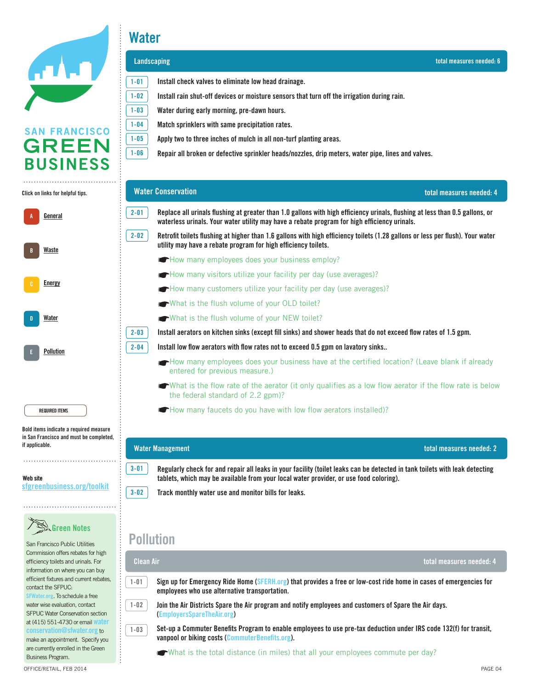

### **Water**

|                                                                         | Landscaping                                                                                                                                                                                                                              | total measures needed: 6 |
|-------------------------------------------------------------------------|------------------------------------------------------------------------------------------------------------------------------------------------------------------------------------------------------------------------------------------|--------------------------|
|                                                                         | $1 - 01$<br>Install check valves to eliminate low head drainage.                                                                                                                                                                         |                          |
|                                                                         | Install rain shut-off devices or moisture sensors that turn off the irrigation during rain.<br>$1 - 02$                                                                                                                                  |                          |
|                                                                         | $1 - 03$<br>Water during early morning, pre-dawn hours.                                                                                                                                                                                  |                          |
|                                                                         | $1 - 04$<br>Match sprinklers with same precipitation rates.                                                                                                                                                                              |                          |
| <b>SAN FRANCISCO</b>                                                    | Apply two to three inches of mulch in all non-turf planting areas.<br>$1 - 05$                                                                                                                                                           |                          |
| <b>GREEN</b>                                                            | $1 - 06$<br>Repair all broken or defective sprinkler heads/nozzles, drip meters, water pipe, lines and valves.                                                                                                                           |                          |
| <b>BUSINESS</b>                                                         |                                                                                                                                                                                                                                          |                          |
| Click on links for helpful tips.                                        | <b>Water Conservation</b>                                                                                                                                                                                                                | total measures needed: 4 |
| General                                                                 | $2 - 01$<br>Replace all urinals flushing at greater than 1.0 gallons with high efficiency urinals, flushing at less than 0.5 gallons, or<br>waterless urinals. Your water utility may have a rebate program for high efficiency urinals. |                          |
| Waste                                                                   | $2 - 02$<br>Retrofit toilets flushing at higher than 1.6 gallons with high efficiency toilets (1.28 gallons or less per flush). Your water<br>utility may have a rebate program for high efficiency toilets.                             |                          |
|                                                                         | How many employees does your business employ?                                                                                                                                                                                            |                          |
|                                                                         | How many visitors utilize your facility per day (use averages)?                                                                                                                                                                          |                          |
| <b>Energy</b>                                                           | How many customers utilize your facility per day (use averages)?                                                                                                                                                                         |                          |
|                                                                         | What is the flush volume of your OLD toilet?                                                                                                                                                                                             |                          |
| Water                                                                   | What is the flush volume of your NEW toilet?                                                                                                                                                                                             |                          |
|                                                                         | $2 - 03$<br>Install aerators on kitchen sinks (except fill sinks) and shower heads that do not exceed flow rates of 1.5 gpm.                                                                                                             |                          |
| Pollution                                                               | Install low flow aerators with flow rates not to exceed 0.5 gpm on lavatory sinks<br>$2 - 04$                                                                                                                                            |                          |
|                                                                         | How many employees does your business have at the certified location? (Leave blank if already<br>entered for previous measure.)                                                                                                          |                          |
|                                                                         | What is the flow rate of the aerator (it only qualifies as a low flow aerator if the flow rate is below<br>the federal standard of 2.2 gpm)?                                                                                             |                          |
| <b>REQUIRED ITEMS</b>                                                   | How many faucets do you have with low flow aerators installed)?                                                                                                                                                                          |                          |
| Bold items indicate a required measure                                  |                                                                                                                                                                                                                                          |                          |
| in San Francisco and must be completed,<br>if applicable.               |                                                                                                                                                                                                                                          |                          |
|                                                                         | <b>Water Management</b>                                                                                                                                                                                                                  | total measures needed: 2 |
| Web site                                                                | $3 - 01$<br>Regularly check for and repair all leaks in your facility (toilet leaks can be detected in tank toilets with leak detecting<br>tablets, which may be available from your local water provider, or use food coloring).        |                          |
| sfgreenbusiness.org/toolkit                                             | $3 - 02$<br>Track monthly water use and monitor bills for leaks.                                                                                                                                                                         |                          |
|                                                                         |                                                                                                                                                                                                                                          |                          |
| <b>Green Notes</b>                                                      |                                                                                                                                                                                                                                          |                          |
| San Francisco Public Utilities                                          | <b>Pollution</b>                                                                                                                                                                                                                         |                          |
| Commission offers rebates for high                                      |                                                                                                                                                                                                                                          |                          |
| efficiency toilets and urinals. For<br>information on where you can buy | Clean Air                                                                                                                                                                                                                                | total measures needed: 4 |

 $\overline{{\tt [-01]}}$  Sign up for Emergency Ride Home ([SFERH.org](http://sferh.org)) that provides a free or low-cost ride home in cases of emergencies for recyclable/compostable options and have composting/recycling collection easily accessible. **employees who use alternative transportation. 1-01**

 $1$ -02  $\parallel$  Join the Air Districts Spare the Air program and notify employees and customers of Spare the Air days. certified bags. **([EmployersSpareTheAir.org](http://employerssparetheair.org)) 1-02**

 $_{\rm I-03}$   $\,$  Set-up a Commuter Benefits Program to enable employees to use pre-tax deduction under IRS code 132(f) for transit, **vanpool or biking costs ([CommuterBenefits.org](http://www.CommuterBenefits.org)).**

What is the total distance (in miles) that all your employees commute per day?

Business Program.

emerent meaned and dament real<br>contact the SFPUC: **[SFWater.org](http://sfwater.org). To schedule a free** of materials assessed as a media assistance perfection. mater mee enalidation, compact program. at (415) 551-4730 or email **[water](mailto:waterconservation@sfwater.org)** 

**[conservation@sfwater.org](mailto:waterconservation@sfwater.org)** to make an appointment. Specify you are currently enrolled in the Green

**1-03**

efficient fixtures and current rebates,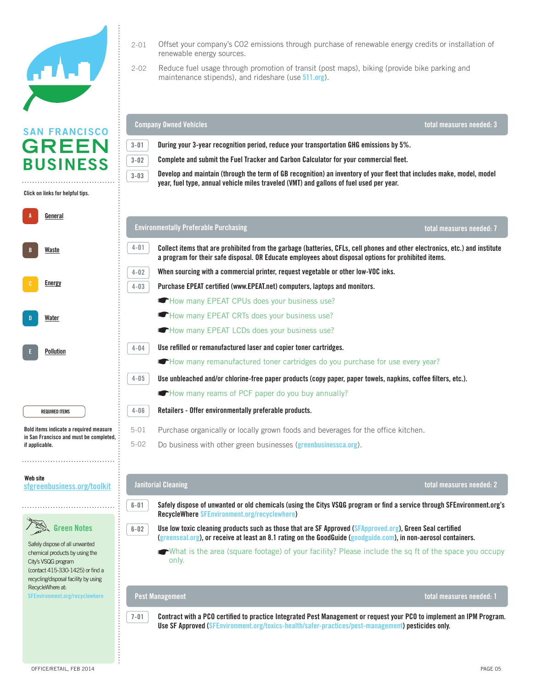

# **SAN FRANCISCO**  $\overline{1}$

Offset your company's CO2 emissions through purchase of renewable energy credits or installation of<br>renewable energy sources. renewable energy sources. 2-01

whed Vehicles **where the measures where the measures on this checklist are not entirely applicable, a** total measures needed: 3

Reduce fuel usage through promotion of transit (post maps), biking (provide bike parking and maintenance stipends), and rideshare (use **[511.org](http://www.511.org)**). 2-02

ww.greenbusinessca.org and remember to save your work regularly. The save your work regularly in the save your

**Company Owned Vehicles**

| SAN FRANCISCO                                                                             |                                                                                                    |                                                                                                                                                                                                                                     |                          |  |
|-------------------------------------------------------------------------------------------|----------------------------------------------------------------------------------------------------|-------------------------------------------------------------------------------------------------------------------------------------------------------------------------------------------------------------------------------------|--------------------------|--|
| <b>GREEN</b>                                                                              | During your 3-year recognition period, reduce your transportation GHG emissions by 5%.<br>$3 - 01$ |                                                                                                                                                                                                                                     |                          |  |
| <b>BUSINESS</b>                                                                           | $3 - 02$                                                                                           | Complete and submit the Fuel Tracker and Carbon Calculator for your commercial fleet.                                                                                                                                               |                          |  |
|                                                                                           | $3 - 03$                                                                                           | Develop and maintain (through the term of GB recognition) an inventory of your fleet that includes make, model, model                                                                                                               |                          |  |
| Click on links for helpful tips.                                                          |                                                                                                    | year, fuel type, annual vehicle miles traveled (VMT) and gallons of fuel used per year.                                                                                                                                             |                          |  |
|                                                                                           |                                                                                                    |                                                                                                                                                                                                                                     |                          |  |
| <u>General</u>                                                                            |                                                                                                    | <b>Environmentally Preferable Purchasing</b>                                                                                                                                                                                        | total measures needed: 7 |  |
| Waste                                                                                     | 4-01                                                                                               | Collect items that are prohibited from the garbage (batteries, CFLs, cell phones and other electronics, etc.) and institute<br>a program for their safe disposal. OR Educate employees about disposal options for prohibited items. |                          |  |
|                                                                                           | $4 - 02$                                                                                           | When sourcing with a commercial printer, request vegetable or other low-VOC inks.                                                                                                                                                   |                          |  |
| <b>Energy</b>                                                                             | $4 - 03$                                                                                           | Purchase EPEAT certified (www.EPEAT.net) computers, laptops and monitors.                                                                                                                                                           |                          |  |
|                                                                                           |                                                                                                    | How many EPEAT CPUs does your business use?                                                                                                                                                                                         |                          |  |
| Water                                                                                     |                                                                                                    | How many EPEAT CRTs does your business use?                                                                                                                                                                                         |                          |  |
|                                                                                           |                                                                                                    | How many EPEAT LCDs does your business use?                                                                                                                                                                                         |                          |  |
| <b>Pollution</b>                                                                          | 4-04                                                                                               | Use refilled or remanufactured laser and copier toner cartridges.                                                                                                                                                                   |                          |  |
|                                                                                           |                                                                                                    | <b>C</b> How many remanufactured toner cartridges do you purchase for use every year?                                                                                                                                               |                          |  |
|                                                                                           | 4-05                                                                                               | Use unbleached and/or chlorine-free paper products (copy paper, paper towels, napkins, coffee filters, etc.).                                                                                                                       |                          |  |
|                                                                                           |                                                                                                    | How many reams of PCF paper do you buy annually?                                                                                                                                                                                    |                          |  |
| <b>REQUIRED ITEMS</b>                                                                     | $4 - 06$                                                                                           | Retailers - Offer environmentally preferable products.                                                                                                                                                                              |                          |  |
| Bold items indicate a required measure                                                    | $5 - 01$                                                                                           | Purchase organically or locally grown foods and beverages for the office kitchen.                                                                                                                                                   |                          |  |
| in San Francisco and must be completed,<br>if applicable.                                 | $5 - 02$                                                                                           | Do business with other green businesses (greenbusinessca.org).                                                                                                                                                                      |                          |  |
|                                                                                           |                                                                                                    |                                                                                                                                                                                                                                     |                          |  |
| Web site                                                                                  |                                                                                                    |                                                                                                                                                                                                                                     |                          |  |
| sfgreenbusiness.org/toolkit                                                               |                                                                                                    | <b>Janitorial Cleaning</b>                                                                                                                                                                                                          | total measures needed: 2 |  |
|                                                                                           | $6 - 01$                                                                                           | Safely dispose of unwanted or old chemicals (using the Citys VSQG program or find a service through SFEnvironment.org's<br>RecycleWhere SFEnvironment.org/recyclewhere)                                                             |                          |  |
| $\infty$<br>$\sqrt{\frac{80}{a}}$ Green Notes                                             | $6 - 02$                                                                                           | Use low toxic cleaning products such as those that are SF Approved (SFApproved.org), Green Seal certified                                                                                                                           |                          |  |
| Safely dispose of all unwanted                                                            |                                                                                                    | (greenseal.org), or receive at least an 8.1 rating on the GoodGuide (goodguide.com), in non-aerosol containers.                                                                                                                     |                          |  |
| chemical products by using the<br>City's VSQG program<br>(contact 415-330-1425) or find a |                                                                                                    | What is the area (square footage) of your facility? Please include the sq ft of the space you occupy<br>only.                                                                                                                       |                          |  |
| recycling/disposal facility by using<br>RecycleWhere at:                                  |                                                                                                    |                                                                                                                                                                                                                                     |                          |  |
| SFEnvironment.org/recyclewhere                                                            |                                                                                                    | <b>Pest Management</b>                                                                                                                                                                                                              | total measures needed: 1 |  |
|                                                                                           | $7 - 01$                                                                                           | Contract with a PCO certified to practice Integrated Pest Management or request your PCO to implement an IPM Program.<br>Use SF Approved (SFEnvironment.org/toxics-health/safer-practices/pest-management) pesticides only.         |                          |  |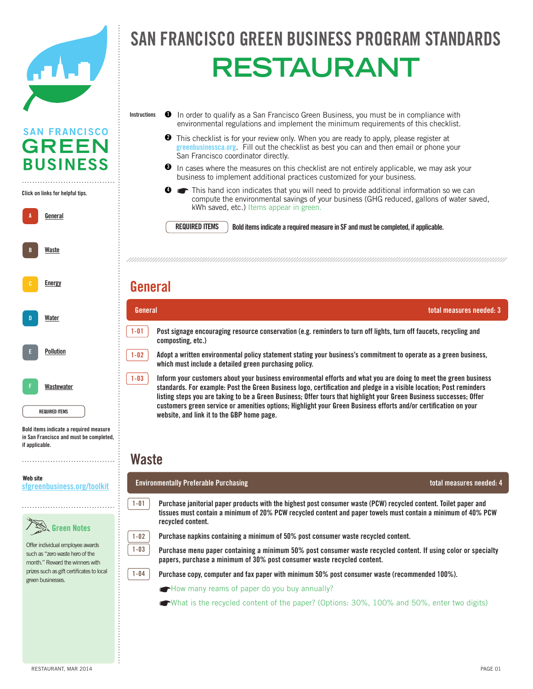

### FRANCISCO GREEN BUSINESS PROGRAM STANDA officers and the set SAN FRANCISCO GREEN BUSINESS PROGRAM STANDAR **RESTAURANT**

- In order to qualify as a San Francisco Green Business, you must be in compliance with environmental regulations and implement the minimum requirements of this checklist. **Instructions 1**
	- **2** This checklist is for your review only. When you are ready to apply, please register at This checklist is for your review only. When you are ready to apply, please register at greenbusiness ca.org. Fill out the checklist as best you can and then email or phone your San Francisco coordinator directly.
	- $\bullet$  In cases where the measures on this checklist are not entirely applicable, we may ask your business to implement additional practices customized for your business.

Mandatory Composting and Recycling Ordinance (www.sfenvironment.org/mandatory). ☛Do you pay your own garbage bill (yes or no)? If yes, please provide the level of service you recieve

Solid Waste This hand icon indicates that you will need to provide additional information so we can compute the environmental savings of your business (GHG reduced, gallons of water saved, kWh saved, etc.) Items appear in green. **4**

**REQUIRED ITEMS**

and conducting ongoing education.

**REQUIRED ITEMS** Bold items indicate a required measure in SF and must be completed, if applicable.

#### $\mathsf{H}$  many employees does  $\mathsf{H}$  and the certified location? (Leave blank if already entered for already entered for already entered for already entered for already entered for already entered for already entered for previous measure.) **General**

| П | Water                 |
|---|-----------------------|
| E | <b>Pollution</b>      |
| F | Wastewater            |
|   | <b>REQUIRED ITEMS</b> |

A **General** 

**A**

**B**

B Energy Conservation

**[Energy](http://sfgreenbusiness.org/green-your-business/toolkit/energy-conservation-guide/)**

**[Waste](http://sfgreenbusiness.org/green-your-business/toolkit/recycling-waste-reduction-guide/)**

Click on links for helpful tips. **Click on links for helpful tips.**

**SAN FRANCISCO GREEN** 

**BUSINESS** 

Bold items indicate **Bold items indicate a required measure**  a required measure in September 111 in San Francisco and must be completed,<br><sup>if</sup> sanligable if applicable. **if applicable.** 

#### Website **Web site** sfgreenbusiness.org/toolkit **[sfgreenbusiness.org/toolkit](http://sfgreenbusiness.org/toolkit)**



Offer individual employee awards ond individual diriployed awards<br>such as "zero waste hero of the  $\frac{1}{2}$ month." Reward the winners with prizes such as gift certificates to local also call Sero call Sero Call Sero Call Sero Call Sero Call Sero Call Sero Call Sero Call Sero Call Sero Call S

**composting, etc.) Post signage encouraging resource conservation (e.g. reminders to turn off lights, turn off faucets, recycling and 1-01**

A-02 Designate a recycling coordinator(s) to take responsibility for monitoring/maintaining proper waste diversion **General total measures needed: 3**

which must include a detailed green purchasing policy. The internal memory is internal memory of the internal memory of  $\sim$ **Adopt a written environmental policy statement stating your business's commitment to operate as a green business,** 

standards. For example: Post the Green Business logo, certification and pledge in a visible location; Post reminders listing steps you are taking to be a Green Business; Offer tours that highlight your Green Business successes; Offer website, and link it to the GBP home page. We also consumer was teamining a minimum of 40% posteriors was teamining waste recycled was teamining was teamining was teamining was teamining was teamining was teamining was tea **Inform your customers about your business environmental efforts and what you are doing to meet the green business customers green service or amenities options; Highlight your Green Business efforts and/or certification on your** 

#### $\overline{\mathbf{M}}$  equal both  $\overline{\mathbf{M}}$  equal both  $\overline{\mathbf{M}}$  exployees and guests. **Waste**

**1-01**

**1-02 1-03**

**1-04**

**1-02**

**1-03**

### a-08 Retailers -- offer durable, reusable bags at checkout. **Environmentally Preferable Purchasing total measures needed: 4**

a-donated but usable items (furniture, supplies, supplies, etc.). Documented but usable items (furniture, etc.). Documented but usable items (furniture,  $\alpha$ Purchase janitorial paper products with the highest post consumer waste (PCW) recycled content. Toilet paper and **recycled content.** *recorded content.* **tissues must contain a minimum of 20% PCW recycled content and paper towels must contain a minimum of 40% PCW** 

1-02 **Purchase napkins containing a minimum of 50% post consumer waste recycled content.** 



1-04 **Purchase copy, computer and fax paper with minimum 50% post consumer waste (recommended 100%).** 

**Figure 1** How many reams of paper do you buy annually?

 $\blacklozenge$  What is the recycled content of the paper? (Options: 30%, 100% and 50%, enter two digits)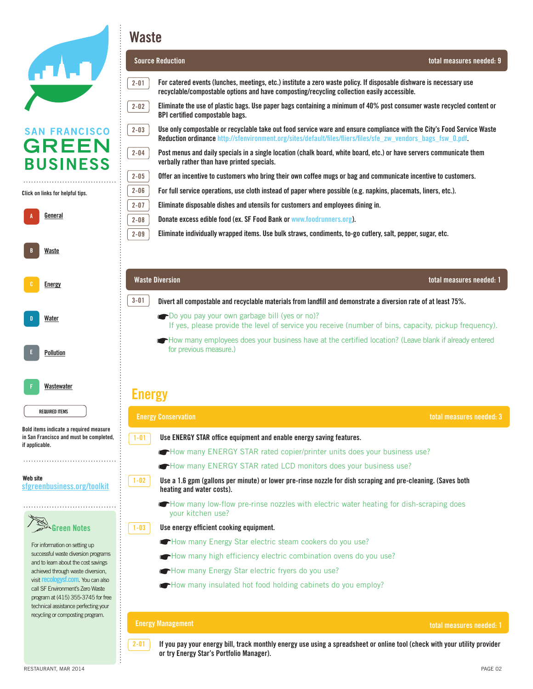

**A**

**B**

**D**

**E**

**F**

### **Waste**



 $2-01$  If you pay your energy bill, track monthly energy use using a spreadsheet or online tool (check with your utility provider or try Energy Star's Portfolio Manager).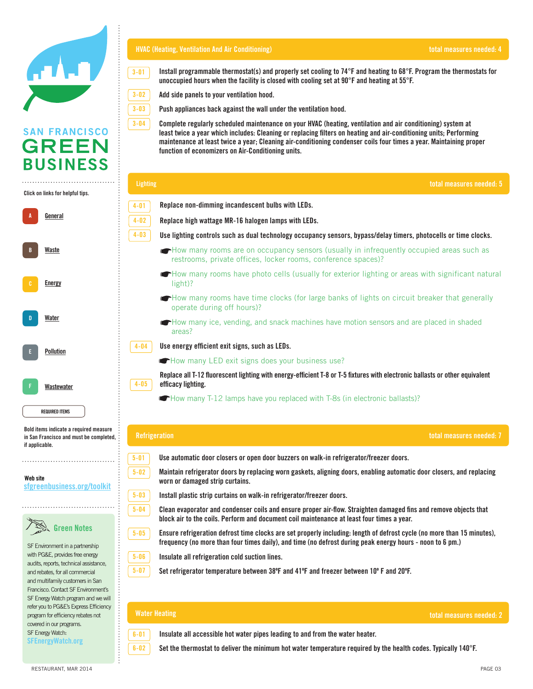

#### **HVAC (Heating, Ventilation And Air Conditioning)**

instructions ❶ In order to qualify as a San Francisco Green Business, you must be in compliance with environmental regulations and **3-01 Install programmable thermostat(s) and properly set cooling to 74°F and heating to 68°F. Program the thermostats for unoccupied hours when the facility is closed with cooling set at 90°F and heating at 55°F.**

San Francisco Green Business Program Standards

- Add side panels to your ventilation hood. **3-02**
- $\alpha$  annliances hack against the wall under the ventilation hood Push appliances back against the wall under the ventilation hood.<br>. **3-03**

Complete regularly scheduled maintenance on your HVAC (heating, ventilation and air conditioning) system at least twice a year which includes: Cleaning or replacing filters on heating and air-conditioning units; Performing maintenance at least twice a year; Cleaning air-conditioning condenser coils four times a year. Maintaining proper function of economizers on Air-Conditioning units. **3-04**

|                                                                                                                | <b>Lighting</b><br>total measures needed: 5                                                                                                                                                                                                      |
|----------------------------------------------------------------------------------------------------------------|--------------------------------------------------------------------------------------------------------------------------------------------------------------------------------------------------------------------------------------------------|
| Click on links for helpful tips.                                                                               | Replace non-dimming incandescent bulbs with LEDs.<br>$4 - 01$                                                                                                                                                                                    |
| <u>General</u>                                                                                                 | $4 - 02$<br>Replace high wattage MR-16 halogen lamps with LEDs.                                                                                                                                                                                  |
|                                                                                                                | $4 - 03$<br>Use lighting controls such as dual technology occupancy sensors, bypass/delay timers, photocells or time clocks.                                                                                                                     |
| Waste                                                                                                          | How many rooms are on occupancy sensors (usually in infrequently occupied areas such as<br>restrooms, private offices, locker rooms, conference spaces)?                                                                                         |
| Energy                                                                                                         | How many rooms have photo cells (usually for exterior lighting or areas with significant natural<br>light)?                                                                                                                                      |
|                                                                                                                | How many rooms have time clocks (for large banks of lights on circuit breaker that generally<br>operate during off hours)?                                                                                                                       |
| Water                                                                                                          | How many ice, vending, and snack machines have motion sensors and are placed in shaded<br>areas?                                                                                                                                                 |
| Pollution                                                                                                      | $4 - 04$<br>Use energy efficient exit signs, such as LEDs.                                                                                                                                                                                       |
|                                                                                                                | How many LED exit signs does your business use?                                                                                                                                                                                                  |
| Wastewater                                                                                                     | Replace all T-12 fluorescent lighting with energy-efficient T-8 or T-5 fixtures with electronic ballasts or other equivalent<br>$4 - 05$<br>efficacy lighting.                                                                                   |
| <b>REQUIRED ITEMS</b>                                                                                          | How many T-12 lamps have you replaced with T-8s (in electronic ballasts)?                                                                                                                                                                        |
| Bold items indicate a required measure<br>in San Francisco and must be completed,<br>if applicable.            | <b>Refrigeration</b><br>total measures needed: 7                                                                                                                                                                                                 |
|                                                                                                                | Use automatic door closers or open door buzzers on walk-in refrigerator/freezer doors.<br>$5 - 01$                                                                                                                                               |
| Web site<br>sfgreenbusiness.org/toolkit                                                                        | $5 - 02$<br>Maintain refrigerator doors by replacing worn gaskets, aligning doors, enabling automatic door closers, and replacing<br>worn or damaged strip curtains.                                                                             |
|                                                                                                                | $5 - 03$<br>Install plastic strip curtains on walk-in refrigerator/freezer doors.                                                                                                                                                                |
|                                                                                                                | $5 - 04$<br>Clean evaporator and condenser coils and ensure proper air-flow. Straighten damaged fins and remove objects that<br>block air to the coils. Perform and document coil maintenance at least four times a year.                        |
| Green Notes<br>SF Environment in a partnership                                                                 | $5 - 05$<br>Ensure refrigeration defrost time clocks are set properly including: length of defrost cycle (no more than 15 minutes),<br>frequency (no more than four times daily), and time (no defrost during peak energy hours - noon to 6 pm.) |
| with PG&E, provides free energy                                                                                | $5 - 06$<br>Insulate all refrigeration cold suction lines.                                                                                                                                                                                       |
| audits, reports, technical assistance,<br>and rebates, for all commercial                                      | $5 - 07$<br>Set refrigerator temperature between 38°F and 41°F and freezer between 10°F and 20°F.                                                                                                                                                |
| and multifamily customers in San<br>Francisco. Contact SF Environment's<br>SF Energy Watch program and we will |                                                                                                                                                                                                                                                  |
| refer you to PG&E's Express Efficiency<br>program for efficiency rebates not<br>لمتمرس بمرارما الممتن          | <b>Water Heating</b><br>total measures needed: 2                                                                                                                                                                                                 |



**6-01** Insulate all accessible hot water pipes leading to and from the water heater.

 $\boxed{6-02}$  Set the thermostat to deliver the minimum hot water temperature required by the health codes. Typically 140°F. such as charging a fee for disposable containers and bags.

covered in our programs. SF Energy Watch: **[SFEnergyWatch.org](http://SFEnergyWatch.org)**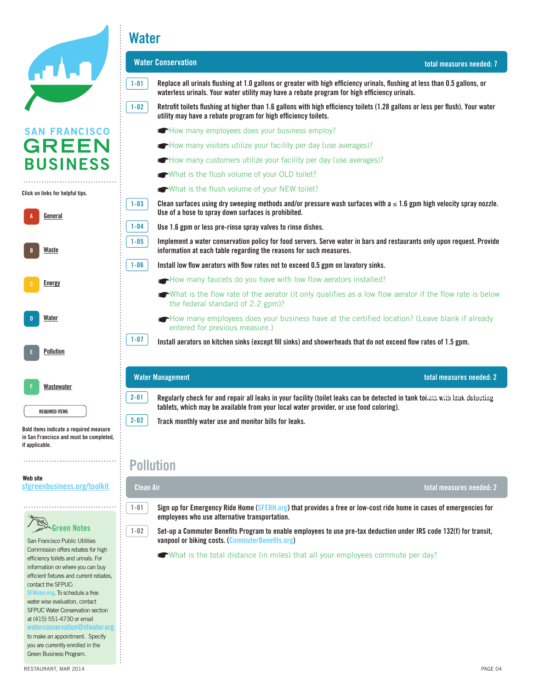|                                                                                                                                                                                                                                                     | <b>Water</b>                                                                                                                                                                                                                                                                                          |                          |
|-----------------------------------------------------------------------------------------------------------------------------------------------------------------------------------------------------------------------------------------------------|-------------------------------------------------------------------------------------------------------------------------------------------------------------------------------------------------------------------------------------------------------------------------------------------------------|--------------------------|
|                                                                                                                                                                                                                                                     | <b>Water Conservation</b>                                                                                                                                                                                                                                                                             | total measures needed: 7 |
|                                                                                                                                                                                                                                                     | $1 - 01$<br>Replace all urinals flushing at 1.0 gallons or greater with high efficiency urinals, flushing at less than 0.5 gallons, or<br>waterless urinals. Your water utility may have a rebate program for high efficiency urinals.                                                                |                          |
|                                                                                                                                                                                                                                                     | $1 - 02$<br>Retrofit toilets flushing at higher than 1.6 gallons with high efficiency toilets (1.28 gallons or less per flush). Your water<br>utility may have a rebate program for high efficiency toilets.                                                                                          |                          |
| <b>SAN FRANCISCO</b>                                                                                                                                                                                                                                | How many employees does your business employ?                                                                                                                                                                                                                                                         |                          |
| <b>GREEN</b>                                                                                                                                                                                                                                        | How many visitors utilize your facility per day (use averages)?                                                                                                                                                                                                                                       |                          |
| <b>BUSINESS</b>                                                                                                                                                                                                                                     | How many customers utilize your facility per day (use averages)?                                                                                                                                                                                                                                      |                          |
|                                                                                                                                                                                                                                                     | What is the flush volume of your OLD toilet?                                                                                                                                                                                                                                                          |                          |
| Click on links for helpful tips.                                                                                                                                                                                                                    | What is the flush volume of your NEW toilet?                                                                                                                                                                                                                                                          |                          |
| <u>General</u>                                                                                                                                                                                                                                      | Clean surfaces using dry sweeping methods and/or pressure wash surfaces with $a \le 1.6$ gpm high velocity spray nozzle.<br>$1 - 03$<br>Use of a hose to spray down surfaces is prohibited.                                                                                                           |                          |
|                                                                                                                                                                                                                                                     | $1 - 04$<br>Use 1.6 gpm or less pre-rinse spray valves to rinse dishes.                                                                                                                                                                                                                               |                          |
| Waste                                                                                                                                                                                                                                               | Implement a water conservation policy for food servers. Serve water in bars and restaurants only upon request. Provide<br>$1 - 05$<br>information at each table regarding the reasons for such measures.                                                                                              |                          |
|                                                                                                                                                                                                                                                     | $1 - 06$<br>Install low flow aerators with flow rates not to exceed 0.5 gpm on lavatory sinks.                                                                                                                                                                                                        |                          |
| <b>Energy</b>                                                                                                                                                                                                                                       | How many faucets do you have with low flow aerators installed?                                                                                                                                                                                                                                        |                          |
|                                                                                                                                                                                                                                                     | What is the flow rate of the aerator (it only qualifies as a low flow aerator if the flow rate is below<br>the federal standard of 2.2 gpm)?                                                                                                                                                          |                          |
| Water                                                                                                                                                                                                                                               | How many employees does your business have at the certified location? (Leave blank if already<br>entered for previous measure.)                                                                                                                                                                       |                          |
| <b>Pollution</b>                                                                                                                                                                                                                                    | $1 - 07$<br>Install aerators on kitchen sinks (except fill sinks) and showerheads that do not exceed flow rates of 1.5 gpm.                                                                                                                                                                           |                          |
| Wastewater                                                                                                                                                                                                                                          | <b>Water Management</b>                                                                                                                                                                                                                                                                               | total measures needed: 2 |
| <b>REQUIRED ITEMS</b>                                                                                                                                                                                                                               | $2 - 01$<br>Regularly check for and repair all leaks in your facility (toilet leaks can be detected in tank toilets with leak detecting<br>tablets, which may be available from your local water provider, or use food coloring).<br>$2 - 02$<br>Track monthly water use and monitor bills for leaks. |                          |
| Bold items indicate a required measure<br>in San Francisco and must be completed,<br>if applicable.                                                                                                                                                 |                                                                                                                                                                                                                                                                                                       |                          |
|                                                                                                                                                                                                                                                     | <b>Pollution</b>                                                                                                                                                                                                                                                                                      |                          |
| Web site<br>sfgreenbusiness.org/toolkit                                                                                                                                                                                                             | Clean Air                                                                                                                                                                                                                                                                                             | total measures needed: 2 |
|                                                                                                                                                                                                                                                     | $1 - 01$<br>Sign up for Emergency Ride Home (SFERH.org) that provides a free or low-cost ride home in cases of emergencies for<br>employees who use alternative transportation.                                                                                                                       |                          |
| Green Notes<br>San Francisco Public Utilities                                                                                                                                                                                                       | $1 - 02$<br>Set-up a Commuter Benefits Program to enable employees to use pre-tax deduction under IRS code 132(f) for transit,<br>vanpool or biking costs. (CommuterBenefits.org)                                                                                                                     |                          |
| Commission offers rebates for high<br>efficiency toilets and urinals. For<br>information on where you can buy<br>efficient fixtures and current rebates,<br>contact the SFPUC:<br>SFWater.org. To schedule a free<br>water wise evaluation, contact | <b>What is the total distance (in miles) that all your employees commute per day?</b>                                                                                                                                                                                                                 |                          |

SFPUC Water Conservation section at (415) 551-4730 or email **[waterconservation@sfwater.org](mailto:waterconservation@sfwater.org)**  $\vdots$ 

to make an appointment. Specify you are currently enrolled in the Green Business Program.

**Click**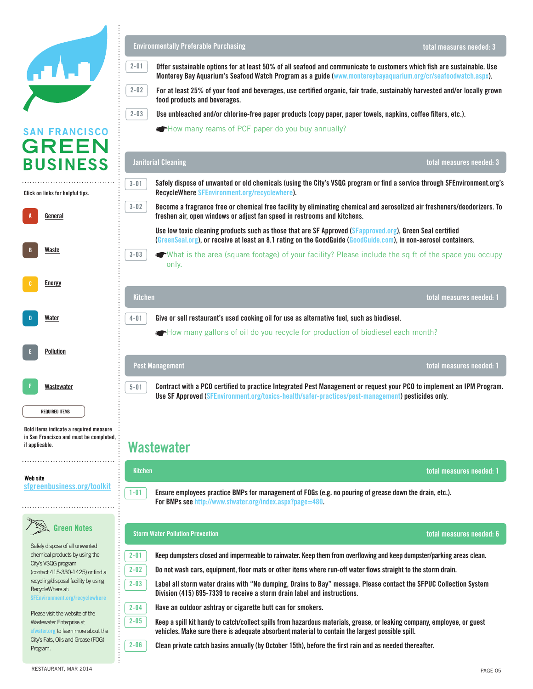|                                                                                                     | <b>Environmentally Preferable Purchasing</b>                                                                                                                                                                                                       | total measures needed: 3 |
|-----------------------------------------------------------------------------------------------------|----------------------------------------------------------------------------------------------------------------------------------------------------------------------------------------------------------------------------------------------------|--------------------------|
|                                                                                                     | $2 - 01$<br>Offer sustainable options for at least 50% of all seafood and communicate to customers which fish are sustainable. Use<br>Monterey Bay Aquarium's Seafood Watch Program as a guide (www.montereybayaquarium.org/cr/seafoodwatch.aspx). |                          |
|                                                                                                     | $2 - 02$<br>For at least 25% of your food and beverages, use certified organic, fair trade, sustainably harvested and/or locally grown<br>food products and beverages.                                                                             |                          |
|                                                                                                     | $2 - 03$<br>Use unbleached and/or chlorine-free paper products (copy paper, paper towels, napkins, coffee filters, etc.).                                                                                                                          |                          |
| <b>SAN FRANCISCO</b><br><b>GREEN</b>                                                                | How many reams of PCF paper do you buy annually?                                                                                                                                                                                                   |                          |
| <b>BUSINESS</b>                                                                                     | <b>Janitorial Cleaning</b>                                                                                                                                                                                                                         | total measures needed: 3 |
| Click on links for helpful tips.                                                                    | Safely dispose of unwanted or old chemicals (using the City's VSQG program or find a service through SFEnvironment.org's<br>$3 - 01$<br>RecycleWhere SFEnvironment.org/recyclewhere).                                                              |                          |
| General                                                                                             | $3 - 02$<br>Become a fragrance free or chemical free facility by eliminating chemical and aerosolized air fresheners/deodorizers. To<br>freshen air, open windows or adjust fan speed in restrooms and kitchens.                                   |                          |
|                                                                                                     | Use low toxic cleaning products such as those that are SF Approved (SFapproved.org), Green Seal certified<br>(GreenSeal.org), or receive at least an 8.1 rating on the GoodGuide (GoodGuide.com), in non-aerosol containers.                       |                          |
| Waste                                                                                               | $3 - 03$<br>What is the area (square footage) of your facility? Please include the sq ft of the space you occupy<br>only.                                                                                                                          |                          |
| <b>Energy</b>                                                                                       |                                                                                                                                                                                                                                                    |                          |
|                                                                                                     | <b>Kitchen</b>                                                                                                                                                                                                                                     | total measures needed: 1 |
| Water                                                                                               | Give or sell restaurant's used cooking oil for use as alternative fuel, such as biodiesel.<br>$4 - 01$                                                                                                                                             |                          |
|                                                                                                     | How many gallons of oil do you recycle for production of biodiesel each month?                                                                                                                                                                     |                          |
| <b>Pollution</b>                                                                                    |                                                                                                                                                                                                                                                    |                          |
|                                                                                                     | <b>Pest Management</b>                                                                                                                                                                                                                             | total measures needed: 1 |
| Wastewater                                                                                          | $5 - 01$<br>Contract with a PCO certified to practice Integrated Pest Management or request your PCO to implement an IPM Program.<br>Use SF Approved (SFEnvironment.org/toxics-health/safer-practices/pest-management) pesticides only.            |                          |
| <b>REQUIRED ITEMS</b>                                                                               |                                                                                                                                                                                                                                                    |                          |
| Bold items indicate a required measure<br>in San Francisco and must be completed,<br>if applicable. | Wastewater                                                                                                                                                                                                                                         |                          |
| Web site                                                                                            | <b>Kitchen</b>                                                                                                                                                                                                                                     | total measures needed: 1 |
| sfgreenbusiness.org/toolkit                                                                         | Ensure employees practice BMPs for management of FOGs (e.g. no pouring of grease down the drain, etc.).<br>$1 - 01$<br>For BMPs see http://www.sfwater.org/index.aspx?page=480.                                                                    |                          |
| <b>Green Notes</b>                                                                                  | <b>Storm Water Pollution Prevention</b>                                                                                                                                                                                                            | total measures needed: 6 |
| Safely dispose of all unwanted<br>chemical products by using the                                    | $2 - 01$<br>Keep dumpsters closed and impermeable to rainwater. Keep them from overflowing and keep dumpster/parking areas clean.                                                                                                                  |                          |
| City's VSQG program<br>(contact 415-330-1425) or find a                                             | $2 - 02$<br>Do not wash cars, equipment, floor mats or other items where run-off water flows straight to the storm drain.                                                                                                                          |                          |
| recycling/disposal facility by using<br>RecycleWhere at:<br>SFEnvironment.org/recyclewhere          | $2 - 03$<br>Label all storm water drains with "No dumping, Drains to Bay" message. Please contact the SFPUC Collection System<br>Division (415) 695-7339 to receive a storm drain label and instructions.                                          |                          |
| Please visit the website of the                                                                     | $2 - 04$<br>Have an outdoor ashtray or cigarette butt can for smokers.                                                                                                                                                                             |                          |
| Wastewater Enterprise at<br>sfwater.org to learn more about the                                     | $2 - 05$<br>Keep a spill kit handy to catch/collect spills from hazardous materials, grease, or leaking company, employee, or guest<br>vehicles. Make sure there is adequate absorbent material to contain the largest possible spill.             |                          |
| City's Fats, Oils and Grease (FOG)<br>Program.                                                      | $2 - 06$<br>Clean private catch basins annually (by October 15th), before the first rain and as needed thereafter.                                                                                                                                 |                          |

 $\ddot{\phantom{a}}$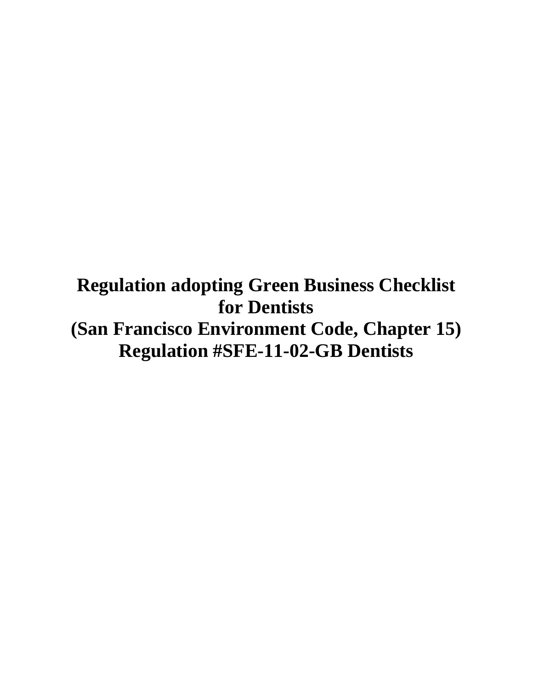**Regulation adopting Green Business Checklist for Dentists (San Francisco Environment Code, Chapter 15) Regulation #SFE-11-02-GB Dentists**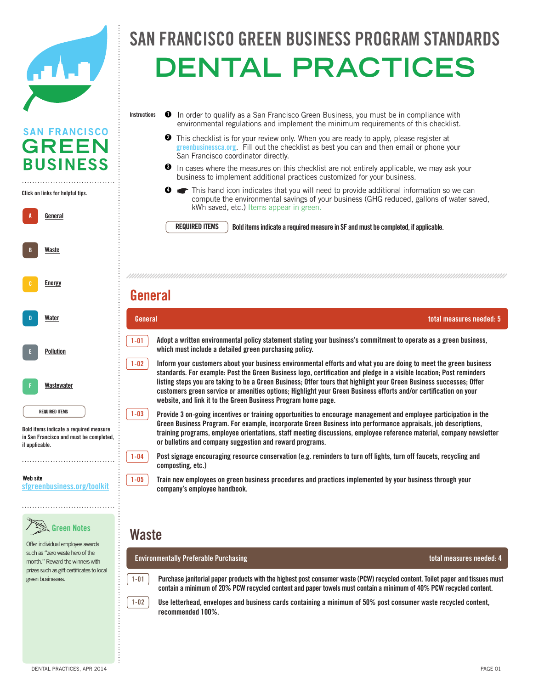

### FRANCISCO GREEN BUSINESS PROGRAM STANDA  $\overline{R}$ SAN FRANCISCO GREEN BUSINESS PROGRAM STANDAR **Dental practices**

**Instructions 1** In order to qualify as a San Francisco Green Business, you must be in compliance with environmental regulations and implement the minimum requirements of this checklist. **SAN FRANCISCO 2** This checklist is for your review only. When you are ready to apply, please register at This checklist is for your review only. When you are ready to apply, please register at greenbusiness ca.org. Fill out the checklist as best you can and then email or phone your **GREEN** San Francisco coordinator directly. **BUSINESS**  $\bullet$  In cases where the measures on this checklist are not entirely applicable, we may ask your business to implement additional practices customized for your business. . . . . . . . . . . . . . . . . . . . This hand icon indicates that you will need to provide additional information so we can **4** Click on links for helpful tips. **Click on links for helpful tips.** Solid Waste compute the environmental savings of your business (GHG reduced, gallons of water saved, kWh saved, etc.) Items appear in green. A **General A REQUIRED ITEMS** Bold items indicate a required measure in SF and must be completed, if applicable. **REQUIRED ITEMS [Waste](http://sfgreenbusiness.org/green-your-business/toolkit/recycling-waste-reduction-guide/) B** B Energy Conservation (number of bins, capacity, pickup frequency) in the pickup frequency of bins, capacity, pickup frequency) in t ☛How many employees does your business have at the certified location? (Leave blank if already entered for **[Energy](http://sfgreenbusiness.org/green-your-business/toolkit/energy-conservation-guide/) General**  $\mathcal{A}_\text{c}$  designation coordinator (s) to take responsibility for monitoring proper waste diversion proper was **General total measures needed: 5 D [Water](http://sfgreenbusiness.org/green-your-business/toolkit/water-conservation-guide/) 1-01** -01 Adopt a written environmental policy statement stating your business's commitment to operate as a green business, D Pollution Prevention **which must include a detailed green purchasing policy. [Pollution](http://sfgreenbusiness.org/green-your-business/toolkit/toxics-and-pollution-prevention-guide/) E 1-02** 1-02 Inform your customers about your business environmental efforts and what you are doing to meet the green business standards. For example: Post the Green Business logo, certification and pledge in a visible location; Post reminders **listing steps you are taking to be a Green Business; Offer tours that highlight your Green Business successes; Offer**  F **[Wastewater](http://sfgreenbusiness.org/green-your-business/toolkit/toxics-and-pollution-prevention-guide/) FF** customers green service or amenities options; Highlight your Green Business efforts and/or certification on your duplex printing). Make single-sided the exception instead of the rule. **website, and link it to the Green Business Program home page.** REQUIRED ITEM **REQUIRED ITEMS 1-03**  $1-03$  Provide 3 on-going incentives or training opportunities to encourage management and employee participation in the Green Business Program. For example, incorporate Green Business into performance appraisals, job descriptions, Bold items indicate **Bold items indicate a required measure training programs, employee orientations, staff meeting discussions, employee reference material, company newsletter**  a required measure in September 111 in San Francisco and must be completed,<br><sup>if</sup> sanligable A-06 In the employee can be employee can be employeed and use the employee capetal room, replace in the employee capetal room, replace the employee capetal room, replace and use bulk and use bulk and use bulk and use bulk or bulletins and company suggestion and reward programs. if applicable. **if applicable. 1-04 Post signage encouraging resource conservation (e.g. reminders to turn off lights, turn off faucets, recycling and Composting, etc.)** Website **Web site 1-05** 1-05 **Train new employees on green business procedures and practices implemented by your business through your** sfgreenbusiness.org/toolkit **[sfgreenbusiness.org/toolkit](http://sfgreenbusiness.org/toolkit) company's employee handbook.** a-09 Donate, sell, or exchange unwanted but uses, supplies, etc.). Documented but usable items (furniture,  $\alpha$ 

## Green Notes **Green Notes**

Offer individual employee awards  $s$ uch as "zero waste hero of the month." Reward the winners with mand was the minimal was considered. visit www.recologysf.com. You can also call Sero call Sero call Sero call Sero call Sero call Sero call Sero call Sero call Sero call Sero call<br>Sero call Sero call Sero call Sero call Sero call Sero call Sero call Sero call Sero call Sero call Sero call

a-12 Centralize employee schedules, meeting announcements and journals in a single location (bulletin board, whiteboard, email, etc.) to reduce printed copies. **Environmentally Preferable Purchasing total measures needed: 4**

a-11 Reuse paper or plastic packaging materials in your own shipments. **Waste**

1-01 Purchase janitorial paper products with the highest post consumer waste (PCW) recycled content. Toilet paper and tissues must contain a minimum of 20% PCW recycled content and paper towels must contain a minimum of 40% PCW recycled content.



**1-01**

 $1-02$  Use letterhead, envelopes and business cards containing a minimum of 50% post consumer waste recycled content, recommended 100%.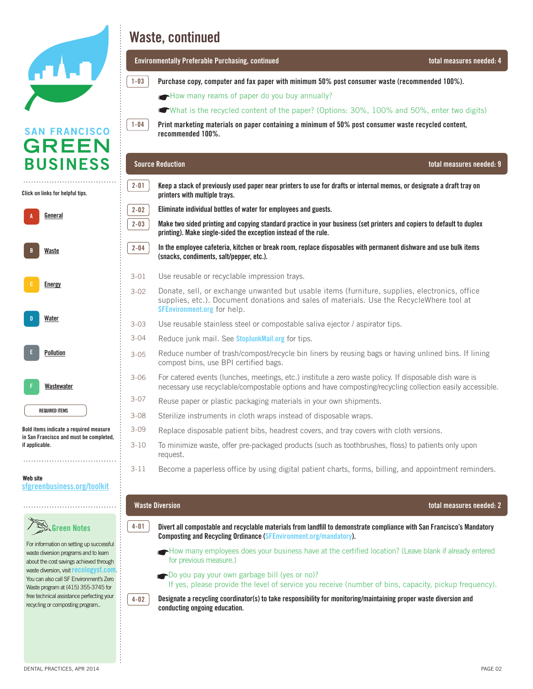

**SAN FRANCISCO GREEN** 

**BUSINESS** 

## **San Francisco Green Business Program Standards Program Standards Program Standards**

officers and the contract of the contract of the contract of the contract of the contract of the contract of t<br>Contract of the contract of the contract of the contract of the contract of the contract of the contract of th **Environmentally Preferable Purchasing, continued total measures needed: 4**

- $\left[1-03\right]$  Purchase copy, computer and fax paper with minimum 50% post consumer waste (recommended 100%).
	- How many reams of paper do you buy annually?
	- What is the xequaled centent of the paper? (Options,  $20\%$ ,  $100\%$  and  $50\%$ , opter two digital What is the recycled content of the paper? (Options: 30%, 100% and 50%, enter two digits)

Print marketing materials on paper containing a minimum of 50% post consumer waste recycled content, practices customized for your business. **recommended 100%.** 

savings of your business (GHG reduced, gallons of water saved, kWh saved, etc)

#### REQUIRED ITEM BOLD its manufacture indicate a required measure in SF and must be completed, if and must be completed, if and must be completed, if and must be completed, if applicable. If applicable, if applicable. If appl **Source Reduction total measures needed: 9**

**1-03**

**1-04**

**2-01**

**2-02 2-03** 

**2-04** 

. . . . . . . . . . . . . . . . . . Click on links for helpful tips. **Click on links for helpful tips.**

A **General** B Energy Conservation D Pollution Prevention **F [Wastewater](http://sfgreenbusiness.org/green-your-business/toolkit/toxics-and-pollution-prevention-guide/) A B D E FF [Water](http://sfgreenbusiness.org/green-your-business/toolkit/water-conservation-guide/) [Energy](http://sfgreenbusiness.org/green-your-business/toolkit/energy-conservation-guide/) [Waste](http://sfgreenbusiness.org/green-your-business/toolkit/recycling-waste-reduction-guide/) [Pollution](http://sfgreenbusiness.org/green-your-business/toolkit/toxics-and-pollution-prevention-guide/)**

Bold items indicate **Bold items indicate a required measure**  a required measured measured measured measured measured measured measured measured measured measured measured and must be completed, **in San Francisco and must be completed,**  if applicable. **if applicable.** 

REQUIRED ITEM **REQUIRED ITEMS**

Website **Web site** sfgreenbusiness.org/toolkit **[sfgreenbusiness.org/toolkit](http://sfgreenbusiness.org/toolkit)**

### Green Notes **Green Notes**

For information on setting up For information on setting up successful successful waste diversion programs of the state of the state of the state of the state of the state of the st waste diversion programs and to learn achieved through waste diversion, waste diversion, visit **[recologysf.com](http://recologysf.com)**. was also call SF Environment's Zero volutions call of Environment's Zero<br>Waste program at (415) 355-3745 for maste program at 415-3555-3745. free technical assistance perfecting  $f$ recycling or composting program.. about the cost savings achieved through

printers with multiple trays. **Keep a stack of previously used paper near printers to use for drafts or internal memos, or designate a draft tray on** 

**Eliminate individual bottles of water for employees and guests.** 



- $\overline{2-04}$  In the employee cafeteria, kitchen or break room, replace disposables with permanent dishware and use bulk items Mandatory Composting and Recycling Ordinance (www.sfenvironment.org/mandatory). **(snacks, condiments, salt/pepper, etc.).** onaono, oonamichoo, sare pepper, eto.*).* If yes or no provide the level of service you recieve you recieve you re
- Use reusable or recyclable impression trays. 3-01
- ose reusable or recyclable impression trays.<br>Donate, sell, or exchange unwanted but usable items (furniture, supplies, electronics, office **[SFEnvironment.org](http://www.SFEnvironment.org)** for help. supplies, etc.). Document donations and sales of materials. Use the RecycleWhere tool at 3-02
- Use reusable stainless steel or compostable saliva ejector / aspirator tips. 3-03
- -04 Reduce junk mail. See **[StopJunkMail.org](http://www.StopJunkMail.org)** for tips. 3-04
- compost bins, use BPI certified bags. Use it is internal memos, make it into  $\alpha$ Reduce number of trash/compost/recycle bin liners by reusing bags or having unlined bins. If lining 3-05
- For catered events (lunches, meetings, etc.) institute a zero waste policy. If disposable dish ware is necessary use recyclable/compostable options and have composting/recycling collection easily accessible. 3-06
- Reuse paper or plastic packaging materials in your own shipments. 3-07
- $2.09$  Eliminate the use of plastic bags. Use paper bags contained a minimum of  $40$  possesses consumer was tended  $r_{\rm{min}}$ Sterilize instruments in cloth wraps instead of disposable wraps. 3-08
- Replace disposable patient bibs, headrest covers, and tray covers with cloth versions. 3-09
- To minimize waste, offer pre-packaged products (such as toothbrushes, floss) to patients only upon request. 3-10

a-09 Donate, sell, or exchange unwanted but usable items (furniture, supplies, electronics, office supplies, etc.). Document

ecome a paperless office by using digital patient charts, forms, billing, and appointment reminders. 3-11

#### donations and sales of materials. Use the EcofindeRRR at since the EcofindeRRR at since  $\mathcal{L}$

- a-10 Send and receive faxes directly from computers without printing. **Divert all compostable and recyclable materials from landfill to demonstrate compliance with San Francisco's Mandatory Composting and Recycling Ordinance [\(SFEnvironment.org/mandatory](http://www.SFEnvironment.org/mandatory)). 4-01**
- How many employees does your business have at the certified location? (Leave blank if already entered for previous measure.)
- **a-1**3 For you pay your own garbage bill (yes or no)? If yes, please provide the level of service you receive (number of bins, capacity, pickup frequency).



#### **Waste Diversion total measures needed: 2**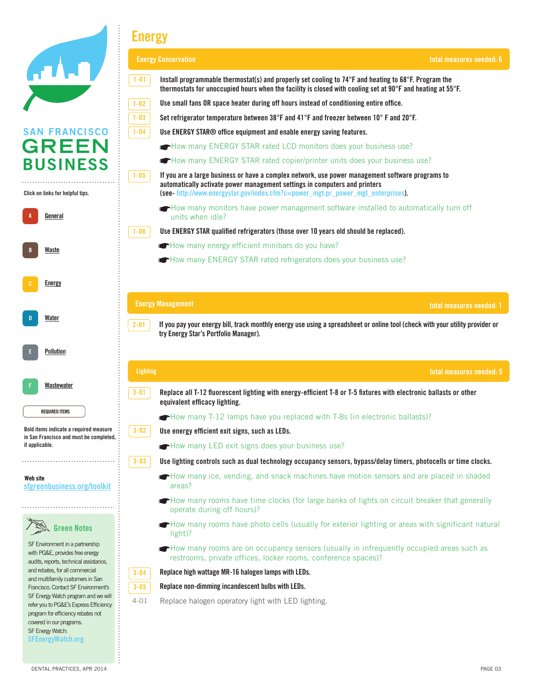|                                                                                                                     | <b>Energy</b>                                                                                                                                                                                                                  |                          |
|---------------------------------------------------------------------------------------------------------------------|--------------------------------------------------------------------------------------------------------------------------------------------------------------------------------------------------------------------------------|--------------------------|
|                                                                                                                     | <b>Energy Conservation</b>                                                                                                                                                                                                     | total measures needed: 6 |
|                                                                                                                     | $1 - 01$<br>Install programmable thermostat(s) and properly set cooling to 74°F and heating to 68°F. Program the<br>thermostats for unoccupied hours when the facility is closed with cooling set at 90°F and heating at 55°F. |                          |
|                                                                                                                     | $1 - 02$<br>Use small fans OR space heater during off hours instead of conditioning entire office.                                                                                                                             |                          |
|                                                                                                                     | Set refrigerator temperature between 38°F and 41°F and freezer between 10°F and 20°F.<br>$1 - 03$                                                                                                                              |                          |
| <b>SAN FRANCISCO</b>                                                                                                | $1 - 04$<br>Use ENERGY STAR® office equipment and enable energy saving features.                                                                                                                                               |                          |
| <b>GREEN</b>                                                                                                        | How many ENERGY STAR rated LCD monitors does your business use?                                                                                                                                                                |                          |
| <b>BUSINESS</b>                                                                                                     | How many ENERGY STAR rated copier/printer units does your business use?                                                                                                                                                        |                          |
| Click on links for helpful tips.                                                                                    | If you are a large business or have a complex network, use power management software programs to<br>$1 - 05$<br>automatically activate power management settings in computers and printers                                     |                          |
|                                                                                                                     | (see-http://www.energystar.gov/index.cfm?c=power_mgt.pr_power_mgt_enterprises).                                                                                                                                                |                          |
| General                                                                                                             | How many monitors have power management software installed to automatically turn off<br>units when idle?                                                                                                                       |                          |
|                                                                                                                     | Use ENERGY STAR qualified refrigerators (those over 10 years old should be replaced).<br>$1 - 06$                                                                                                                              |                          |
|                                                                                                                     | How many energy efficient minibars do you have?                                                                                                                                                                                |                          |
| B<br>Waste                                                                                                          | How many ENERGY STAR rated refrigerators does your business use?                                                                                                                                                               |                          |
| Water                                                                                                               | <b>Energy Management</b><br>If you pay your energy bill, track monthly energy use using a spreadsheet or online tool (check with your utility provider or<br>$2 - 01$                                                          | total measures needed: 1 |
| Pollution                                                                                                           | try Energy Star's Portfolio Manager).                                                                                                                                                                                          |                          |
| Wastewater                                                                                                          | <b>Lighting</b>                                                                                                                                                                                                                | total measures needed: 5 |
|                                                                                                                     | $3 - 01$<br>Replace all T-12 fluorescent lighting with energy-efficient T-8 or T-5 fixtures with electronic ballasts or other<br>equivalent efficacy lighting.                                                                 |                          |
| <b>REQUIRED ITEMS</b>                                                                                               | How many T-12 lamps have you replaced with T-8s (in electronic ballasts)?                                                                                                                                                      |                          |
| Bold items indicate a required measure                                                                              | $3 - 02$<br>Use energy efficient exit signs, such as LEDs.                                                                                                                                                                     |                          |
| in San Francisco and must be completed,<br>if applicable.                                                           | How many LED exit signs does your business use?                                                                                                                                                                                |                          |
|                                                                                                                     | $3 - 03$<br>Use lighting controls such as dual technology occupancy sensors, bypass/delay timers, photocells or time clocks.                                                                                                   |                          |
| Web site<br>sfgreenbusiness.org/toolkit                                                                             | How many ice, vending, and snack machines have motion sensors and are placed in shaded<br>areas?                                                                                                                               |                          |
|                                                                                                                     | How many rooms have time clocks (for large banks of lights on circuit breaker that generally<br>operate during off hours)?                                                                                                     |                          |
| <b>Green Notes</b>                                                                                                  | How many rooms have photo cells (usually for exterior lighting or areas with significant natural<br>light)?                                                                                                                    |                          |
| SF Environment in a partnership<br>with PG&E, provides free energy<br>audits, reports, technical assistance,        | How many rooms are on occupancy sensors (usually in infrequently occupied areas such as<br>restrooms, private offices, locker rooms, conference spaces)?                                                                       |                          |
| and rebates, for all commercial<br>and multifamily customers in San                                                 | Replace high wattage MR-16 halogen lamps with LEDs.<br>$3 - 04$                                                                                                                                                                |                          |
| Francisco. Contact SF Environment's                                                                                 | Replace non-dimming incandescent bulbs with LEDs.<br>$3 - 05$                                                                                                                                                                  |                          |
| SF Energy Watch program and we will<br>refer you to PG&E's Express Efficiency<br>program for efficiency rebates not | $4 - 01$<br>Replace halogen operatory light with LED lighting.                                                                                                                                                                 |                          |
| covered in our programs.<br>SF Energy Watch:<br><b>SFEnergyWatch.org</b>                                            |                                                                                                                                                                                                                                |                          |

**Production**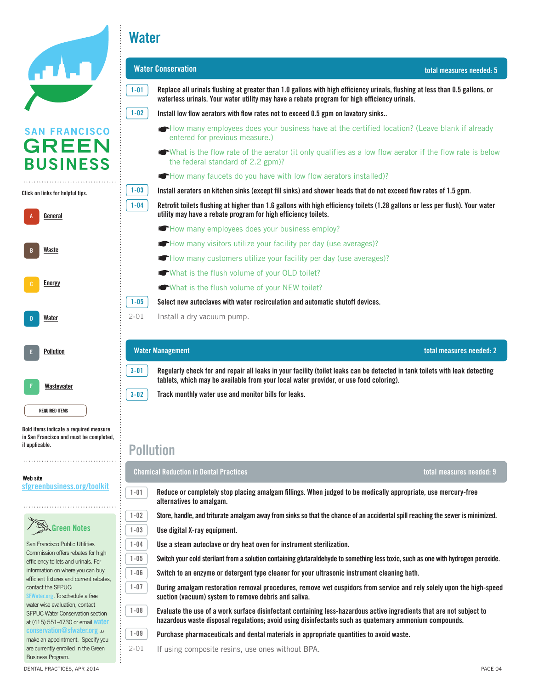

**Water**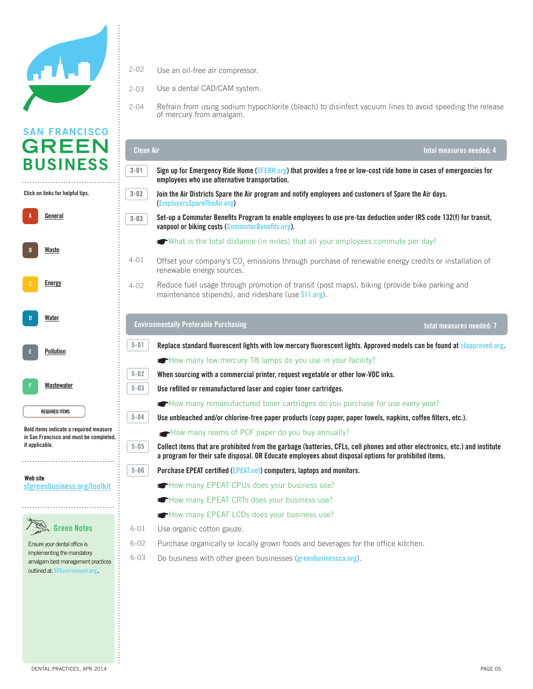

Click on links for helpful tips. **Click on links for helpful tips.**

A **General** B Energy Conservation D Pollution Prevention F **[Wastewater](http://sfgreenbusiness.org/green-your-business/toolkit/toxics-and-pollution-prevention-guide/) A B D E FF [Water](http://sfgreenbusiness.org/green-your-business/toolkit/water-conservation-guide/) [Energy](http://sfgreenbusiness.org/green-your-business/toolkit/energy-conservation-guide/) [Waste](http://sfgreenbusiness.org/green-your-business/toolkit/recycling-waste-reduction-guide/) [Pollution](http://sfgreenbusiness.org/green-your-business/toolkit/toxics-and-pollution-prevention-guide/)**

REQUIRED ITEM **REQUIRED ITEMS**

Bold items indicate **Bold items indicate a required measure**  a required measure in September 11 in San Francisco and must be completed, if applicable. **if applicable.** 

Website **Web site** sfgreenbusiness.org/toolkit **[sfgreenbusiness.org/toolkit](http://sfgreenbusiness.org/toolkit)**



Ensure your dental office is implementing the mandatory amalgam best management practices achieved through waste diversion, and the diversion of the diversion,  $\frac{1}{2}$ outlined at: **[SFEnvironment.org.](http://www.sfenvironment.org/sites/default/files/fliers/files/sfe_th_best_mgt_practices_for_dental_offices.pdf)** 

- Use an oil-free air compressor. 2-02
- 2-03 Use a dental CAD/CAM system.<br>
Use a Green Business, you must be in compliance with environmental regulations and with environmental regulations and the interval regulations and with environmental regulations and with 2-03
- Refrain from using sodium hypochlorite (bleach) to disinfect vacuum lines to avoid speeding the release of mercury from amalgam. The remember of mercury from amalgam. 2-04

|                                                                           | <b>Clean Air</b>                                                                                                                                                                                                                    | total measures needed: 4 |
|---------------------------------------------------------------------------|-------------------------------------------------------------------------------------------------------------------------------------------------------------------------------------------------------------------------------------|--------------------------|
| $3 - 01$                                                                  | Sign up for Emergency Ride Home (SFERH.org) that provides a free or low-cost ride home in cases of emergencies for<br>employees who use alternative transportation.                                                                 |                          |
| $3 - 02$                                                                  | Join the Air Districts Spare the Air program and notify employees and customers of Spare the Air days.<br>(EmployersSpareTheAir.org)                                                                                                |                          |
| $3 - 03$                                                                  | Set-up a Commuter Benefits Program to enable employees to use pre-tax deduction under IRS code 132(f) for transit,<br>vanpool or biking costs (CommuterBenefits.org).                                                               |                          |
|                                                                           | What is the total distance (in miles) that all your employees commute per day?                                                                                                                                                      |                          |
| $4 - 01$                                                                  | Offset your company's CO <sub>2</sub> emissions through purchase of renewable energy credits or installation of<br>renewable energy sources.                                                                                        |                          |
| $4 - 02$                                                                  | Reduce fuel usage through promotion of transit (post maps), biking (provide bike parking and<br>maintenance stipends), and rideshare (use 511.org).                                                                                 |                          |
|                                                                           | <b>Environmentally Preferable Purchasing</b>                                                                                                                                                                                        | total measures needed: 7 |
| $5 - 01$                                                                  | Replace standard fluorescent lights with low mercury fluorescent lights. Approved models can be found at sfapproved.org.                                                                                                            |                          |
|                                                                           | How many low mercury T8 lamps do you use in your facility?                                                                                                                                                                          |                          |
| $5 - 02$                                                                  | When sourcing with a commercial printer, request vegetable or other low-VOC inks.                                                                                                                                                   |                          |
| 5-03<br>Use refilled or remanufactured laser and copier toner cartridges. |                                                                                                                                                                                                                                     |                          |
|                                                                           | How many remanufactured toner cartridges do you purchase for use every year?                                                                                                                                                        |                          |
| $5 - 04$                                                                  | Use unbleached and/or chlorine-free paper products (copy paper, paper towels, napkins, coffee filters, etc.).                                                                                                                       |                          |
|                                                                           | How many reams of PCF paper do you buy annually?                                                                                                                                                                                    |                          |
| $5 - 05$                                                                  | Collect items that are prohibited from the garbage (batteries, CFLs, cell phones and other electronics, etc.) and institute<br>a program for their safe disposal. OR Educate employees about disposal options for prohibited items. |                          |
|                                                                           |                                                                                                                                                                                                                                     |                          |
|                                                                           | Purchase EPEAT certified (EPEAT.net) computers, laptops and monitors.                                                                                                                                                               |                          |
|                                                                           | How many EPEAT CPUs does your business use?                                                                                                                                                                                         |                          |
|                                                                           | How many EPEAT CRTs does your business use?                                                                                                                                                                                         |                          |
|                                                                           | How many EPEAT LCDs does your business use?                                                                                                                                                                                         |                          |
|                                                                           | 6-01 Use organic cotton gauze.                                                                                                                                                                                                      |                          |
| $5 - 06$<br>$6 - 02$                                                      | Purchase organically or locally grown foods and beverages for the office kitchen.                                                                                                                                                   |                          |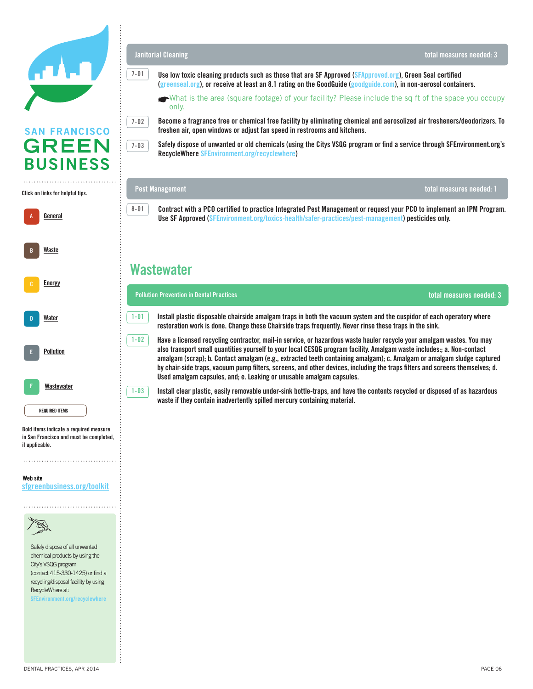

### Click on links for helpful tips. **Click on links for helpful tips.**



Bold items indicate **Bold items indicate a required measure**  a required measured measured measured measured measured measured measured measured measured measured measured and must be completed, **in San Francisco and must be completed,**  if applicable. **if applicable.** 

#### Website **Web site** sfgreenbusiness.org/toolkit **[sfgreenbusiness.org/toolkit](http://sfgreenbusiness.org/toolkit)**



Safely dispose of all unwanted chemical products by using the City's VSQG program (contact 415-330-1425) or find a recycling/disposal facility by using RecycleWhere at: **[SFEnvironment.org/recyclewhere](http://SFEnvironment.org/recyclewhere)** 

**Janitorial Cleaning**

- [\(greenseal.org](http://www.greenseal.org)), or receive at least an 8.1 rating on the GoodGuide ([goodguide.com](http://www.goodguide.com)), in non-aerosol containers. **Use low toxic cleaning products such as those that are SF Approved [\(SFApproved.org](http://www.SFApproved.org)), Green Seal certified** 
	- What is the area (square footage) of your facility? Please include the sq ft of the space you occupy  $\mathsf{only}$ , when you are ready to apply, please submit the enrollment form and checklist at enrollment form and checklist at  $\mathsf{only}$ , and checklist at  $\mathsf{only}$ , and checklist at  $\mathsf{only}$ , and checklist at  $\mathsf{only}$ , and che only.

Become a fragrance free or chemical free facility by eliminating chemical and aerosolized air fresheners/deodorizers. To freshen air, open windows or adjust fan speed in restrooms and kitchens.



.<br>Safely dispose of unwanted or old chemicals (using the Citys VSQG program or find a service through SFEnvironment.org's **RecycleWhere [SFEnvironment.org/recyclewhere\)](http://www.SFEnvironment.org/recyclewhere)** 

### Solid Waste **Pest Management**

Waste Diversion total measures needed: 2 **Use SF Approved ([SFEnvironment.org/toxics-health/safer-practices/pest-management\)](http://www.SFEnvironment.org/toxics-health/safer-practices/pest-management) pesticides only. Contract with a PCO certified to practice Integrated Pest Management or request your PCO to implement an IPM Program.** 

### $\mathcal{L}$ **Wastewater** of bins, capacity, pickup frequency

**8-01**

**7-01**

**7-02**

| <b>Pollution Prevention in Dental Practices</b><br>total measures needed: 3 |                                                                                                                                                                                                                                                                                                                                                                                                                                                                                                                                                                                  |  |
|-----------------------------------------------------------------------------|----------------------------------------------------------------------------------------------------------------------------------------------------------------------------------------------------------------------------------------------------------------------------------------------------------------------------------------------------------------------------------------------------------------------------------------------------------------------------------------------------------------------------------------------------------------------------------|--|
| $1 - 01$                                                                    | Install plastic disposable chairside amalgam traps in both the vacuum system and the cuspidor of each operatory where<br>restoration work is done. Change these Chairside traps frequently. Never rinse these traps in the sink.                                                                                                                                                                                                                                                                                                                                                 |  |
| $1 - 02$                                                                    | Have a licensed recycling contractor, mail-in service, or hazardous waste hauler recycle your amalgam wastes. You may<br>also transport small quantities yourself to your local CESQG program facility. Amalgam waste includes:; a. Non-contact<br>amalgam (scrap); b. Contact amalgam (e.g., extracted teeth containing amalgam); c. Amalgam or amalgam sludge captured<br>by chair-side traps, vacuum pump filters, screens, and other devices, including the traps filters and screens themselves; d.<br>Used amalgam capsules, and; e. Leaking or unusable amalgam capsules. |  |
| $1 - 03$                                                                    | Install clear plastic, easily removable under-sink hottle-trans, and have the contents recycled or disposed of as hazardous                                                                                                                                                                                                                                                                                                                                                                                                                                                      |  |

 $\overline{1-03}$  Install clear plastic, easily removable under-sink bottle-traps, and have the contents recycled or disposed of as hazardous duplex printing). Make single-sided the exception instead of the rule. **waste if they contain inadvertently spilled mercury containing material.**

**total measures needed: 1**

**total measures needed: 3**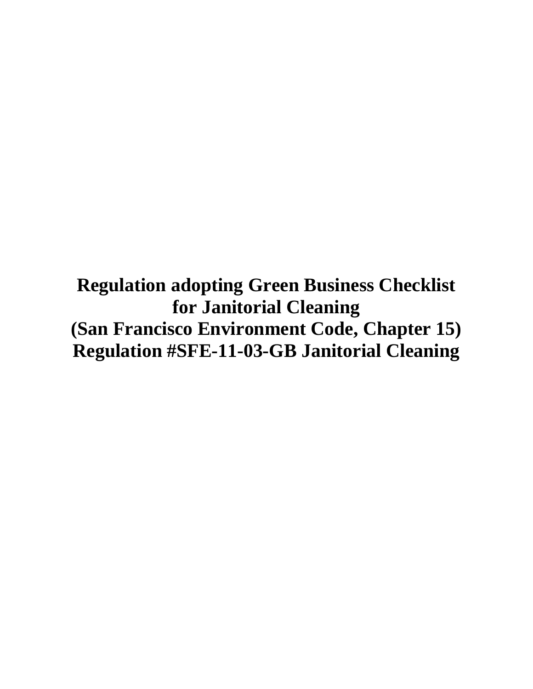**Regulation adopting Green Business Checklist for Janitorial Cleaning (San Francisco Environment Code, Chapter 15) Regulation #SFE-11-03-GB Janitorial Cleaning**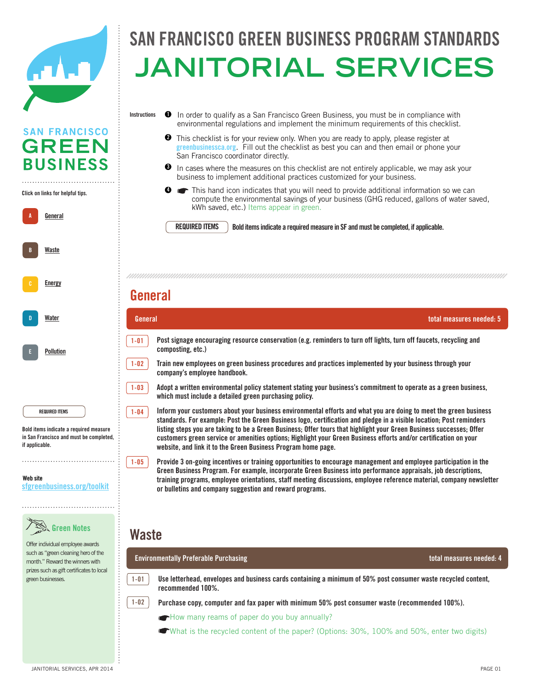

**SAN FRANCISCO GREEN** 

**BUSINESS** 

A **General** 

**A**

**B**

B Energy Conservation

**[Energy](http://sfgreenbusiness.org/green-your-business/toolkit/energy-conservation-guide/)**

**[Waste](http://sfgreenbusiness.org/green-your-business/toolkit/recycling-waste-reduction-guide/)**

Click on links for helpful tips. **Click on links for helpful tips.**

### FRANCISCO GREEN BUSINESS PROGRAM STANDA officers and the complete state of the state of the state of the state of the state of the state of the state o SAN FRANCISCO GREEN BUSINESS PROGRAM STANDAR **Janitorial services**

- In order to qualify as a San Francisco Green Business, you must be in compliance with environmental regulations and implement the minimum requirements of this checklist. **Instructions 1**
	- **2** This checklist is for your review only. When you are ready to apply, please register at This checklist is for your review only. When you are ready to apply, please register at greenbusiness ca.org. Fill out the checklist as best you can and then email or phone your San Francisco coordinator directly.
	- $\bullet$  In cases where the measures on this checklist are not entirely applicable, we may ask your business to implement additional practices customized for your business.

(number of bins, capacity, pickup frequency) in the pickup frequency of bins, capacity, pickup frequency) in t

Solid Waste This hand icon indicates that you will need to provide additional information so we can compute the environmental savings of your business (GHG reduced, gallons of water saved, kWh saved, etc.) Items appear in green. **4**

**REQUIRED ITEMS**

**REQUIRED ITEMS** Bold items indicate a required measure in SF and must be completed, if applicable.

### ☛How many employees does your business have at the certified location? (Leave blank if already entered for **General**

| Water                                                                                                                        | General                                                                                                                                                                                                                                                                                                                                                                                                                                                                                                                                                            | total measures needed: 5 |
|------------------------------------------------------------------------------------------------------------------------------|--------------------------------------------------------------------------------------------------------------------------------------------------------------------------------------------------------------------------------------------------------------------------------------------------------------------------------------------------------------------------------------------------------------------------------------------------------------------------------------------------------------------------------------------------------------------|--------------------------|
| Pollution                                                                                                                    | Post signage encouraging resource conservation (e.g. reminders to turn off lights, turn off faucets, recycling and<br>$1 - 01$<br>composting, etc.)                                                                                                                                                                                                                                                                                                                                                                                                                |                          |
|                                                                                                                              | $1 - 02$<br>Train new employees on green business procedures and practices implemented by your business through your<br>company's employee handbook.                                                                                                                                                                                                                                                                                                                                                                                                               |                          |
|                                                                                                                              | Adopt a written environmental policy statement stating your business's commitment to operate as a green business,<br>$1 - 03$<br>which must include a detailed green purchasing policy.                                                                                                                                                                                                                                                                                                                                                                            |                          |
| <b>REQUIRED ITEMS</b><br>Bold items indicate a required measure<br>in San Francisco and must be completed,<br>if applicable. | Inform your customers about your business environmental efforts and what you are doing to meet the green business<br>$1 - 04$<br>standards. For example: Post the Green Business logo, certification and pledge in a visible location; Post reminders<br>listing steps you are taking to be a Green Business; Offer tours that highlight your Green Business successes; Offer<br>customers green service or amenities options; Highlight your Green Business efforts and/or certification on your<br>website, and link it to the Green Business Program home page. |                          |
| Web site<br>sfgreenbusiness.org/toolkit                                                                                      | Provide 3 on-going incentives or training opportunities to encourage management and employee participation in the<br>$1 - 05$<br>Green Business Program. For example, incorporate Green Business into performance appraisals, job descriptions,<br>training programs, employee orientations, staff meeting discussions, employee reference material, company newsletter<br>or bulletins and company suggestion and reward programs.                                                                                                                                |                          |
| <b>Green Notes</b><br>Offer individual employee awards                                                                       | Waste                                                                                                                                                                                                                                                                                                                                                                                                                                                                                                                                                              |                          |
| such as "green cleaning hero of the<br>month." Reward the winners with                                                       | <b>Environmentally Preferable Purchasing</b>                                                                                                                                                                                                                                                                                                                                                                                                                                                                                                                       | total measures needed: 4 |
| prizes such as gift certificates to local<br>green businesses.                                                               | Use letterhead, envelopes and business cards containing a minimum of 50% post consumer waste recycled content,<br>$1 - 01$<br>recommended 100%.                                                                                                                                                                                                                                                                                                                                                                                                                    |                          |
|                                                                                                                              | $1 - 02$<br>Purchase copy, computer and fax paper with minimum 50% post consumer waste (recommended 100%).                                                                                                                                                                                                                                                                                                                                                                                                                                                         |                          |

How many reams of paper do you buy annually?

What is the recycled content of the paper? (Options: 30%, 100% and 50%, enter two digits)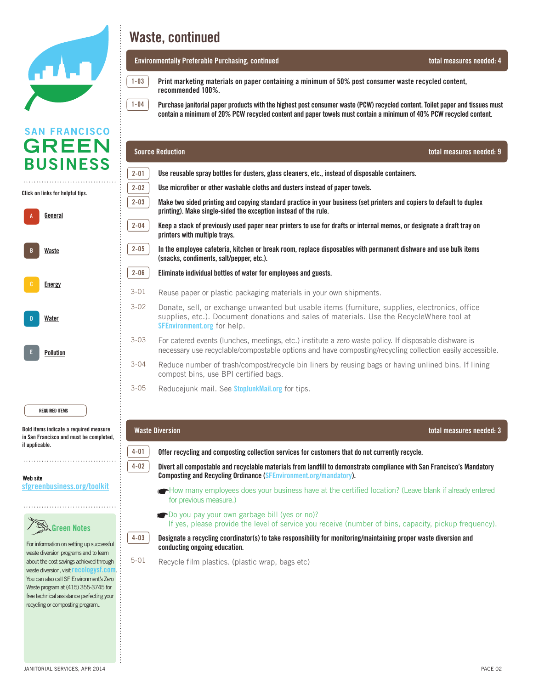

| A | General       |
|---|---------------|
| B | Waste         |
| c | <b>Energy</b> |
| D | Water         |
| E | Pollution     |



For information on setting up For information on setting up successful waste diversion programs and to learn and to learn about the cost savings about the cost savings achieved through achieved through waste diversion, waste diversion, visit **[recologysf.com](http://recologysf.com)**. was also call SF Environment's Zero volutions call of Environment's Zero<br>Waste program at (415) 355-3745 for  $M_{\odot}$  program at  $(125)$  555-5745 for free technical assistance perfecting free technical assistance perfecting your recycling or composting program..

## **San Francisco Green Business Program Standards Program Standards Program Standards**

### officers and the contract of the contract of the contract of the contract of the contract of the contract of t<br>Contract of the contract of the contract of the contract of the contract of the contract of the contract of th **Environmentally Preferable Purchasing, continued total measures needed: 4**

**1-03 1-04**

 $\frac{1-03}{1-03}$  Print marketing materials on paper containing a minimum of 50% post consumer waste recycled content,<br>recommended 100% **recommended 100%.** 

Purchase janitorial paper products with the highest post consumer waste (PCW) recycled content. Toilet paper and tissues must contain a minimum of 20% PCW recycled content and paper towels must contain a minimum of 40% PCW recycled content.

| <b>GREEN</b>                                                                      |          | <b>Source Reduction</b><br>total measures needed: 9                                                                                                                                                                             |
|-----------------------------------------------------------------------------------|----------|---------------------------------------------------------------------------------------------------------------------------------------------------------------------------------------------------------------------------------|
| <b>BUSINESS</b>                                                                   | $2 - 01$ | Use reusable spray bottles for dusters, glass cleaners, etc., instead of disposable containers.                                                                                                                                 |
| Click on links for helpful tips.                                                  | $2 - 02$ | Use microfiber or other washable cloths and dusters instead of paper towels.                                                                                                                                                    |
| General                                                                           | $2 - 03$ | Make two sided printing and copying standard practice in your business (set printers and copiers to default to duplex<br>printing). Make single-sided the exception instead of the rule.                                        |
|                                                                                   | $2 - 04$ | Keep a stack of previously used paper near printers to use for drafts or internal memos, or designate a draft tray on<br>printers with multiple trays.                                                                          |
| Waste                                                                             | $2 - 05$ | In the employee cafeteria, kitchen or break room, replace disposables with permanent dishware and use bulk items<br>(snacks, condiments, salt/pepper, etc.).                                                                    |
|                                                                                   | $2 - 06$ | Eliminate individual bottles of water for employees and guests.                                                                                                                                                                 |
| <b>Energy</b>                                                                     | $3 - 01$ | Reuse paper or plastic packaging materials in your own shipments.                                                                                                                                                               |
| <b>Water</b>                                                                      | $3 - 02$ | Donate, sell, or exchange unwanted but usable items (furniture, supplies, electronics, office<br>supplies, etc.). Document donations and sales of materials. Use the RecycleWhere tool at<br><b>SFEnvironment.org</b> for help. |
| <b>Pollution</b>                                                                  | $3 - 03$ | For catered events (lunches, meetings, etc.) institute a zero waste policy. If disposable dishware is<br>necessary use recyclable/compostable options and have composting/recycling collection easily accessible.               |
|                                                                                   | $3 - 04$ | Reduce number of trash/compost/recycle bin liners by reusing bags or having unlined bins. If lining<br>compost bins, use BPI certified bags.                                                                                    |
|                                                                                   | $3 - 05$ | Reducejunk mail. See <b>StopJunkMail.org</b> for tips.                                                                                                                                                                          |
| <b>REQUIRED ITEMS</b>                                                             |          |                                                                                                                                                                                                                                 |
| Bold items indicate a required measure<br>in San Francisco and must be completed, |          | <b>Waste Diversion</b><br>total measures needed: 3                                                                                                                                                                              |
| if applicable.                                                                    | $4 - 01$ | Offer recycling and composting collection services for customers that do not currently recycle.                                                                                                                                 |
| Web site                                                                          | $4 - 02$ | Divert all compostable and recyclable materials from landfill to demonstrate compliance with San Francisco's Mandatory<br><b>Composting and Recycling Ordinance (SFEnvironment.org/mandatory).</b>                              |
| sfgreenbusiness.org/toolkit                                                       |          | How many employees does your business have at the certified location? (Leave blank if already entered<br>for previous measure.)                                                                                                 |
| $\overline{\mathcal{S}}$ Green Notes                                              |          | Do you pay your own garbage bill (yes or no)?<br>If yes, please provide the level of service you receive (number of bins, capacity, pickup frequency).                                                                          |
| For information on setting up successful<br>waste diversion programs and to learn | $4 - 03$ | Designate a recycling coordinator(s) to take responsibility for monitoring/maintaining proper waste diversion and<br>conducting ongoing education.                                                                              |
| about the cost savings achieved through<br>waste diversion, visit recologysf.com. | $5 - 01$ | Recycle film plastics. (plastic wrap, bags etc)                                                                                                                                                                                 |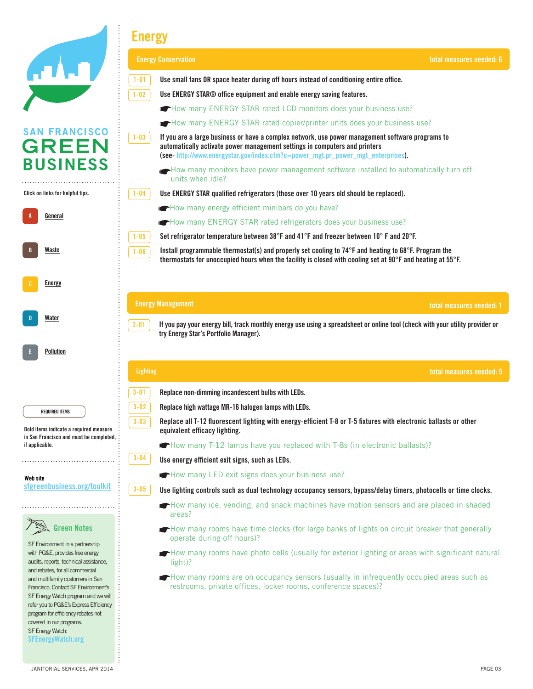|                                                                                                                                                                                                                                                               | <b>Energy</b>                                                                                                                                                                                                                                                                 |  |
|---------------------------------------------------------------------------------------------------------------------------------------------------------------------------------------------------------------------------------------------------------------|-------------------------------------------------------------------------------------------------------------------------------------------------------------------------------------------------------------------------------------------------------------------------------|--|
|                                                                                                                                                                                                                                                               | <b>Energy Conservation</b><br>total measures needed: 6                                                                                                                                                                                                                        |  |
|                                                                                                                                                                                                                                                               | $1 - 01$<br>Use small fans OR space heater during off hours instead of conditioning entire office.                                                                                                                                                                            |  |
|                                                                                                                                                                                                                                                               | $1 - 02$<br>Use ENERGY STAR® office equipment and enable energy saving features.                                                                                                                                                                                              |  |
|                                                                                                                                                                                                                                                               | How many ENERGY STAR rated LCD monitors does your business use?                                                                                                                                                                                                               |  |
|                                                                                                                                                                                                                                                               | How many ENERGY STAR rated copier/printer units does your business use?                                                                                                                                                                                                       |  |
| <b>SAN FRANCISCO</b><br><b>GREEN</b>                                                                                                                                                                                                                          | $1 - 03$<br>If you are a large business or have a complex network, use power management software programs to<br>automatically activate power management settings in computers and printers<br>(see-http://www.energystar.gov/index.cfm?c=power_mgt.pr_power_mgt_enterprises). |  |
| <b>BUSINESS</b>                                                                                                                                                                                                                                               | How many monitors have power management software installed to automatically turn off<br>units when idle?                                                                                                                                                                      |  |
| Click on links for helpful tips.                                                                                                                                                                                                                              | Use ENERGY STAR qualified refrigerators (those over 10 years old should be replaced).<br>$1 - 04$                                                                                                                                                                             |  |
|                                                                                                                                                                                                                                                               | How many energy efficient minibars do you have?                                                                                                                                                                                                                               |  |
| General                                                                                                                                                                                                                                                       | How many ENERGY STAR rated refrigerators does your business use?                                                                                                                                                                                                              |  |
|                                                                                                                                                                                                                                                               | Set refrigerator temperature between 38°F and 41°F and freezer between 10°F and 20°F.<br>$1 - 05$                                                                                                                                                                             |  |
| Waste                                                                                                                                                                                                                                                         | Install programmable thermostat(s) and properly set cooling to 74°F and heating to 68°F. Program the<br>$1 - 06$<br>thermostats for unoccupied hours when the facility is closed with cooling set at 90°F and heating at 55°F.                                                |  |
| Energy                                                                                                                                                                                                                                                        |                                                                                                                                                                                                                                                                               |  |
|                                                                                                                                                                                                                                                               | <b>Energy Management</b><br>total measures needed: 1                                                                                                                                                                                                                          |  |
| Water                                                                                                                                                                                                                                                         | If you pay your energy bill, track monthly energy use using a spreadsheet or online tool (check with your utility provider or<br>$2 - 01$<br>try Energy Star's Portfolio Manager).                                                                                            |  |
| Pollution                                                                                                                                                                                                                                                     |                                                                                                                                                                                                                                                                               |  |
|                                                                                                                                                                                                                                                               | <b>Lighting</b><br>total measures needed: 5                                                                                                                                                                                                                                   |  |
|                                                                                                                                                                                                                                                               | $3 - 01$<br>Replace non-dimming incandescent bulbs with LEDs.                                                                                                                                                                                                                 |  |
| <b>REQUIRED ITEMS</b>                                                                                                                                                                                                                                         | $3 - 02$<br>Replace high wattage MR-16 halogen lamps with LEDs.                                                                                                                                                                                                               |  |
| Bold items indicate a required measure                                                                                                                                                                                                                        | Replace all T-12 fluorescent lighting with energy-efficient T-8 or T-5 fixtures with electronic ballasts or other<br>$3 - 03$<br>equivalent efficacy lighting.                                                                                                                |  |
| in San Francisco and must be completed,<br>if applicable.                                                                                                                                                                                                     | • How many T-12 lamps have you replaced with T-8s (in electronic ballasts)?                                                                                                                                                                                                   |  |
|                                                                                                                                                                                                                                                               | $3 - 04$<br>Use energy efficient exit signs, such as LEDs.                                                                                                                                                                                                                    |  |
| Web site                                                                                                                                                                                                                                                      | How many LED exit signs does your business use?                                                                                                                                                                                                                               |  |
| sfgreenbusiness.org/toolkit                                                                                                                                                                                                                                   | $3 - 05$<br>Use lighting controls such as dual technology occupancy sensors, bypass/delay timers, photocells or time clocks.                                                                                                                                                  |  |
|                                                                                                                                                                                                                                                               | How many ice, vending, and snack machines have motion sensors and are placed in shaded<br>areas?                                                                                                                                                                              |  |
| <b>Green Notes</b><br>SF Environment in a partnership                                                                                                                                                                                                         | How many rooms have time clocks (for large banks of lights on circuit breaker that generally<br>operate during off hours)?                                                                                                                                                    |  |
| with PG&E, provides free energy<br>audits, reports, technical assistance,                                                                                                                                                                                     | How many rooms have photo cells (usually for exterior lighting or areas with significant natural<br>light)?                                                                                                                                                                   |  |
| and rebates, for all commercial<br>and multifamily customers in San<br>Francisco. Contact SF Environment's<br>SF Energy Watch program and we will<br>refer you to PG&E's Express Efficiency<br>program for efficiency rebates not<br>covered in our programs. | How many rooms are on occupancy sensors (usually in infrequently occupied areas such as<br>restrooms, private offices, locker rooms, conference spaces)?                                                                                                                      |  |
| SF Energy Watch:<br><b>SFEnergyWatch.org</b>                                                                                                                                                                                                                  |                                                                                                                                                                                                                                                                               |  |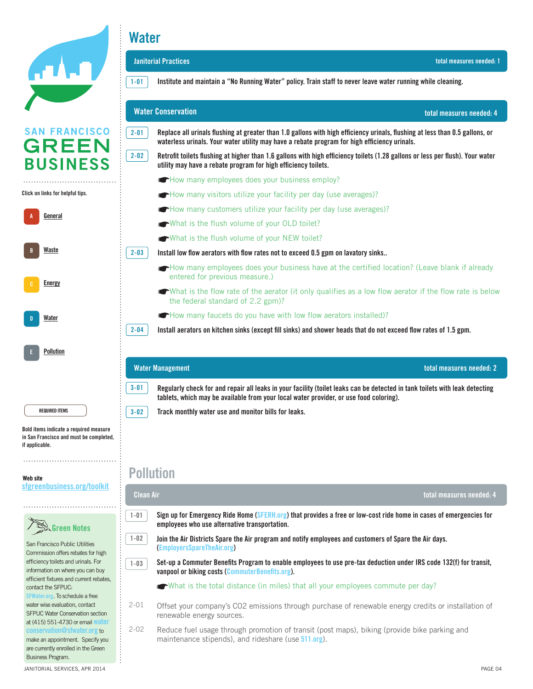| <b>ATALO</b> |  |  |
|--------------|--|--|
|              |  |  |
|              |  |  |

### **Water**

|                                      | <b>Janitorial Practices</b>                                                                                                                                                                                                              | total measures needed: 1 |
|--------------------------------------|------------------------------------------------------------------------------------------------------------------------------------------------------------------------------------------------------------------------------------------|--------------------------|
|                                      | Institute and maintain a "No Running Water" policy. Train staff to never leave water running while cleaning.<br>$1 - 01$                                                                                                                 |                          |
|                                      | <b>Water Conservation</b>                                                                                                                                                                                                                | total measures needed: 4 |
| <b>SAN FRANCISCO</b><br><b>GREEN</b> | $2 - 01$<br>Replace all urinals flushing at greater than 1.0 gallons with high efficiency urinals, flushing at less than 0.5 gallons, or<br>waterless urinals. Your water utility may have a rebate program for high efficiency urinals. |                          |
| <b>BUSINESS</b>                      | $2 - 02$<br>Retrofit toilets flushing at higher than 1.6 gallons with high efficiency toilets (1.28 gallons or less per flush). Your water<br>utility may have a rebate program for high efficiency toilets.                             |                          |
|                                      | How many employees does your business employ?                                                                                                                                                                                            |                          |
| Click on links for helpful tips.     | How many visitors utilize your facility per day (use averages)?                                                                                                                                                                          |                          |
|                                      | How many customers utilize your facility per day (use averages)?                                                                                                                                                                         |                          |
| General                              | What is the flush volume of your OLD toilet?                                                                                                                                                                                             |                          |
|                                      | What is the flush volume of your NEW toilet?                                                                                                                                                                                             |                          |
| Waste                                | $2 - 03$<br>Install low flow aerators with flow rates not to exceed 0.5 gpm on lavatory sinks                                                                                                                                            |                          |
| <b>Energy</b>                        | How many employees does your business have at the certified location? (Leave blank if already<br>entered for previous measure.)                                                                                                          |                          |
|                                      | What is the flow rate of the aerator (it only qualifies as a low flow aerator if the flow rate is below<br>the federal standard of 2.2 gpm)?                                                                                             |                          |
| Water                                | • How many faucets do you have with low flow aerators installed)?                                                                                                                                                                        |                          |
|                                      | $2 - 04$<br>Install aerators on kitchen sinks (except fill sinks) and shower heads that do not exceed flow rates of 1.5 gpm.                                                                                                             |                          |
| Pollution                            |                                                                                                                                                                                                                                          |                          |
|                                      | <b>Water Management</b>                                                                                                                                                                                                                  | total measures needed: 2 |
|                                      | $3 - 01$<br>Regularly check for and repair all leaks in your facility (toilet leaks can be detected in tank toilets with leak detecting<br>tablets, which may be available from your local water provider, or use food coloring).        |                          |
| <b>REQUIRED ITEMS</b>                | Track monthly water use and monitor bills for leaks.<br>$3 - 02$                                                                                                                                                                         |                          |

Bold items indicate **Bold items indicate a required measure**  a required measured measured measured measured measured measured measured measured measured measured measured and must be completed, **in San Francisco and must be completed,**  if applicable. **if applicable.** 

Website **Web site** sfgreenbusiness.org/toolkit **[sfgreenbusiness.org/toolkit](http://sfgreenbusiness.org/toolkit)**



San Francisco Public Utilities **Commission offers rebates for high** ediministic to lead the cost saving.<br>
efficiency toilets and urinals. For ensionsy tension and annuals their wherevere the mistury you can buy<br>efficient fixtures and current rebates, emerent meaned and dament real<br>contact the SFPUC: **[SFWater.org](http://sfwater.org). To schedule a free** of materials assessed as a media assistance perfection. mater mee enalidation, compact program. at (415) 551-4730 or email **[water](mailto:waterconservation@sfwater.org)  [conservation@sfwater.org](mailto:waterconservation@sfwater.org)** to make an appointment. Specify you are currently enrolled in the Green Business Program.

**EXECUTE AND SEND AND RECEIVE FACE CONSUMING CONSUMING A** consider the employees who use alternative transportation. **I-02** Doin the Air Districts Spare the Air program and notify employees and customers of Spare the Air days. a-12 Centralize employee schedules, meeting announcements and journals in a single location (bulletin board, whiteboard, email, **Sign up for Emergency Ride Home ([SFERH.org](http://sferh.org)) that provides a free or low-cost ride home in cases of emergencies for ([EmployersSpareTheAir.org](http://employerssparetheair.org)) 1-02**

a-09 Donate, sell, or exchange unwanted but usable items (furniture, supplies, electronics, office supplies, etc.). Document **total measures needed: 4**

Set-up a Commuter Benefits Program to enable employees to use pre-tax deduction under IRS code 132(f) for transit, **vanpool or biking costs ([CommuterBenefits.org](http://www.CommuterBenefits.org)). 1-03**

What is the total distance (in miles) that all your employees commute per day?

donations and sales of materials. Use the EcofindeRRR at sfenvironment.org for help.

a-08 Retailers -- offer durable, reusable bags at checkout.

**Pollution**

**Clean Air**

**1-01**

 $2-01$  Offset your company's CO2 emissions through purchase of renewable energy credits or installation of renewable energy sources. 2-01

-02 Reduce fuel usage through promotion of transit (post maps), biking (provide bike parking and a-16 Retailers - offer an incentive to customers who bring the incentive to coffee mugs, etc. and or use a disincentive to coffee mugs, coffee mugs, coffee mugs, coffee mugs, etc. and or use a disincentive to coffee must, maintenance stipends), and rideshare (use **[511.org](http://www.511.org)**). 2-02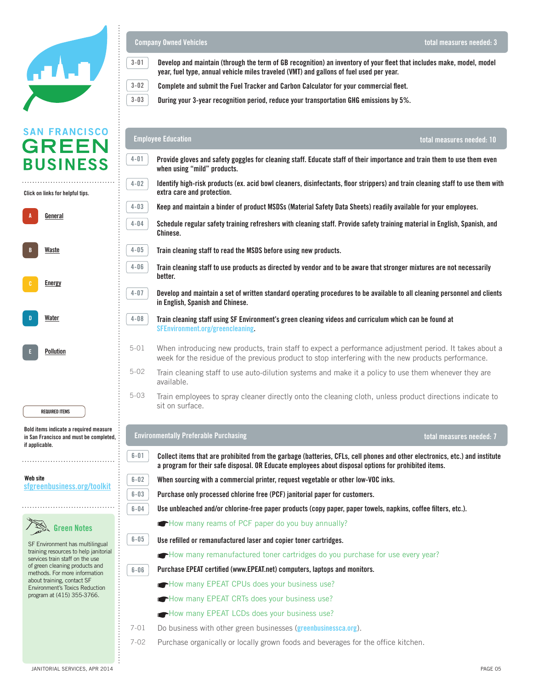

### Click on links for helpful tips. **Click on links for helpful tips.**

| A | General       |
|---|---------------|
| B | Waste         |
| c | <b>Energy</b> |
| D | Water         |
| E | Pollution     |
|   |               |

REQUIRED ITEM **REQUIRED ITEMS**

Bold items indicate **Bold items indicate a required measure in San Francisco and must be completed,** and complete the complete complete the complete of the complete complete complete complete complete complete c if applicable. **if applicable.** 

#### Website **Web site** sfgreenbusiness.org/toolkit **[sfgreenbusiness.org/toolkit](http://sfgreenbusiness.org/toolkit)**



SF Environment has multilingual training resources to help janitorial services train staff on the use of green cleaning products and methods. For more information about training, contact or<br>Environment's Toxics Reduction program at (415) 355-3766. about training, contact SF

### San Francisco Green Business Program Standards **Company Owned Vehicles**

**3-02 3-03**

.<br>Develop and maintain (through the term of GB recognition) an inventory of your fleet that includes make, model, model **year, fuel type, annual vehicle miles traveled (VMT) and gallons of fuel used per year. 3-01**

 $\mathcal{L}_{\mathcal{A}}$  in cases where not entirely applicable, we may ask your business to implement additional additional and times to implement additional additional additional additional additional additional additional additi

**total measures needed: 3**

**Complete and submit the Fuel Tracker and Carbon Calculator for your commercial fleet.** 

implement the minimum requirements of this checklist. During your 3-year recognition period, reduce your transportation GHG emissions by 5%.<br>

#### <sup>❹</sup> ☛ This hand icon indicates that you will need to provide additional information so we can compute the environmental **Employee Education total measures needed: 10** savings of your business (GHG reduced, gallons of water saved, kWh saved, etc) **4-01 Provide gloves and safety goggles for cleaning staff. Educate staff of their importance and train them to use them even**  when using "mild" products.  $\blacksquare$ **4-02 Identify high-risk products (ex. acid bowl cleaners, disinfectants, floor strippers) and train cleaning staff to use them with extra care and protection.** Solid Waste **Keep and maintain a binder of product MSDSs (Material Safety Data Sheets) readily available for your employees. 4-03 4-04** <sup>1-04</sup> Schedule regular safety training refreshers with cleaning staff. Provide safety training material in English, Spanish, and **Chinese.**  $\overline{A}$ **4-05** Train cleaning staff to read the MSDS before using new products. .<br>Train cleaning staff to use products as directed by vendor and to be aware that stronger mixtures are not necessarily **4-06**  $\mathbf{r}$ **better.**  $\mathcal{L}_{\text{H}}$  many employees does the certified location? (Leave blank if already entered for all  $\mathcal{L}_{\text{H}}$ **4-07** Develop and maintain a set of written standard operating procedures to be available to all cleaning personnel and clients **in English, Spanish and Chinese.**  $A_0$  designation and some responsibility for monotoning  $\mathcal{L}$ **4-08** Train cleaning staff using SF Environment's green cleaning videos and curriculum which can be found at **[SFEnvironment.org/greencleaning.](http://www.SFEnvironment.org/greencleaning)** 5-01 When introducing new products, train staff to expect a performance adjustment period. It takes about a week for the residue of the previous product to stop interfering with the new products performance. 5-02 Train cleaning staff to use auto-dilution systems and make it a policy to use them whenever they are available.  $A_0$  make two sided principal properties in  $A_0$  and copiers to default to default to default to default to default to default to default to default to default to default to default to default to default to default to d 5-03 Train employees to spray cleaner directly onto the cleaning cloth, unless product directions indicate to sit on surface. content or BPI certified composite design of the BPI certified composite design of the BPI certified composite A-06 In the employee cafeteria, kitchen or break room, replace disposables with permanent dishware and use bulk **Environmentally Preferable Purchasing total measures needed: 7**items (snacks, condiments, salt/pepper, etc.). **6-01 Collect items that are prohibited from the garbage (batteries, CFLs, cell phones and other electronics, etc.) and institute a** program for their safe disposal. OR Educate employees about disposal options for prohibited items. **6-02** 6-02 **When sourcing with a commercial printer, request vegetable or other low-VOC inks.** 6-03 **Purchase only processed chlorine free (PCF) janitorial paper for customers. 6-03** .<br>Use unbleached and/or chlorine-free paper products (copy paper, paper towels, napkins, coffee filters, etc.). **6-04 C**How many reams of PCF paper do you buy annually? **6-05** Use refilled or remanufactured laser and copier toner cartridges. **6-05** How many remanufactured toner cartridges do you purchase for use every year? Purchase EPEAT certified (www.EPEAT.net) computers, laptops and monitors. **6-06**  $\overline{\phantom{a}}$  For catered events (lunches, meetings, etc.) institute a zero waste policy. If disposable disposable disposable disposable disposable disposable disposable disposable disposable disposable disposable disposabl **Figure 20** FIGUS and have compositions and have component continuously accessible. **A-14 Reduce number of the EPEAT CRTs does your business use?** In all the MPI bins, use BPI bins, use BPI bins, u free technical assistance perfecting How many EPEAT LCDs does your business use? 7-01 7-01 Do business with other green businesses (**[greenbusinessca.org](http://www.greenbusinessca.org)**). 7-02 7-02 Purchase organically or locally grown foods and beverages for the office kitchen.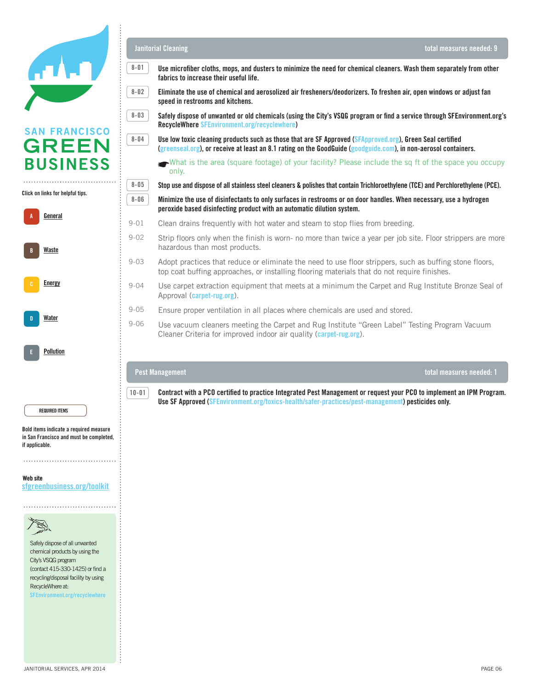

Click on links for helpful tips. **Click on links for helpful tips.**

| A | General       |
|---|---------------|
| B | Waste         |
| c | <b>Energy</b> |
| D | Water         |
| E | Pollution     |

Bold items indicate **Bold items indicate a required measure**  a required measured measured measured measured measured measured measured measured measured measured measured and must be completed, **in San Francisco and must be completed,**  if applicable. **if applicable.** 

Website **Web site** sfgreenbusiness.org/toolkit **[sfgreenbusiness.org/toolkit](http://sfgreenbusiness.org/toolkit)**



Safely dispose of all unwanted chemical products by using the city's VSQG program  $\frac{6}{2}$  (contact 415-330-1425) or find a recycling/disposal facility by using also call SF Environments Controlled Barbor and SF 2014  $SFEnvironment.org/recyclewhere$ 

free technical assistance perfecting

D Pollution Prevention

REQUIRED ITEM **REQUIRED ITEMS**

#### **Janitorial Cleaning**

**8-05**

**8-06**

**8-03**

**8-04**

**8-02**



**total measures needed: 1**

**Use microfiber cloths, mops, and dusters to minimize the need for chemical cleaners. Wash them separately from other fabrics to increase their useful life. 8-01**

San Francisco Green Business Program Standards

 $\overline{a}$   $\overline{b}$  In  $\overline{a}$  In order to  $\overline{a}$  and  $\overline{b}$  complied a  $\overline{b}$  franchisco  $\overline{b}$  regulations and  $\overline{b}$  regulations and  $\overline{b}$ Eliminate the use of chemical and aerosolized air fresheners/deodorizers. To freshen air, open windows or adjust fan<br> ❷ This checklist is for your review only. When you are ready to apply, please submit the enrollment form and checklist at **speed in restrooms and kitchens.** 

Safely dispose of unwanted or old chemicals (using the City's VSQG program or find a service through SFEnvironment.org's ❸ In cases where the measures on this checklist are not entirely applicable, we may ask your business to implement additional **RecycleWhere [SFEnvironment.org/recyclewhere\)](http://www.SFEnvironment.org/recyclewhere)**

Use low toxic cleaning products such as those that are SF Approved (S<mark>FApproved.org), Green Seal certified</mark><br>Crreanseal arg), or receive at least an 8.1 rating on the GoodGuide (goodguide com), in non-aerosol containers [\(greenseal.org](http://www.greenseal.org)), or receive at least an 8.1 rating on the GoodGuide (<mark>[goodguide.com](http://www.goodguide.com)), in non-aerosol containers.</mark>

What is the area (square footage) of your facility? Please include the sq ft of the space you occupy<br>only only.

**Stop use and dispose of all stainless steel cleaners & polishes that contain Trichloroethylene (TCE) and Perchlorethylene (PCE).**

 $\overline{8-06}$  Minimize the use of disinfectants to only surfaces in restrooms or on door handles. When necessary, use a hydrogen **peroxide based disinfecting product with an automatic dilution system.** 

- $01$  Clean drains frequently with hot water and steam to stop flies from breeding. 9-01
- hazardous than most products. Mandatory Composting and Recycling Ordinance (www.sfenvironment.org/mandatory). Strip floors only when the finish is worn- no more than twice a year per job site. Floor strippers are more 9-02
- Adopt practices that reduce or eliminate the need to use floor strippers, such as buffing stone floors, top coat buffing approaches, or installing flooring materials that do not require finishes. 9-03
- Use carpet extraction equipment that meets at a minimum the Carpet and Rug Institute Bronze Seal of previous measure.) Approval (**[carpet-rug.org](http://www.carpet-rug.org)**). 9-04
- A-05 Ensure proper ventilation in all places where chemicals are used and stored. 9-05
- Use vacuum cleaners meeting the Carpet and Rug Institute "Green Label" Testing Program Vacuum Source Reduction total measures needed: 9 Cleaner Criteria for improved indoor air quality (**[carpet-rug.org](http://www.carpet-rug.org)**). 9-06

A-03 Keep a stack of previously used paper near printers. Use it for scratch paper or internal memos, make it into

#### notepads, or designate a bypass tray on printer for printing draft single-sided documents. **Pest Management**

 $\overline{\phantom{a}}$  Make two sided principal probability in your business (set printers and copiers and copiers to default to default to default to default to default to default to default to default to default to default to defa duplex printing). Make single-sided the exception instead of the rule. **Contract with a PCO certified to practice Integrated Pest Management or request your PCO to implement an IPM Program. Use SF Approved ([SFEnvironment.org/toxics-health/safer-practices/pest-management\)](http://www.SFEnvironment.org/toxics-health/safer-practices/pest-management) pesticides only. 10-01**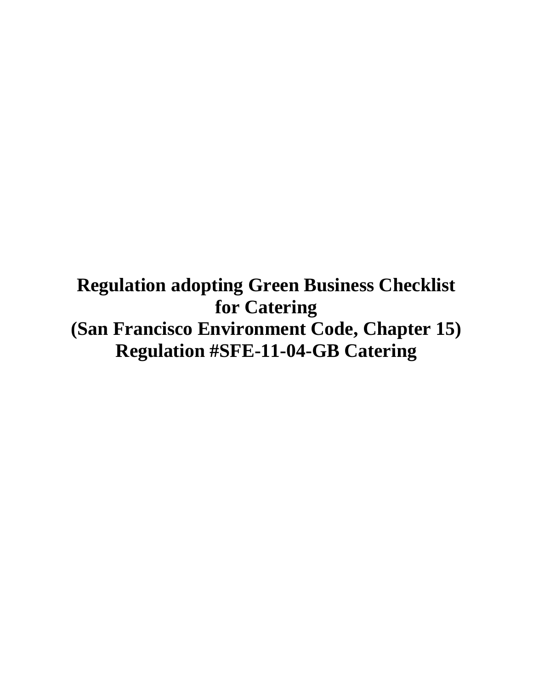**Regulation adopting Green Business Checklist for Catering (San Francisco Environment Code, Chapter 15) Regulation #SFE-11-04-GB Catering**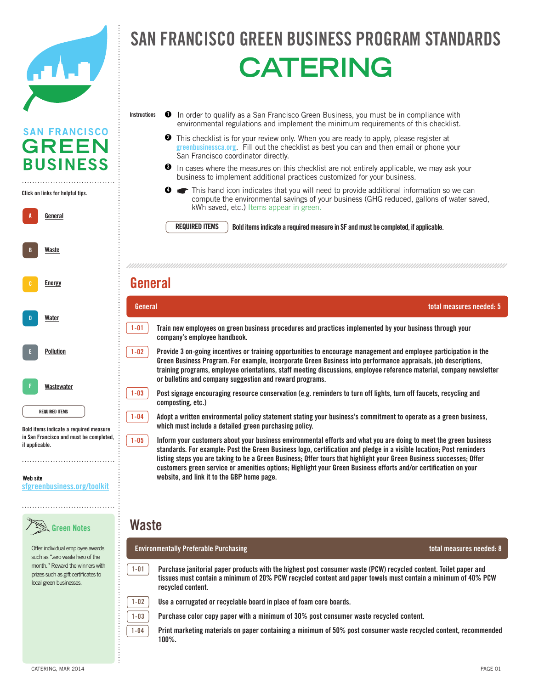

A **General** 

**A**

**B**

B Energy Conservation

**[Energy](http://sfgreenbusiness.org/green-your-business/toolkit/energy-conservation-guide/)**

**[Waste](http://sfgreenbusiness.org/green-your-business/toolkit/recycling-waste-reduction-guide/)**

Click on links for helpful tips. **Click on links for helpful tips.**

. . . . . . . . . . . . . . . . . . . .

**SAN FRANCISCO GREEN BUSINESS** 

### FRANCISCO GREEN BUSINESS PROGRAM STANDA officers and the second contract of the second contract of the second contract of the second contract of the s SAN FRANCISCO GREEN BUSINESS PROGRAM STANDAR **CATERING**

- In order to qualify as a San Francisco Green Business, you must be in compliance with environmental regulations and implement the minimum requirements of this checklist. **Instructions 1**
	- This checklist is for your review only. When you are ready to apply, please register at This checklist is for your review only. When you are ready to apply, please register at greenbusiness ca.org. Fill out the checklist as best you can and then email or phone your San Francisco coordinator directly. **2**
	- $\bullet$  In cases where the measures on this checklist are not entirely applicable, we may ask your business to implement additional practices customized for your business.

☛Do you pay your own garbage bill (yes or no)? If yes, please provide the level of service you recieve

Solid Waste This hand icon indicates that you will need to provide additional information so we can compute the environmental savings of your business (GHG reduced, gallons of water saved, kWh saved, etc.) Items appear in green. **4**

**REQUIRED ITEMS**

**REQUIRED ITEMS** Bold items indicate a required measure in SF and must be completed, if applicable.

#### $\mathsf{rad}$  , the certified location  $\mathsf{rad}$  if already entered for alleady entered for alleady entered for all **General**

| D                                                               | General  | total measures needed: 5                                                                                                                                                                                                                                                                                                                                                                                                |
|-----------------------------------------------------------------|----------|-------------------------------------------------------------------------------------------------------------------------------------------------------------------------------------------------------------------------------------------------------------------------------------------------------------------------------------------------------------------------------------------------------------------------|
| Water                                                           | 1-01     | Train new employees on green business procedures and practices implemented by your business through your<br>company's employee handbook.                                                                                                                                                                                                                                                                                |
| <b>Pollution</b>                                                | $1 - 02$ | Provide 3 on-going incentives or training opportunities to encourage management and employee participation in the<br>Green Business Program. For example, incorporate Green Business into performance appraisals, job descriptions,<br>training programs, employee orientations, staff meeting discussions, employee reference material, company newsletter<br>or bulletins and company suggestion and reward programs. |
| Wastewater                                                      | $1 - 03$ | Post signage encouraging resource conservation (e.g. reminders to turn off lights, turn off faucets, recycling and<br>composting, etc.)                                                                                                                                                                                                                                                                                 |
| <b>REQUIRED ITEMS</b><br>Bold items indicate a required measure | $1 - 04$ | Adopt a written environmental policy statement stating your business's commitment to operate as a green business,<br>which must include a detailed green purchasing policy.                                                                                                                                                                                                                                             |
| in San Francisco and must be completed,<br>if applicable.       | $1 - 05$ | Inform your customers about your business environmental efforts and what you are doing to meet the green business<br>standards. For example: Post the Green Business logo, certification and pledge in a visible location; Post reminders                                                                                                                                                                               |

**customers green service or amenities options; Highlight your Green Business efforts and/or certification on your** website, and link it to the GBP home page. **listing steps you are taking to be a Green Business; Offer tours that highlight your Green Business successes; Offer** 

### a-10 Send and receive faxes directly from computers without printing. **Waste**

Offer individual employee awards such as "zero waste hero of the month." Reward the winners with prizes such as gift certificates to

a-12 Centralize employee schedules, meeting and journals in a single location (bulletin board, whiteboard, whiteboard, which is a single location (bulletin board, which is a single location (bulletin board, which is a sing **Environmentally Preferable Purchasing total measures needed: 8**

Purchase janitorial paper products with the highest post consumer waste (PCW) recycled content. Toilet paper and tissues must contain a minimum of 20% PCW recycled content and paper towels must contain a minimum of 40% PCW recyclable/compostable options and have composting/recycling collection easily accessible. **recycled content. 1-01**

1-02 **I** Use a corrugated or recyclable board in place of foam core boards.

a-11 Reuse paper or plastic packaging materials in your own shipments.

**1-02 1-03 1-04**

Purchase color copy paper with a minimum of 30% post consumer waste recycled content.

1-04 **Print marketing materials on paper containing a minimum of 50% post consumer waste recycled content, recommended 100%.**

Website **Web site**

sfgreenbusiness.org/toolkit **[sfgreenbusiness.org/toolkit](http://sfgreenbusiness.org/toolkit)**

Green Notes **Green Notes**

local green businesses.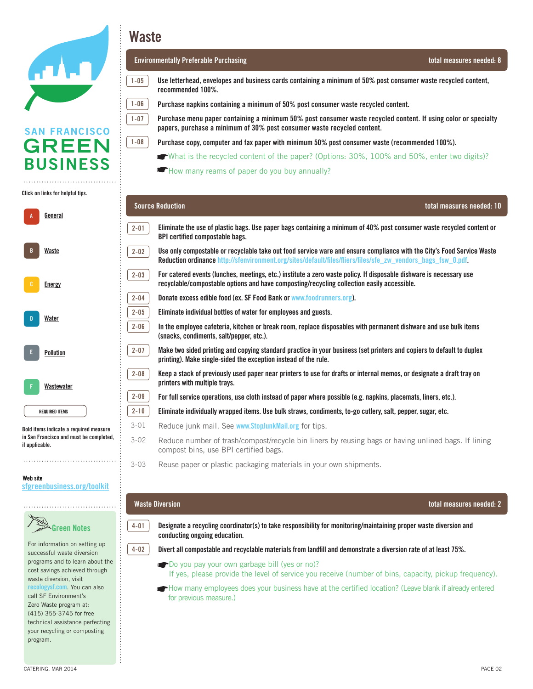

### Click on links for helpful tips. **Click on links for helpful tips.**

| A | General               |  |
|---|-----------------------|--|
| B | Waste                 |  |
| c | <b>Energy</b>         |  |
| D | Water                 |  |
| E | Pollution             |  |
| F | Wastewater            |  |
|   | <b>REQUIRED ITEMS</b> |  |

Bold items indicate **Bold items indicate a required measure**  a required measured measured measured measured measured measured measured measured measured measured measured and must be completed, **in San Francisco and must be completed,**  if applicable. **if applicable.** 

#### Website **Web site** sfgreenbusiness.org/toolkit **[sfgreenbusiness.org/toolkit](http://sfgreenbusiness.org/toolkit)**

### Green Notes **Green Notes**

For information on setting up For information on setting up successful waste diversion programs and to learn about the pregrame and to ream about the<br>cost savings achieved through vsst satings asmoted misagn<br>waste diversion, visit maste arreferent, there is a series of the **[recologysf.com](http://recologysf.com)**. You can also Waste program at 415-355-3745 for call SF Environment's zero Waste program at:<br>Zero Waste program at: esto tracto program at:<br>(415) 355-3745 for free (120) 600 67 16 16, 180<br>technical assistance perfecting your recycling or composting program.

**Waste**

**1-07 1-06**

**1-08**

**1-05**

**Source Reduction** 

#### **Environmentally Preferable Purchasing total measures needed: 8**

**instructions as a San Francisco Green Business, you must be in compliance with environmental regulations and in compliance with environmental regulations and in compliance with environmental regulations and in compliance Use letterhead, envelopes and business cards containing a minimum of 50% post consumer waste recycled content,** 

Office/Retail

Purchase napkins containing a minimum of 50% post consumer waste recycled content.

.<br>Purchase menu paper containing a minimum 50% post consumer waste recycled content. If using color or specialty onaso where the measures are not the measures on the measures where the measures on the measures of the measure papers, purchase a minimum of 30% post consumer waste recycled content.

Purchase copy, computer and fax paper with minimum 50% post consumer waste (recommended 100%).

- What is the recycled content of the paper? (Options: 30%, 100% and 50%, enter two digits)?
- How many reams of paper do you buy annually?

#### $\overline{\phantom{x}}$  Eliminate the use of plastic bags. Use paper bags containing a minimum of 40% post consumer waste recycled content or **2-01 BPI certified compostable bags.**  $A_{\rm{max}}$  divertices and recyclable materials from landfill to demonstrate compliance with San Francisco's  $A_{\rm{max}}$ **2-02**  Use only compostable or recyclable take out food service ware and ensure compliance with the City's Food Service Waste <mark>Reduction ordinance http:</mark>//sfenvironment.org/sites/default/files/fliers/files/sfe\_zw\_vendors\_bags\_fsw\_0.pdf. For catered events (lunches, meetings, etc.) institute a zero waste policy. If disposable dishware is necessary use **2-03 For succeded stank (tanshed) modellige) star) modelled at the matter pontyr in alleptically accessible.**<br>recyclable/compostable options and have composting/recycling collection easily accessible. previous measure.) **Donate excess edible food (ex. SF Food Bank or [www.foodrunners.org\)](http://www.foodrunners.org). 2-04**   $\overline{a}$  **2**-05 Eliminate individual bottles of water for employees and guests. **2-05**  and conducting the conduction of  $\alpha$ **2-06 In the employee cafeteria, kitchen or break room, replace disposables with permanent dishware and use bulk items (snacks, condiments, salt/pepper, etc.).**  $\sum_{i=1}^{n}$ **2-07 Make two sided printing and copying standard practice in your business (set printers and copiers to default to duplex Figure 2** or printing). Make single-sided the exception instead of the rule. Keep a stack of previously used paper near printers to use for drafts or internal memos, or designate a draft tray on **2-08 printers with multiple trays.**  $\rho$  met sydem matches two sides standard properties in  $\rho$  and copiers to default to default to default to default to default to default to default to default to default to default to default to default to default to de **2-09**  For full service operations, use cloth instead of paper where possible (e.g. napkins, placemats, liners, etc.). **2-10**   $2\text{-}10$   $\,$   $\,$   $\,$  Eliminate individually wrapped items. Use bulk straws, condiments, to-go cutlery, salt, pepper, sugar, etc. Reduce junk mail. See [www.StopJunkMail.org](http://www.StopJunkMail.org) for tips. 3-01 3-02 3-02 Reduce number of trash/compost/recycle bin liners by reusing bags or having unlined bags. If lining compost bins, use BPI certified bags.

3-03 Reuse paper or plastic packaging materials in your own shipments. 3-03

#### $\alpha$  donations and sales of materials. Use the EcofindeRRR at since  $\alpha$  at since  $\alpha$  at since  $\alpha$

**4-01**

**4-02**

<sup>4-01</sup> Designate a recycling coordinator(s) to take responsibility for monitoring/maintaining proper waste diversion and **a-11** Conducting ongoing education.

a-09 Donate, sell, or exchange unwanted but uses, supplies, electronics, or electronics, or electronics,  $\alpha$ 

 $4-02$  Divert all compostable and recyclable materials from landfill and demonstrate a diversion rate of at least 75%.

- Do you pay your own garbage bill (yes or no)?
- If yes, please provide the level of service you receive (number of bins, capacity, pickup frequency).
- How many employees does your business have at the certified location? (Leave blank if already entered a-14 Reduce number of trash-composition bins. If  $\alpha$  is liners by reusing unlined bins. If  $\alpha$ for previous measure.)

**Waste Diversion total measures needed: 2**

**total measures needed: 10**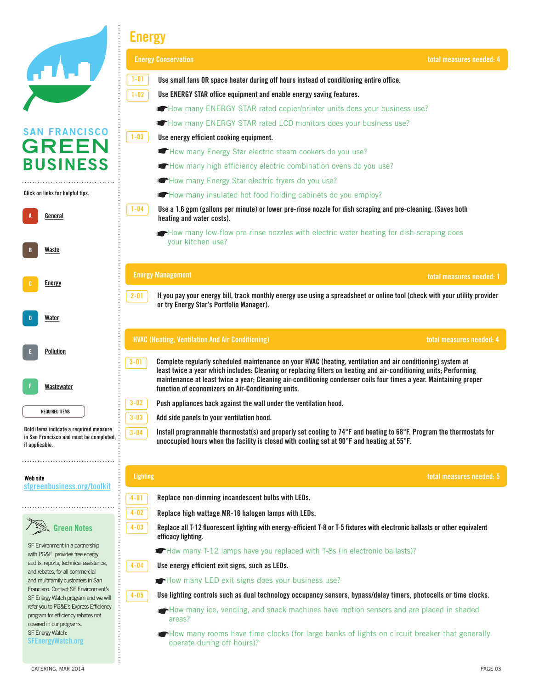|                                                                                                     | <b>Energy</b>                                                                                                                                                                                                                                                                                                                                                                                                             |                          |
|-----------------------------------------------------------------------------------------------------|---------------------------------------------------------------------------------------------------------------------------------------------------------------------------------------------------------------------------------------------------------------------------------------------------------------------------------------------------------------------------------------------------------------------------|--------------------------|
|                                                                                                     | <b>Energy Conservation</b>                                                                                                                                                                                                                                                                                                                                                                                                | total measures needed: 4 |
|                                                                                                     | $1 - 01$<br>Use small fans OR space heater during off hours instead of conditioning entire office.                                                                                                                                                                                                                                                                                                                        |                          |
|                                                                                                     | $1 - 02$<br>Use ENERGY STAR office equipment and enable energy saving features.                                                                                                                                                                                                                                                                                                                                           |                          |
|                                                                                                     | How many ENERGY STAR rated copier/printer units does your business use?                                                                                                                                                                                                                                                                                                                                                   |                          |
|                                                                                                     | How many ENERGY STAR rated LCD monitors does your business use?                                                                                                                                                                                                                                                                                                                                                           |                          |
| <b>SAN FRANCISCO</b>                                                                                | $1 - 03$<br>Use energy efficient cooking equipment.                                                                                                                                                                                                                                                                                                                                                                       |                          |
| <b>GREEN</b>                                                                                        | How many Energy Star electric steam cookers do you use?                                                                                                                                                                                                                                                                                                                                                                   |                          |
| <b>BUSINESS</b>                                                                                     | How many high efficiency electric combination ovens do you use?                                                                                                                                                                                                                                                                                                                                                           |                          |
|                                                                                                     | How many Energy Star electric fryers do you use?                                                                                                                                                                                                                                                                                                                                                                          |                          |
| Click on links for helpful tips.                                                                    | How many insulated hot food holding cabinets do you employ?                                                                                                                                                                                                                                                                                                                                                               |                          |
| <u>General</u>                                                                                      | $1 - 04$<br>Use a 1.6 gpm (gallons per minute) or lower pre-rinse nozzle for dish scraping and pre-cleaning. (Saves both<br>heating and water costs).                                                                                                                                                                                                                                                                     |                          |
| Waste                                                                                               | How many low-flow pre-rinse nozzles with electric water heating for dish-scraping does<br>your kitchen use?                                                                                                                                                                                                                                                                                                               |                          |
|                                                                                                     | <b>Energy Management</b>                                                                                                                                                                                                                                                                                                                                                                                                  | total measures needed: 1 |
| <b>Energy</b>                                                                                       |                                                                                                                                                                                                                                                                                                                                                                                                                           |                          |
|                                                                                                     | $2 - 01$<br>If you pay your energy bill, track monthly energy use using a spreadsheet or online tool (check with your utility provider<br>or try Energy Star's Portfolio Manager).                                                                                                                                                                                                                                        |                          |
| Water                                                                                               |                                                                                                                                                                                                                                                                                                                                                                                                                           |                          |
|                                                                                                     | <b>HVAC (Heating, Ventilation And Air Conditioning)</b>                                                                                                                                                                                                                                                                                                                                                                   | total measures needed: 4 |
| <b>Pollution</b><br>Wastewater                                                                      | Complete regularly scheduled maintenance on your HVAC (heating, ventilation and air conditioning) system at<br>$3 - 01$<br>least twice a year which includes: Cleaning or replacing filters on heating and air-conditioning units; Performing<br>maintenance at least twice a year; Cleaning air-conditioning condenser coils four times a year. Maintaining proper<br>function of economizers on Air-Conditioning units. |                          |
|                                                                                                     | $3 - 02$<br>Push appliances back against the wall under the ventilation hood.                                                                                                                                                                                                                                                                                                                                             |                          |
| <b>REQUIRED ITEMS</b>                                                                               | $3 - 03$<br>Add side panels to your ventilation hood.                                                                                                                                                                                                                                                                                                                                                                     |                          |
| Bold items indicate a required measure<br>in San Francisco and must be completed,<br>if applicable. | Install programmable thermostat(s) and properly set cooling to $74^{\circ}F$ and heating to 68 $^{\circ}F$ . Program the thermostats for<br>$3 - 04$<br>unoccupied hours when the facility is closed with cooling set at 90°F and heating at 55°F.                                                                                                                                                                        |                          |
|                                                                                                     |                                                                                                                                                                                                                                                                                                                                                                                                                           |                          |
| Web site                                                                                            | <b>Lighting</b>                                                                                                                                                                                                                                                                                                                                                                                                           | total measures needed: 5 |
| sfgreenbusiness.org/toolkit                                                                         | Replace non-dimming incandescent bulbs with LEDs.<br>$4 - 01$                                                                                                                                                                                                                                                                                                                                                             |                          |
|                                                                                                     | $4 - 02$                                                                                                                                                                                                                                                                                                                                                                                                                  |                          |
|                                                                                                     | Replace high wattage MR-16 halogen lamps with LEDs.<br>$4 - 03$                                                                                                                                                                                                                                                                                                                                                           |                          |
| <b>Green Notes</b>                                                                                  | Replace all T-12 fluorescent lighting with energy-efficient T-8 or T-5 fixtures with electronic ballasts or other equivalent<br>efficacy lighting.                                                                                                                                                                                                                                                                        |                          |
| SF Environment in a partnership<br>with PG&E, provides free energy                                  | • How many T-12 lamps have you replaced with T-8s (in electronic ballasts)?                                                                                                                                                                                                                                                                                                                                               |                          |
| audits, reports, technical assistance,                                                              | $4 - 04$<br>Use energy efficient exit signs, such as LEDs.                                                                                                                                                                                                                                                                                                                                                                |                          |
| and rebates, for all commercial<br>and multifamily customers in San                                 | How many LED exit signs does your business use?                                                                                                                                                                                                                                                                                                                                                                           |                          |
| Francisco. Contact SF Environment's<br>SF Energy Watch program and we will                          | Use lighting controls such as dual technology occupancy sensors, bypass/delay timers, photocells or time clocks.<br>$4 - 05$                                                                                                                                                                                                                                                                                              |                          |
| refer you to PG&E's Express Efficiency                                                              | How many ice, vending, and snack machines have motion sensors and are placed in shaded                                                                                                                                                                                                                                                                                                                                    |                          |
| program for efficiency rebates not<br>covered in our programs.                                      | areas?                                                                                                                                                                                                                                                                                                                                                                                                                    |                          |
| SF Energy Watch:<br><b>SFEnergyWatch.org</b>                                                        | How many rooms have time clocks (for large banks of lights on circuit breaker that generally<br>operate during off hours)?                                                                                                                                                                                                                                                                                                |                          |
|                                                                                                     |                                                                                                                                                                                                                                                                                                                                                                                                                           |                          |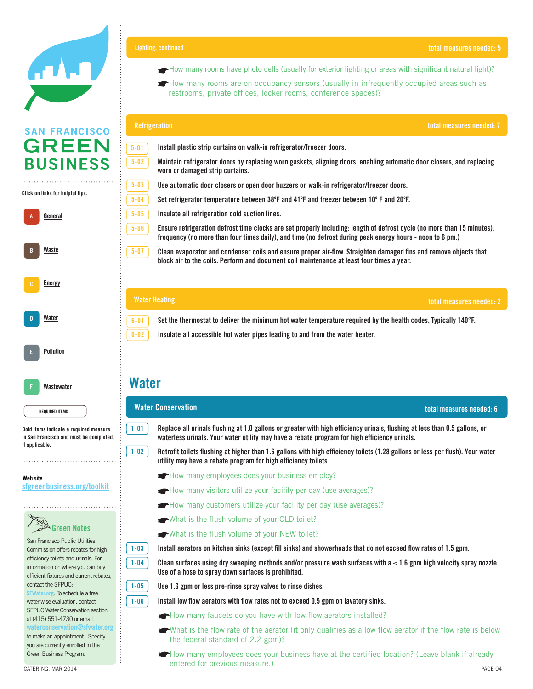

### Click on links for helpful tips. **Click on links for helpful tips.**



Bold items indicate **Bold items indicate a required measure**  a required measured measured measured measured measured measured measured measured measured measured measured and must be completed, **in San Francisco and must be completed,**  if applicable. **if applicable.** 

REQUIRED ITEM **REQUIRED ITEMS**

#### Website **Web site** sfgreenbusiness.org/toolkit **[sfgreenbusiness.org/toolkit](http://sfgreenbusiness.org/toolkit)**

## Green Notes **Green Notes**

San Francisco Public Utilities Commission offers rebates for high efficiency toilets and urinals. For information on where you can buy efficient fixtures and current rebates, contact the SFPUC: [SFWater.org](http://sfwater.org). To schedule a free

water wise evaluation, contact SFPUC Water Conservation section at (415) 551-4730 or email

**[waterconservation@sfwater.org](mailto:waterconservation@sfwater.org)** to make an appointment. Specify you are currently enrolled in the Green Business Program.

How many rooms have photo cells (usually for exterior lighting or areas with significant natural light)?

San Francisco Green Business Program Standards

 $\mathcal{L}(\mathcal{E})$  is a set of  $\mathcal{E}(\mathcal{E})$ 

**in** How many rooms are on occupancy sensors (usually in infrequently occupied areas such as  $\frac{1}{2}$ restrooms, private offices, locker rooms, conference spaces)?

|          | <b>Refrigeration</b><br>total measures needed: 7                                                                                                                                                                                     |  |  |  |
|----------|--------------------------------------------------------------------------------------------------------------------------------------------------------------------------------------------------------------------------------------|--|--|--|
| $5 - 01$ | Install plastic strip curtains on walk-in refrigerator/freezer doors.                                                                                                                                                                |  |  |  |
| $5 - 02$ | Maintain refrigerator doors by replacing worn gaskets, aligning doors, enabling automatic door closers, and replacing<br>worn or damaged strip curtains.                                                                             |  |  |  |
| $5 - 03$ | Use automatic door closers or open door buzzers on walk-in refrigerator/freezer doors.                                                                                                                                               |  |  |  |
| $5 - 04$ | Set refrigerator temperature between 38°F and 41°F and freezer between 10°F and 20°F.                                                                                                                                                |  |  |  |
| $5 - 05$ | Insulate all refrigeration cold suction lines.                                                                                                                                                                                       |  |  |  |
| $5 - 06$ | Ensure refrigeration defrost time clocks are set properly including: length of defrost cycle (no more than 15 minutes).<br>frequency (no more than four times daily), and time (no defrost during peak energy hours - noon to 6 pm.) |  |  |  |
| $5 - 07$ | Clean evaporator and condenser coils and ensure proper air-flow. Straighten damaged fins and remove objects that<br>block air to the coils. Perform and document coil maintenance at least four times a year.                        |  |  |  |
|          |                                                                                                                                                                                                                                      |  |  |  |
|          | <b>Water Heating</b><br>total measures needed: 2                                                                                                                                                                                     |  |  |  |

Set the thermostat to deliver the minimum hot water temperature required by the health codes. Typically 140°F.

**B** Insulate all accessible hot water pipes leading to and from the water heater.

duplex printing). Make single-sided the exception instead of the rule.

#### $\mathbf{M}_{\mathbf{G}}$  and copying standard product in your business (set printers and copiers and copiers to default to default to default to default to default to default to default to default to default to default to default t **Water**

**6-01 6-02**

**1-01**

**1-02**

#### A-05 Eliminate the use of plastic bags. Use paper bags containing a minimum of 40% post containing a minimum o<br>The use paper bags containing a minimum of 40% post consumer was television of 40% post consumer was televisio **Water Conservation total measures needed: 6**

**waterless urinals. Your water utility may have a rebate program for high efficiency urinals. Replace all urinals flushing at 1.0 gallons or greater with high efficiency urinals, flushing at less than 0.5 gallons, or** 

wetrofit toilets flushing at higher than 1.6 gallons with high efficiency toilets (1.28 gallons or less per flush). Your water **a** utility may have a rebate program for high efficiency toilets.

- **--** How many employees does your business employ?
- **A**-How many visitors utilize your facility per day (use averages)?
	- How many customers utilize your facility per day (use averages)?
- what is the flush volume of your OLD toilet?
- $\blacklozenge$  What is the flush volume of your NEW toilet?

 $1-03$  Install aerators on kitchen sinks (except fill sinks) and showerheads that do not exceed flow rates of 1.5 gpm.

Clean surfaces using dry sweeping methods and/or pressure wash surfaces with a ≤ 1.6 gpm high velocity spray nozzle. a-13 For catered events (lunches, meetings, etc.) institute a zero waste policy. If disposable dishware is necessary used was television of disposable dishware is necessary used was television of the state of the state of **Use of a hose to spray down surfaces is prohibited.**

Use 1.6 gpm or less pre-rinse spray valves to rinse dishes.

1-06 **Install low flow aerators with flow rates** not to exceed 0.5 gpm on lavatory sinks.

How many faucets do you have with low flow aerators installed?

- What is the flow rate of the aerator (it only qualifies as a low flow aerator if the flow rate is below are retailers - offer an incentive to customers who bring the incentive mugs, coffee mugs, etc. and or use a distinctive mugs, coffee mugs, etc. and or use a distinctive mugs, etc. and or use a distinctive must be discuss the federal standard of 2.2 gpm)?
- CATERING, MAR 2014 PAGE 04 PAGE 1 (1999) PAGE 1 (1999) PAGE 1 (1999) PAGE 1 (1999) PAGE 1 (1999) PAGE 1 (1999) How many employees does your business have at the certified location? (Leave blank if already entered for previous measure.)



**1-06**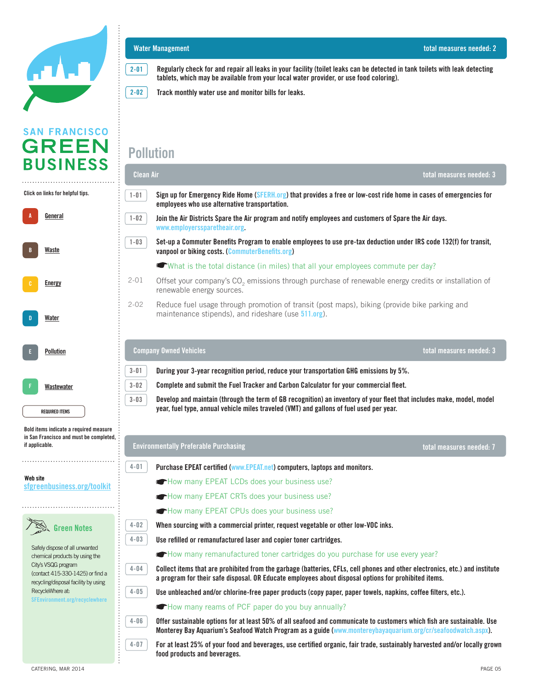

 $\cdots$ 

| A | General               |
|---|-----------------------|
| B | Waste                 |
| c | <b>Energy</b>         |
| D | Water                 |
| Ė | <b>Pollution</b>      |
| Ë | Wastewater            |
|   | <b>REQUIRED ITEMS</b> |



### **Water Management total measures needed: 2**

**2-01 Regularly check for and repair all leaks in your facility (toilet leaks can be detected in tank toilets with leak detecting tablets, which may be available from your local water provider, or use food coloring).**

San Francisco Green Business Program Standards

 $\mathcal{L}(\mathcal{E})$  is a set of  $\mathcal{E}(\mathcal{E})$ 

 $\overline{a}$   $\overline{a}$  In  $\overline{b}$  Tread manthly water we and manitor bills for lacke 2-02 **Track monthly water use and monitor bills for leaks.** 

### **Pollution**

|                                                                                                                                   | <b>Clean Air</b> |                                                                                                                                                                                                                                        | total measures needed: 3 |  |
|-----------------------------------------------------------------------------------------------------------------------------------|------------------|----------------------------------------------------------------------------------------------------------------------------------------------------------------------------------------------------------------------------------------|--------------------------|--|
| Click on links for helpful tips.                                                                                                  | $1 - 01$         | Sign up for Emergency Ride Home (SFERH.org) that provides a free or low-cost ride home in cases of emergencies for<br>employees who use alternative transportation.                                                                    |                          |  |
| <u>General</u>                                                                                                                    | $1 - 02$         | Join the Air Districts Spare the Air program and notify employees and customers of Spare the Air days.<br>www.employerssparetheair.org.                                                                                                |                          |  |
| Waste                                                                                                                             | $1 - 03$         | Set-up a Commuter Benefits Program to enable employees to use pre-tax deduction under IRS code 132(f) for transit,<br>vanpool or biking costs. (CommuterBenefits.org)                                                                  |                          |  |
|                                                                                                                                   |                  | ● What is the total distance (in miles) that all your employees commute per day?                                                                                                                                                       |                          |  |
| <b>Energy</b>                                                                                                                     | $2 - 01$         | Offset your company's CO <sub>2</sub> emissions through purchase of renewable energy credits or installation of<br>renewable energy sources.                                                                                           |                          |  |
| Water                                                                                                                             | $2 - 02$         | Reduce fuel usage through promotion of transit (post maps), biking (provide bike parking and<br>maintenance stipends), and rideshare (use 511.org).                                                                                    |                          |  |
| <b>Pollution</b>                                                                                                                  |                  | <b>Company Owned Vehicles</b>                                                                                                                                                                                                          | total measures needed: 3 |  |
|                                                                                                                                   | $3 - 01$         | During your 3-year recognition period, reduce your transportation GHG emissions by 5%.                                                                                                                                                 |                          |  |
| Wastewater                                                                                                                        | $3 - 02$         | Complete and submit the Fuel Tracker and Carbon Calculator for your commercial fleet.                                                                                                                                                  |                          |  |
| Develop and maintain (through the term of GB recognition) an inventory of your fleet that includes make, model, model<br>$3 - 03$ |                  |                                                                                                                                                                                                                                        |                          |  |
| <b>REQUIRED ITEMS</b>                                                                                                             |                  | year, fuel type, annual vehicle miles traveled (VMT) and gallons of fuel used per year.                                                                                                                                                |                          |  |
| Bold items indicate a required measure<br>in San Francisco and must be completed,<br>if applicable.                               |                  | <b>Environmentally Preferable Purchasing</b>                                                                                                                                                                                           | total measures needed: 7 |  |
|                                                                                                                                   | $4 - 01$         | Purchase EPEAT certified (www.EPEAT.net) computers, laptops and monitors.                                                                                                                                                              |                          |  |
| Web site<br>sfgreenbusiness.org/toolkit                                                                                           |                  | How many EPEAT LCDs does your business use?                                                                                                                                                                                            |                          |  |
|                                                                                                                                   |                  | How many EPEAT CRTs does your business use?                                                                                                                                                                                            |                          |  |
|                                                                                                                                   |                  | How many EPEAT CPUs does your business use?                                                                                                                                                                                            |                          |  |
| <b>Green Notes</b>                                                                                                                | $4 - 02$         | When sourcing with a commercial printer, request vegetable or other low-VOC inks.                                                                                                                                                      |                          |  |
|                                                                                                                                   | $4 - 03$         | Use refilled or remanufactured laser and copier toner cartridges.                                                                                                                                                                      |                          |  |
| Safely dispose of all unwanted<br>chemical products by using the                                                                  |                  | <b>The many remanufactured toner cartridges do you purchase for use every year?</b>                                                                                                                                                    |                          |  |
| City's VSQG program<br>(contact 415-330-1425) or find a<br>recycling/disposal facility by using                                   | $4 - 04$         | Collect items that are prohibited from the garbage (batteries, CFLs, cell phones and other electronics, etc.) and institute<br>a program for their safe disposal. OR Educate employees about disposal options for prohibited items.    |                          |  |
| RecycleWhere at:                                                                                                                  | $4 - 05$         | Use unbleached and/or chlorine-free paper products (copy paper, paper towels, napkins, coffee filters, etc.).                                                                                                                          |                          |  |
| SFEnvironment.org/recyclewhere                                                                                                    |                  | How many reams of PCF paper do you buy annually?                                                                                                                                                                                       |                          |  |
|                                                                                                                                   | $4 - 06$         | Offer sustainable options for at least 50% of all seafood and communicate to customers which fish are sustainable. Use<br>Monterey Bay Aquarium's Seafood Watch Program as a guide (www.montereybayaquarium.org/cr/seafoodwatch.aspx). |                          |  |
|                                                                                                                                   | $4 - 07$         | For at least 25% of your food and beverages, use certified organic, fair trade, sustainably harvested and/or locally grown<br>food products and beverages.                                                                             |                          |  |
| CATERING, MAR 2014                                                                                                                |                  |                                                                                                                                                                                                                                        | PAGE 05                  |  |